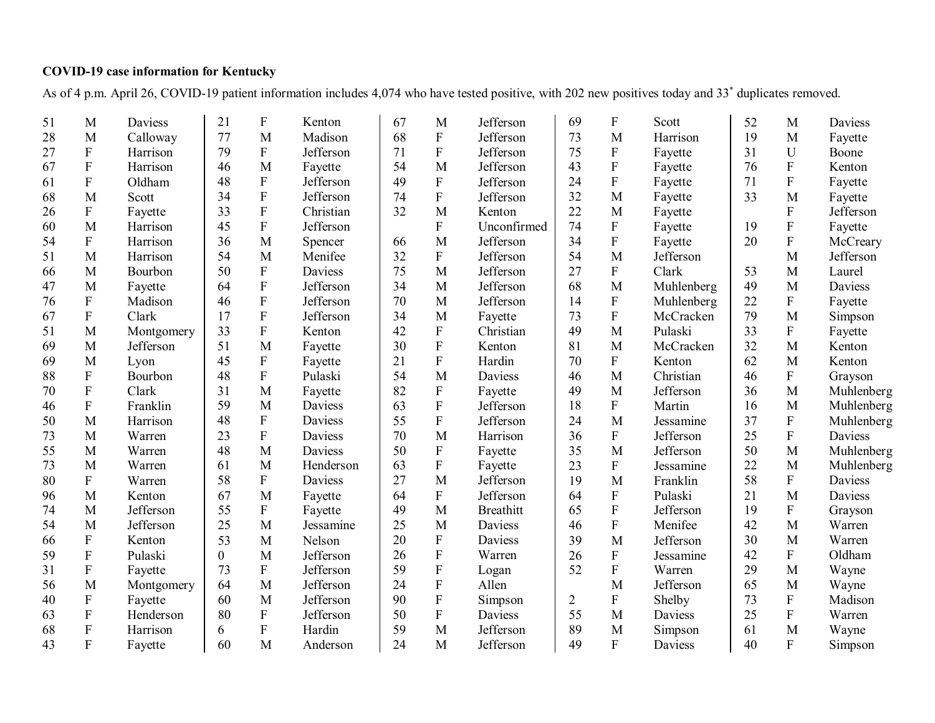## **COVID-19 case information for Kentucky**

As of 4 p.m. April 26, COVID-19 patient information includes 4,074 who have tested positive, with 202 new positives today and 33\* duplicates removed.

| 51 | M                         | <b>Daviess</b> | 21             | ${\bf F}$                 | Kenton    | 67 | M                         | Jefferson        | 69             | F                         | Scott      | 52 | M                         | Daviess        |
|----|---------------------------|----------------|----------------|---------------------------|-----------|----|---------------------------|------------------|----------------|---------------------------|------------|----|---------------------------|----------------|
| 28 | M                         | Calloway       | 77             | M                         | Madison   | 68 | ${\bf F}$                 | Jefferson        | 73             | M                         | Harrison   | 19 | M                         | Fayette        |
| 27 | ${\bf F}$                 | Harrison       | 79             | ${\bf F}$                 | Jefferson | 71 | $\overline{F}$            | Jefferson        | 75             | ${\bf F}$                 | Fayette    | 31 | U                         | Boone          |
| 67 | ${\bf F}$                 | Harrison       | 46             | M                         | Fayette   | 54 | M                         | Jefferson        | 43             | ${\bf F}$                 | Fayette    | 76 | $\mathbf F$               | Kenton         |
| 61 | $\mathbf{F}$              | Oldham         | 48             | $\boldsymbol{\mathrm{F}}$ | Jefferson | 49 | ${\bf F}$                 | Jefferson        | 24             | ${\bf F}$                 | Fayette    | 71 | ${\bf F}$                 | Fayette        |
| 68 | M                         | Scott          | 34             | ${\bf F}$                 | Jefferson | 74 | ${\bf F}$                 | Jefferson        | 32             | M                         | Fayette    | 33 | M                         | Fayette        |
| 26 | ${\bf F}$                 | Fayette        | 33             | ${\bf F}$                 | Christian | 32 | M                         | Kenton           | 22             | M                         | Fayette    |    | $\overline{F}$            | Jefferson      |
| 60 | M                         | Harrison       | 45             | $\boldsymbol{\mathrm{F}}$ | Jefferson |    | $\mathbf F$               | Unconfirmed      | 74             | $\mathbf F$               | Fayette    | 19 | $\overline{F}$            | Fayette        |
| 54 | ${\bf F}$                 | Harrison       | 36             | M                         | Spencer   | 66 | M                         | Jefferson        | 34             | ${\bf F}$                 | Fayette    | 20 | $\mathbf F$               | McCreary       |
| 51 | M                         | Harrison       | 54             | M                         | Menifee   | 32 | ${\bf F}$                 | Jefferson        | 54             | M                         | Jefferson  |    | M                         | Jefferson      |
| 66 | M                         | Bourbon        | 50             | ${\bf F}$                 | Daviess   | 75 | M                         | Jefferson        | 27             | ${\bf F}$                 | Clark      | 53 | M                         | Laurel         |
| 47 | M                         | Fayette        | 64             | ${\bf F}$                 | Jefferson | 34 | M                         | Jefferson        | 68             | M                         | Muhlenberg | 49 | M                         | <b>Daviess</b> |
| 76 | ${\bf F}$                 | Madison        | 46             | ${\bf F}$                 | Jefferson | 70 | M                         | Jefferson        | 14             | $\mathbf F$               | Muhlenberg | 22 | ${\bf F}$                 | Fayette        |
| 67 | ${\bf F}$                 | Clark          | 17             | ${\bf F}$                 | Jefferson | 34 | M                         | Fayette          | 73             | $\mathbf F$               | McCracken  | 79 | M                         | Simpson        |
| 51 | M                         | Montgomery     | 33             | $\overline{F}$            | Kenton    | 42 | ${\bf F}$                 | Christian        | 49             | M                         | Pulaski    | 33 | ${\bf F}$                 | Fayette        |
| 69 | M                         | Jefferson      | 51             | M                         | Fayette   | 30 | $\mathbf F$               | Kenton           | 81             | M                         | McCracken  | 32 | $\mathbf{M}$              | Kenton         |
| 69 | M                         | Lyon           | 45             | $\mathbf F$               | Fayette   | 21 | $\overline{F}$            | Hardin           | 70             | $\mathbf F$               | Kenton     | 62 | M                         | Kenton         |
| 88 | ${\bf F}$                 | Bourbon        | 48             | ${\bf F}$                 | Pulaski   | 54 | M                         | Daviess          | 46             | M                         | Christian  | 46 | ${\bf F}$                 | Grayson        |
| 70 | ${\bf F}$                 | Clark          | 31             | M                         | Fayette   | 82 | ${\bf F}$                 | Fayette          | 49             | M                         | Jefferson  | 36 | M                         | Muhlenberg     |
| 46 | $\mathbf{F}$              | Franklin       | 59             | M                         | Daviess   | 63 | ${\bf F}$                 | Jefferson        | 18             | ${\bf F}$                 | Martin     | 16 | M                         | Muhlenberg     |
| 50 | M                         | Harrison       | 48             | $\mathbf F$               | Daviess   | 55 | $\boldsymbol{\mathrm{F}}$ | Jefferson        | 24             | M                         | Jessamine  | 37 | $\mathbf F$               | Muhlenberg     |
| 73 | M                         | Warren         | 23             | $\rm F$                   | Daviess   | 70 | M                         | Harrison         | 36             | $\mathbf F$               | Jefferson  | 25 | ${\bf F}$                 | Daviess        |
| 55 | M                         | Warren         | 48             | M                         | Daviess   | 50 | ${\bf F}$                 | Fayette          | 35             | M                         | Jefferson  | 50 | M                         | Muhlenberg     |
| 73 | M                         | Warren         | 61             | M                         | Henderson | 63 | ${\bf F}$                 | Fayette          | 23             | $\boldsymbol{\mathrm{F}}$ | Jessamine  | 22 | M                         | Muhlenberg     |
| 80 | ${\bf F}$                 | Warren         | 58             | ${\bf F}$                 | Daviess   | 27 | M                         | Jefferson        | 19             | M                         | Franklin   | 58 | ${\bf F}$                 | Daviess        |
| 96 | M                         | Kenton         | 67             | M                         | Fayette   | 64 | ${\bf F}$                 | Jefferson        | 64             | ${\bf F}$                 | Pulaski    | 21 | M                         | Daviess        |
| 74 | M                         | Jefferson      | 55             | $\mathbf{F}$              | Fayette   | 49 | M                         | <b>Breathitt</b> | 65             | $\mathbf F$               | Jefferson  | 19 | $\mathbf{F}$              | Grayson        |
| 54 | $\mathbf{M}$              | Jefferson      | 25             | M                         | Jessamine | 25 | M                         | <b>Daviess</b>   | 46             | $\mathbf F$               | Menifee    | 42 | M                         | Warren         |
| 66 | ${\bf F}$                 | Kenton         | 53             | M                         | Nelson    | 20 | ${\bf F}$                 | Daviess          | 39             | M                         | Jefferson  | 30 | M                         | Warren         |
| 59 | ${\bf F}$                 | Pulaski        | $\overline{0}$ | M                         | Jefferson | 26 | $\mathbf F$               | Warren           | 26             | F                         | Jessamine  | 42 | ${\bf F}$                 | Oldham         |
| 31 | F                         | Fayette        | 73             | $\rm F$                   | Jefferson | 59 | $\mathbf F$               | Logan            | 52             | F                         | Warren     | 29 | M                         | Wayne          |
| 56 | M                         | Montgomery     | 64             | M                         | Jefferson | 24 | ${\bf F}$                 | Allen            |                | M                         | Jefferson  | 65 | M                         | Wayne          |
| 40 | $\mathbf F$               | Fayette        | 60             | M                         | Jefferson | 90 | ${\bf F}$                 | Simpson          | $\overline{2}$ | $\boldsymbol{\mathrm{F}}$ | Shelby     | 73 | $\boldsymbol{\mathrm{F}}$ | Madison        |
| 63 | ${\bf F}$                 | Henderson      | 80             | ${\bf F}$                 | Jefferson | 50 | ${\bf F}$                 | Daviess          | 55             | M                         | Daviess    | 25 | $\mathbf F$               | Warren         |
| 68 | $\boldsymbol{\mathrm{F}}$ | Harrison       | 6              | ${\bf F}$                 | Hardin    | 59 | M                         | Jefferson        | 89             | M                         | Simpson    | 61 | M                         | Wayne          |
| 43 | F                         | Fayette        | 60             | M                         | Anderson  | 24 | M                         | Jefferson        | 49             | $\overline{F}$            | Daviess    | 40 | $\overline{F}$            | Simpson        |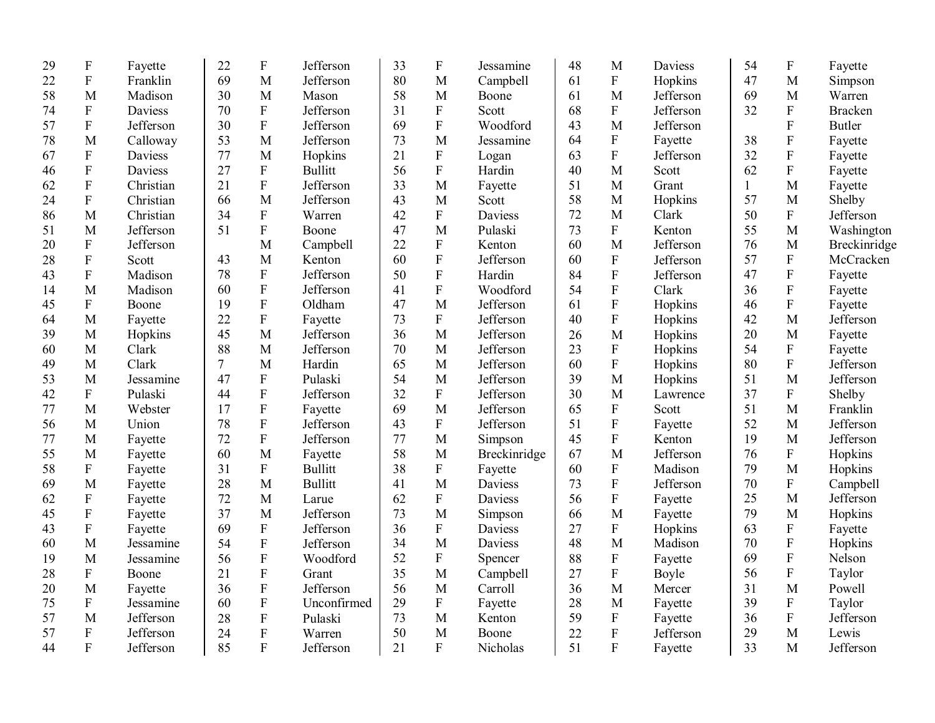| 29 | ${\bf F}$                 | Fayette        | 22 | $\mathbf F$               | Jefferson      | 33 | ${\bf F}$                 | Jessamine    | 48 | M                         | <b>Daviess</b> | 54           | ${\bf F}$               | Fayette        |
|----|---------------------------|----------------|----|---------------------------|----------------|----|---------------------------|--------------|----|---------------------------|----------------|--------------|-------------------------|----------------|
| 22 | ${\bf F}$                 | Franklin       | 69 | M                         | Jefferson      | 80 | M                         | Campbell     | 61 | ${\bf F}$                 | Hopkins        | 47           | M                       | Simpson        |
| 58 | M                         | Madison        | 30 | M                         | Mason          | 58 | M                         | Boone        | 61 | M                         | Jefferson      | 69           | M                       | Warren         |
| 74 | ${\bf F}$                 | <b>Daviess</b> | 70 | ${\bf F}$                 | Jefferson      | 31 | ${\bf F}$                 | Scott        | 68 | $\boldsymbol{\mathrm{F}}$ | Jefferson      | 32           | ${\bf F}$               | <b>Bracken</b> |
| 57 | $\overline{F}$            | Jefferson      | 30 | ${\bf F}$                 | Jefferson      | 69 | $\overline{F}$            | Woodford     | 43 | M                         | Jefferson      |              | $\overline{F}$          | <b>Butler</b>  |
| 78 | M                         | Calloway       | 53 | M                         | Jefferson      | 73 | M                         | Jessamine    | 64 | ${\bf F}$                 | Fayette        | 38           | $\mathbf{F}$            | Fayette        |
| 67 | ${\bf F}$                 | <b>Daviess</b> | 77 | M                         | Hopkins        | 21 | ${\bf F}$                 | Logan        | 63 | $\mathbf F$               | Jefferson      | 32           | $\rm F$                 | Fayette        |
| 46 | ${\bf F}$                 | Daviess        | 27 | ${\bf F}$                 | <b>Bullitt</b> | 56 | ${\bf F}$                 | Hardin       | 40 | M                         | Scott          | 62           | ${\bf F}$               | Fayette        |
| 62 | ${\bf F}$                 | Christian      | 21 | $\boldsymbol{\mathrm{F}}$ | Jefferson      | 33 | M                         | Fayette      | 51 | M                         | Grant          | $\mathbf{1}$ | M                       | Fayette        |
| 24 | ${\bf F}$                 | Christian      | 66 | M                         | Jefferson      | 43 | M                         | Scott        | 58 | M                         | Hopkins        | 57           | M                       | Shelby         |
| 86 | M                         | Christian      | 34 | ${\bf F}$                 | Warren         | 42 | ${\bf F}$                 | Daviess      | 72 | M                         | Clark          | 50           | $\mathbf F$             | Jefferson      |
| 51 | M                         | Jefferson      | 51 | ${\bf F}$                 | Boone          | 47 | M                         | Pulaski      | 73 | $\boldsymbol{\mathrm{F}}$ | Kenton         | 55           | M                       | Washington     |
| 20 | ${\bf F}$                 | Jefferson      |    | M                         | Campbell       | 22 | ${\bf F}$                 | Kenton       | 60 | M                         | Jefferson      | 76           | M                       | Breckinridge   |
| 28 | ${\bf F}$                 | Scott          | 43 | M                         | Kenton         | 60 | ${\bf F}$                 | Jefferson    | 60 | $\boldsymbol{\mathrm{F}}$ | Jefferson      | 57           | ${\bf F}$               | McCracken      |
| 43 | $\overline{F}$            | Madison        | 78 | $\mathbf F$               | Jefferson      | 50 | ${\bf F}$                 | Hardin       | 84 | ${\bf F}$                 | Jefferson      | 47           | ${\bf F}$               | Fayette        |
| 14 | M                         | Madison        | 60 | $\mathbf F$               | Jefferson      | 41 | ${\bf F}$                 | Woodford     | 54 | ${\bf F}$                 | Clark          | 36           | ${\bf F}$               | Fayette        |
| 45 | $\mathbf F$               | Boone          | 19 | $\boldsymbol{\mathrm{F}}$ | Oldham         | 47 | M                         | Jefferson    | 61 | $\rm F$                   | Hopkins        | 46           | ${\bf F}$               | Fayette        |
| 64 | M                         | Fayette        | 22 | $\boldsymbol{\mathrm{F}}$ | Fayette        | 73 | $\boldsymbol{\mathrm{F}}$ | Jefferson    | 40 | $\overline{F}$            | Hopkins        | 42           | M                       | Jefferson      |
| 39 | M                         | Hopkins        | 45 | M                         | Jefferson      | 36 | M                         | Jefferson    | 26 | M                         | Hopkins        | 20           | M                       | Fayette        |
| 60 | M                         | Clark          | 88 | M                         | Jefferson      | 70 | M                         | Jefferson    | 23 | $\mathbf F$               | Hopkins        | 54           | $\mathbf F$             | Fayette        |
| 49 | M                         | Clark          | 7  | M                         | Hardin         | 65 | $\mathbf{M}$              | Jefferson    | 60 | $\overline{F}$            | Hopkins        | 80           | $\rm F$                 | Jefferson      |
| 53 | M                         | Jessamine      | 47 | ${\bf F}$                 | Pulaski        | 54 | M                         | Jefferson    | 39 | M                         | Hopkins        | 51           | M                       | Jefferson      |
| 42 | ${\bf F}$                 | Pulaski        | 44 | $\mathbf F$               | Jefferson      | 32 | ${\bf F}$                 | Jefferson    | 30 | M                         | Lawrence       | 37           | ${\bf F}$               | Shelby         |
| 77 | M                         | Webster        | 17 | $\mathbf F$               | Fayette        | 69 | M                         | Jefferson    | 65 | $\mathbf F$               | Scott          | 51           | M                       | Franklin       |
| 56 | M                         | Union          | 78 | ${\bf F}$                 | Jefferson      | 43 | ${\bf F}$                 | Jefferson    | 51 | ${\bf F}$                 | Fayette        | 52           | M                       | Jefferson      |
| 77 | M                         | Fayette        | 72 | $\mathbf F$               | Jefferson      | 77 | M                         | Simpson      | 45 | ${\bf F}$                 | Kenton         | 19           | M                       | Jefferson      |
| 55 | M                         | Fayette        | 60 | M                         | Fayette        | 58 | M                         | Breckinridge | 67 | M                         | Jefferson      | 76           | F                       | Hopkins        |
| 58 | ${\bf F}$                 | Fayette        | 31 | ${\bf F}$                 | <b>Bullitt</b> | 38 | ${\bf F}$                 | Fayette      | 60 | $\rm F$                   | Madison        | 79           | M                       | Hopkins        |
| 69 | M                         | Fayette        | 28 | M                         | <b>Bullitt</b> | 41 | M                         | Daviess      | 73 | $\rm F$                   | Jefferson      | 70           | ${\bf F}$               | Campbell       |
| 62 | ${\bf F}$                 | Fayette        | 72 | M                         | Larue          | 62 | ${\bf F}$                 | Daviess      | 56 | $\rm F$                   | Fayette        | 25           | $\mathbf M$             | Jefferson      |
| 45 | $\boldsymbol{\mathrm{F}}$ | Fayette        | 37 | M                         | Jefferson      | 73 | M                         | Simpson      | 66 | $\mathbf{M}$              | Fayette        | 79           | M                       | Hopkins        |
| 43 | $\boldsymbol{\mathrm{F}}$ | Fayette        | 69 | ${\bf F}$                 | Jefferson      | 36 | ${\bf F}$                 | Daviess      | 27 | ${\bf F}$                 | Hopkins        | 63           | ${\bf F}$               | Fayette        |
| 60 | M                         | Jessamine      | 54 | ${\bf F}$                 | Jefferson      | 34 | M                         | Daviess      | 48 | M                         | Madison        | 70           | ${\bf F}$               | Hopkins        |
| 19 | M                         | Jessamine      | 56 | ${\bf F}$                 | Woodford       | 52 | ${\bf F}$                 | Spencer      | 88 | ${\bf F}$                 | Fayette        | 69           | ${\bf F}$               | Nelson         |
| 28 | $\mathbf{F}$              | Boone          | 21 | $\rm F$                   | Grant          | 35 | M                         | Campbell     | 27 | $\overline{F}$            | Boyle          | 56           | $\overline{F}$          | Taylor         |
| 20 | M                         | Fayette        | 36 | ${\bf F}$                 | Jefferson      | 56 | M                         | Carroll      | 36 | M                         | Mercer         | 31           | $\overline{M}$          | Powell         |
| 75 | ${\bf F}$                 | Jessamine      | 60 | ${\bf F}$                 | Unconfirmed    | 29 | $\boldsymbol{\mathrm{F}}$ | Fayette      | 28 | M                         | Fayette        | 39           | ${\bf F}$               | Taylor         |
| 57 | M                         | Jefferson      | 28 | $\rm F$                   | Pulaski        | 73 | M                         | Kenton       | 59 | $\overline{F}$            | Fayette        | 36           | $\overline{\mathrm{F}}$ | Jefferson      |
| 57 | $\overline{F}$            | Jefferson      | 24 | $\overline{F}$            | Warren         | 50 | M                         | Boone        | 22 | F                         | Jefferson      | 29           | M                       | Lewis          |
| 44 | $\overline{F}$            | Jefferson      | 85 | $\overline{F}$            | Jefferson      | 21 | $\mathbf{F}$              | Nicholas     | 51 | $\overline{F}$            | Fayette        | 33           | M                       | Jefferson      |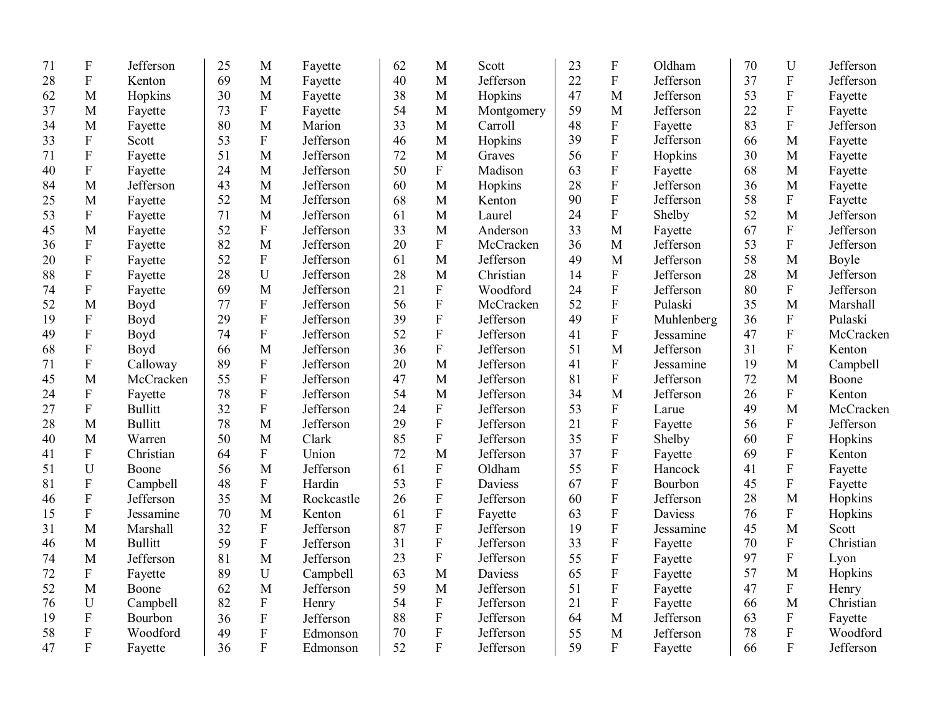| 71 | $\boldsymbol{F}$          | Jefferson      | 25 | M              | Fayette    | 62 | M                         | Scott      | 23 | $\mathbf F$               | Oldham     | 70 | U                         | Jefferson |
|----|---------------------------|----------------|----|----------------|------------|----|---------------------------|------------|----|---------------------------|------------|----|---------------------------|-----------|
| 28 | ${\bf F}$                 | Kenton         | 69 | M              | Fayette    | 40 | $\mathbf{M}$              | Jefferson  | 22 | ${\bf F}$                 | Jefferson  | 37 | ${\bf F}$                 | Jefferson |
| 62 | M                         | Hopkins        | 30 | M              | Fayette    | 38 | M                         | Hopkins    | 47 | M                         | Jefferson  | 53 | ${\bf F}$                 | Fayette   |
| 37 | M                         | Fayette        | 73 | ${\bf F}$      | Fayette    | 54 | M                         | Montgomery | 59 | M                         | Jefferson  | 22 | $\mathbf F$               | Fayette   |
| 34 | M                         | Fayette        | 80 | M              | Marion     | 33 | $\mathbf{M}$              | Carroll    | 48 | ${\bf F}$                 | Fayette    | 83 | $\overline{\mathrm{F}}$   | Jefferson |
| 33 | ${\bf F}$                 | Scott          | 53 | ${\bf F}$      | Jefferson  | 46 | M                         | Hopkins    | 39 | $\rm F$                   | Jefferson  | 66 | $\mathbf{M}$              | Fayette   |
| 71 | ${\bf F}$                 | Fayette        | 51 | $\mathbf{M}$   | Jefferson  | 72 | $\mathbf{M}$              | Graves     | 56 | ${\bf F}$                 | Hopkins    | 30 | M                         | Fayette   |
| 40 | ${\bf F}$                 | Fayette        | 24 | M              | Jefferson  | 50 | $\rm F$                   | Madison    | 63 | ${\bf F}$                 | Fayette    | 68 | M                         | Fayette   |
| 84 | M                         | Jefferson      | 43 | M              | Jefferson  | 60 | $\mathbf{M}$              | Hopkins    | 28 | $\boldsymbol{\mathrm{F}}$ | Jefferson  | 36 | M                         | Fayette   |
| 25 | M                         | Fayette        | 52 | M              | Jefferson  | 68 | M                         | Kenton     | 90 | ${\bf F}$                 | Jefferson  | 58 | ${\bf F}$                 | Fayette   |
| 53 | ${\bf F}$                 | Fayette        | 71 | M              | Jefferson  | 61 | M                         | Laurel     | 24 | ${\bf F}$                 | Shelby     | 52 | M                         | Jefferson |
| 45 | M                         | Fayette        | 52 | $\mathbf F$    | Jefferson  | 33 | M                         | Anderson   | 33 | M                         | Fayette    | 67 | $\mathbf F$               | Jefferson |
| 36 | $\mathbf{F}$              | Fayette        | 82 | M              | Jefferson  | 20 | $\mathbf{F}$              | McCracken  | 36 | M                         | Jefferson  | 53 | $\overline{F}$            | Jefferson |
| 20 | $\mathbf F$               | Fayette        | 52 | $\mathbf F$    | Jefferson  | 61 | M                         | Jefferson  | 49 | M                         | Jefferson  | 58 | M                         | Boyle     |
| 88 | ${\bf F}$                 | Fayette        | 28 | U              | Jefferson  | 28 | $\mathbf{M}$              | Christian  | 14 | ${\bf F}$                 | Jefferson  | 28 | M                         | Jefferson |
| 74 | ${\bf F}$                 | Fayette        | 69 | M              | Jefferson  | 21 | ${\bf F}$                 | Woodford   | 24 | ${\bf F}$                 | Jefferson  | 80 | $\mathbf F$               | Jefferson |
| 52 | M                         | Boyd           | 77 | $\overline{F}$ | Jefferson  | 56 | $\mathbf{F}$              | McCracken  | 52 | ${\bf F}$                 | Pulaski    | 35 | M                         | Marshall  |
| 19 | ${\bf F}$                 | Boyd           | 29 | $\mathbf F$    | Jefferson  | 39 | $\mathbf{F}$              | Jefferson  | 49 | $\mathbf F$               | Muhlenberg | 36 | $\mathbf F$               | Pulaski   |
| 49 | ${\bf F}$                 | Boyd           | 74 | $\overline{F}$ | Jefferson  | 52 | $\overline{F}$            | Jefferson  | 41 | $\mathbf F$               | Jessamine  | 47 | F                         | McCracken |
| 68 | $\mathbf F$               | Boyd           | 66 | M              | Jefferson  | 36 | $\rm F$                   | Jefferson  | 51 | M                         | Jefferson  | 31 | $\mathbf F$               | Kenton    |
| 71 | $\mathbf F$               | Calloway       | 89 | $\rm F$        | Jefferson  | 20 | M                         | Jefferson  | 41 | $\mathbf F$               | Jessamine  | 19 | M                         | Campbell  |
| 45 | M                         | McCracken      | 55 | $\rm F$        | Jefferson  | 47 | $\mathbf{M}$              | Jefferson  | 81 | ${\bf F}$                 | Jefferson  | 72 | $\mathbf{M}$              | Boone     |
| 24 | ${\bf F}$                 | Fayette        | 78 | ${\bf F}$      | Jefferson  | 54 | M                         | Jefferson  | 34 | M                         | Jefferson  | 26 | $\boldsymbol{\mathrm{F}}$ | Kenton    |
| 27 | $\boldsymbol{\mathrm{F}}$ | <b>Bullitt</b> | 32 | ${\bf F}$      | Jefferson  | 24 | ${\bf F}$                 | Jefferson  | 53 | ${\bf F}$                 | Larue      | 49 | M                         | McCracken |
| 28 | M                         | <b>Bullitt</b> | 78 | M              | Jefferson  | 29 | $\mathbf{F}$              | Jefferson  | 21 | ${\bf F}$                 | Fayette    | 56 | $\mathbf F$               | Jefferson |
| 40 | M                         | Warren         | 50 | M              | Clark      | 85 | $\overline{F}$            | Jefferson  | 35 | ${\bf F}$                 | Shelby     | 60 | ${\bf F}$                 | Hopkins   |
| 41 | $\mathbf{F}$              | Christian      | 64 | ${\bf F}$      | Union      | 72 | M                         | Jefferson  | 37 | ${\bf F}$                 | Fayette    | 69 | $\overline{F}$            | Kenton    |
| 51 | U                         | Boone          | 56 | $\overline{M}$ | Jefferson  | 61 | $\overline{F}$            | Oldham     | 55 | ${\bf F}$                 | Hancock    | 41 | $\overline{F}$            | Fayette   |
| 81 | ${\bf F}$                 | Campbell       | 48 | ${\bf F}$      | Hardin     | 53 | $\overline{F}$            | Daviess    | 67 | ${\bf F}$                 | Bourbon    | 45 | $\overline{F}$            | Fayette   |
| 46 | ${\bf F}$                 | Jefferson      | 35 | M              | Rockcastle | 26 | ${\bf F}$                 | Jefferson  | 60 | $\boldsymbol{\mathrm{F}}$ | Jefferson  | 28 | $\mathbf{M}$              | Hopkins   |
| 15 | $\boldsymbol{\mathrm{F}}$ | Jessamine      | 70 | M              | Kenton     | 61 | $\boldsymbol{\mathrm{F}}$ | Fayette    | 63 | ${\bf F}$                 | Daviess    | 76 | ${\bf F}$                 | Hopkins   |
| 31 | M                         | Marshall       | 32 | $\overline{F}$ | Jefferson  | 87 | F                         | Jefferson  | 19 | ${\bf F}$                 | Jessamine  | 45 | M                         | Scott     |
| 46 | M                         | <b>Bullitt</b> | 59 | ${\bf F}$      | Jefferson  | 31 | $\mathbf{F}$              | Jefferson  | 33 | ${\bf F}$                 | Fayette    | 70 | $\mathbf F$               | Christian |
| 74 | M                         | Jefferson      | 81 | M              | Jefferson  | 23 | $\overline{F}$            | Jefferson  | 55 | ${\bf F}$                 | Fayette    | 97 | $\mathbf F$               | Lyon      |
| 72 | ${\bf F}$                 | Fayette        | 89 | $\mathbf U$    | Campbell   | 63 | M                         | Daviess    | 65 | $\boldsymbol{\mathrm{F}}$ | Fayette    | 57 | M                         | Hopkins   |
| 52 | M                         | Boone          | 62 | $\mathbf{M}$   | Jefferson  | 59 | M                         | Jefferson  | 51 | $\boldsymbol{\mathrm{F}}$ | Fayette    | 47 | $\mathbf F$               | Henry     |
| 76 | U                         | Campbell       | 82 | ${\bf F}$      | Henry      | 54 | ${\bf F}$                 | Jefferson  | 21 | $\boldsymbol{\mathrm{F}}$ | Fayette    | 66 | M                         | Christian |
| 19 | ${\bf F}$                 | Bourbon        | 36 | ${\bf F}$      | Jefferson  | 88 | ${\bf F}$                 | Jefferson  | 64 | M                         | Jefferson  | 63 | ${\bf F}$                 | Fayette   |
| 58 | $\boldsymbol{\mathrm{F}}$ | Woodford       | 49 | ${\bf F}$      | Edmonson   | 70 | F                         | Jefferson  | 55 | M                         | Jefferson  | 78 | $\overline{F}$            | Woodford  |
| 47 | $\mathbf{F}$              | Fayette        | 36 | $\overline{F}$ | Edmonson   | 52 | F                         | Jefferson  | 59 | $\mathbf{F}$              | Fayette    | 66 | $\overline{F}$            | Jefferson |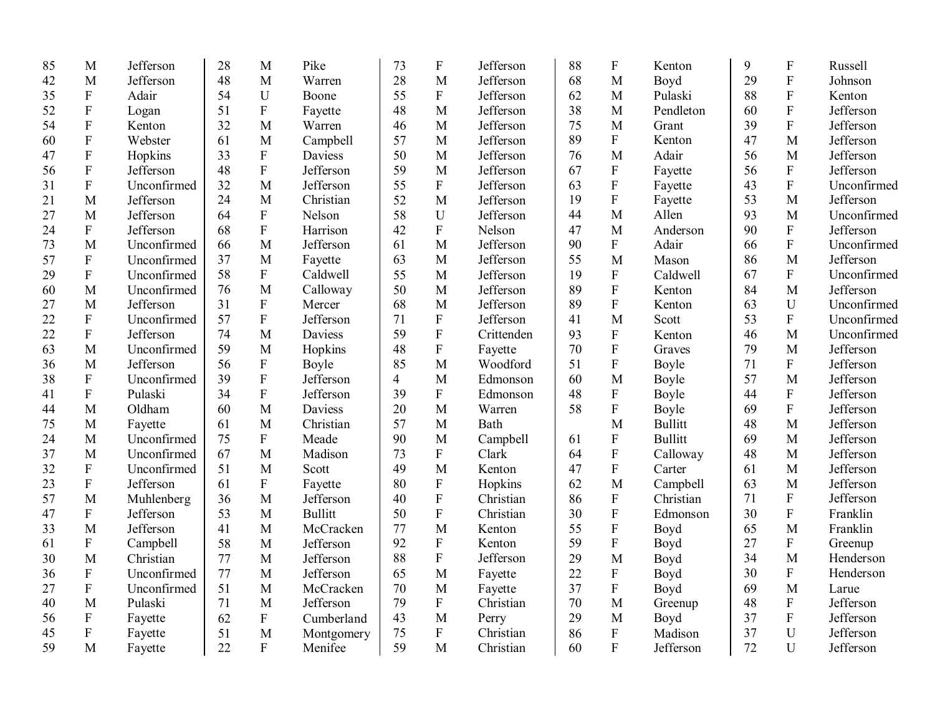| 85 | M                         | Jefferson   | 28 | M                         | Pike           | 73 | ${\bf F}$                 | Jefferson  | 88 | $\boldsymbol{\mathrm{F}}$ | Kenton         | 9  | ${\bf F}$      | Russell     |
|----|---------------------------|-------------|----|---------------------------|----------------|----|---------------------------|------------|----|---------------------------|----------------|----|----------------|-------------|
| 42 | M                         | Jefferson   | 48 | M                         | Warren         | 28 | M                         | Jefferson  | 68 | M                         | Boyd           | 29 | ${\bf F}$      | Johnson     |
| 35 | ${\bf F}$                 | Adair       | 54 | U                         | Boone          | 55 | $\boldsymbol{\mathrm{F}}$ | Jefferson  | 62 | M                         | Pulaski        | 88 | ${\bf F}$      | Kenton      |
| 52 | ${\bf F}$                 | Logan       | 51 | ${\bf F}$                 | Fayette        | 48 | M                         | Jefferson  | 38 | M                         | Pendleton      | 60 | ${\bf F}$      | Jefferson   |
| 54 | $\mathbf{F}$              | Kenton      | 32 | M                         | Warren         | 46 | M                         | Jefferson  | 75 | M                         | Grant          | 39 | $\mathbf F$    | Jefferson   |
| 60 | $\mathbf{F}$              | Webster     | 61 | M                         | Campbell       | 57 | M                         | Jefferson  | 89 | $\mathbf{F}$              | Kenton         | 47 | M              | Jefferson   |
| 47 | ${\bf F}$                 | Hopkins     | 33 | ${\bf F}$                 | Daviess        | 50 | M                         | Jefferson  | 76 | M                         | Adair          | 56 | M              | Jefferson   |
| 56 | $\mathbf F$               | Jefferson   | 48 | ${\bf F}$                 | Jefferson      | 59 | M                         | Jefferson  | 67 | $\mathbf F$               | Fayette        | 56 | $\overline{F}$ | Jefferson   |
| 31 | $\rm F$                   | Unconfirmed | 32 | M                         | Jefferson      | 55 | ${\bf F}$                 | Jefferson  | 63 | ${\bf F}$                 | Fayette        | 43 | $\overline{F}$ | Unconfirmed |
| 21 | M                         | Jefferson   | 24 | M                         | Christian      | 52 | M                         | Jefferson  | 19 | ${\bf F}$                 | Fayette        | 53 | M              | Jefferson   |
| 27 | M                         | Jefferson   | 64 | $\boldsymbol{\mathrm{F}}$ | Nelson         | 58 | U                         | Jefferson  | 44 | M                         | Allen          | 93 | M              | Unconfirmed |
| 24 | ${\bf F}$                 | Jefferson   | 68 | ${\bf F}$                 | Harrison       | 42 | ${\bf F}$                 | Nelson     | 47 | M                         | Anderson       | 90 | ${\bf F}$      | Jefferson   |
| 73 | M                         | Unconfirmed | 66 | M                         | Jefferson      | 61 | M                         | Jefferson  | 90 | $\mathbf{F}$              | Adair          | 66 | $\mathbf{F}$   | Unconfirmed |
| 57 | ${\bf F}$                 | Unconfirmed | 37 | M                         | Fayette        | 63 | M                         | Jefferson  | 55 | M                         | Mason          | 86 | M              | Jefferson   |
| 29 | $\rm F$                   | Unconfirmed | 58 | ${\bf F}$                 | Caldwell       | 55 | M                         | Jefferson  | 19 | ${\bf F}$                 | Caldwell       | 67 | $\overline{F}$ | Unconfirmed |
| 60 | M                         | Unconfirmed | 76 | M                         | Calloway       | 50 | M                         | Jefferson  | 89 | ${\bf F}$                 | Kenton         | 84 | $\mathbf{M}$   | Jefferson   |
| 27 | M                         | Jefferson   | 31 | ${\bf F}$                 | Mercer         | 68 | M                         | Jefferson  | 89 | ${\bf F}$                 | Kenton         | 63 | $\mathbf U$    | Unconfirmed |
| 22 | ${\bf F}$                 | Unconfirmed | 57 | ${\bf F}$                 | Jefferson      | 71 | ${\bf F}$                 | Jefferson  | 41 | M                         | Scott          | 53 | ${\bf F}$      | Unconfirmed |
| 22 | ${\bf F}$                 | Jefferson   | 74 | M                         | Daviess        | 59 | ${\bf F}$                 | Crittenden | 93 | ${\bf F}$                 | Kenton         | 46 | $\mathbf{M}$   | Unconfirmed |
| 63 | M                         | Unconfirmed | 59 | M                         | Hopkins        | 48 | ${\bf F}$                 | Fayette    | 70 | ${\bf F}$                 | Graves         | 79 | M              | Jefferson   |
| 36 | M                         | Jefferson   | 56 | ${\bf F}$                 | Boyle          | 85 | M                         | Woodford   | 51 | $\mathbf{F}$              | Boyle          | 71 | $\mathbf{F}$   | Jefferson   |
| 38 | $\mathbf F$               | Unconfirmed | 39 | ${\bf F}$                 | Jefferson      | 4  | M                         | Edmonson   | 60 | M                         | Boyle          | 57 | M              | Jefferson   |
| 41 | ${\bf F}$                 | Pulaski     | 34 | ${\bf F}$                 | Jefferson      | 39 | ${\bf F}$                 | Edmonson   | 48 | ${\bf F}$                 | Boyle          | 44 | ${\bf F}$      | Jefferson   |
| 44 | M                         | Oldham      | 60 | M                         | Daviess        | 20 | M                         | Warren     | 58 | $\rm F$                   | Boyle          | 69 | ${\bf F}$      | Jefferson   |
| 75 | M                         | Fayette     | 61 | M                         | Christian      | 57 | M                         | Bath       |    | M                         | <b>Bullitt</b> | 48 | $\mathbf{M}$   | Jefferson   |
| 24 | M                         | Unconfirmed | 75 | ${\bf F}$                 | Meade          | 90 | M                         | Campbell   | 61 | ${\bf F}$                 | <b>Bullitt</b> | 69 | $\mathbf{M}$   | Jefferson   |
| 37 | M                         | Unconfirmed | 67 | M                         | Madison        | 73 | $\boldsymbol{\mathrm{F}}$ | Clark      | 64 | ${\bf F}$                 | Calloway       | 48 | $\mathbf{M}$   | Jefferson   |
| 32 | ${\bf F}$                 | Unconfirmed | 51 | M                         | Scott          | 49 | M                         | Kenton     | 47 | $\mathbf{F}$              | Carter         | 61 | $\mathbf{M}$   | Jefferson   |
| 23 | ${\bf F}$                 | Jefferson   | 61 | ${\bf F}$                 | Fayette        | 80 | ${\bf F}$                 | Hopkins    | 62 | M                         | Campbell       | 63 | $\mathbf{M}$   | Jefferson   |
| 57 | M                         | Muhlenberg  | 36 | M                         | Jefferson      | 40 | ${\bf F}$                 | Christian  | 86 | ${\bf F}$                 | Christian      | 71 | $\mathbf{F}$   | Jefferson   |
| 47 | ${\bf F}$                 | Jefferson   | 53 | M                         | <b>Bullitt</b> | 50 | $\rm F$                   | Christian  | 30 | $\overline{F}$            | Edmonson       | 30 | $\overline{F}$ | Franklin    |
| 33 | M                         | Jefferson   | 41 | M                         | McCracken      | 77 | M                         | Kenton     | 55 | $\overline{F}$            | Boyd           | 65 | $\mathbf{M}$   | Franklin    |
| 61 | ${\bf F}$                 | Campbell    | 58 | M                         | Jefferson      | 92 | ${\bf F}$                 | Kenton     | 59 | ${\bf F}$                 | Boyd           | 27 | ${\bf F}$      | Greenup     |
| 30 | M                         | Christian   | 77 | M                         | Jefferson      | 88 | $\mathbf F$               | Jefferson  | 29 | M                         | Boyd           | 34 | M              | Henderson   |
| 36 | $\mathbf F$               | Unconfirmed | 77 | M                         | Jefferson      | 65 | M                         | Fayette    | 22 | ${\bf F}$                 | Boyd           | 30 | ${\bf F}$      | Henderson   |
| 27 | ${\bf F}$                 | Unconfirmed | 51 | M                         | McCracken      | 70 | M                         | Fayette    | 37 | $\mathbf F$               | Boyd           | 69 | M              | Larue       |
| 40 | M                         | Pulaski     | 71 | M                         | Jefferson      | 79 | ${\bf F}$                 | Christian  | 70 | M                         | Greenup        | 48 | ${\bf F}$      | Jefferson   |
| 56 | $\boldsymbol{\mathrm{F}}$ | Fayette     | 62 | ${\bf F}$                 | Cumberland     | 43 | M                         | Perry      | 29 | M                         | Boyd           | 37 | ${\bf F}$      | Jefferson   |
| 45 | ${\bf F}$                 | Fayette     | 51 | M                         | Montgomery     | 75 | ${\bf F}$                 | Christian  | 86 | ${\bf F}$                 | Madison        | 37 | U              | Jefferson   |
| 59 | M                         | Fayette     | 22 | $\mathbf{F}$              | Menifee        | 59 | M                         | Christian  | 60 | $\mathbf{F}$              | Jefferson      | 72 | U              | Jefferson   |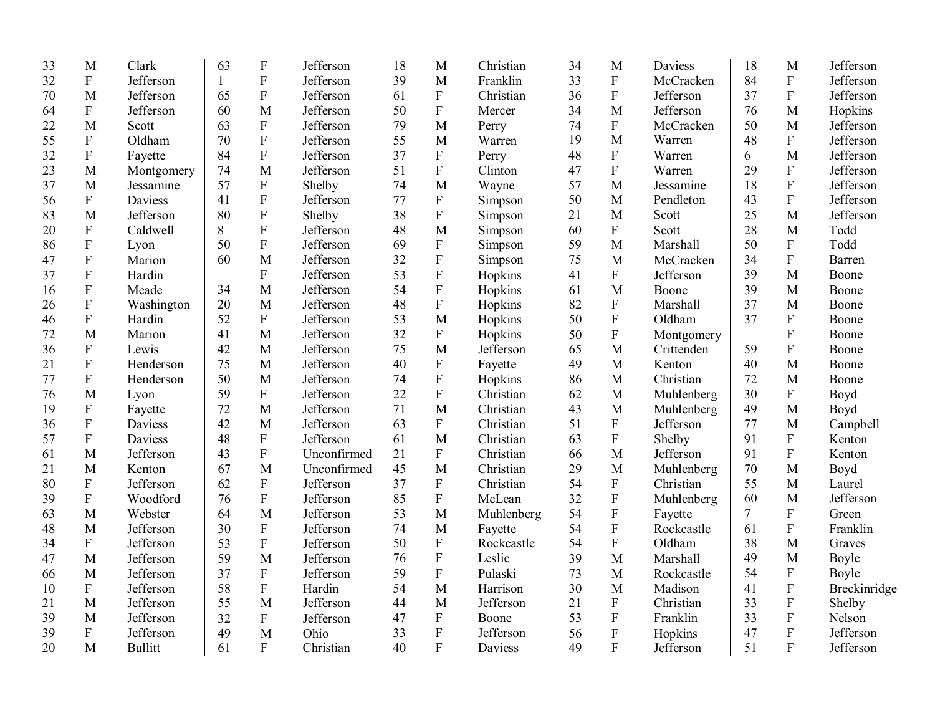| 33 | M                         | Clark          | 63           | $\mathbf F$               | Jefferson   | 18 | M                         | Christian  | 34 | M                         | Daviess    | 18             | M                         | Jefferson    |
|----|---------------------------|----------------|--------------|---------------------------|-------------|----|---------------------------|------------|----|---------------------------|------------|----------------|---------------------------|--------------|
| 32 | ${\bf F}$                 | Jefferson      | $\mathbf{1}$ | ${\bf F}$                 | Jefferson   | 39 | M                         | Franklin   | 33 | ${\bf F}$                 | McCracken  | 84             | ${\bf F}$                 | Jefferson    |
| 70 | M                         | Jefferson      | 65           | $\boldsymbol{\mathrm{F}}$ | Jefferson   | 61 | $\boldsymbol{\mathrm{F}}$ | Christian  | 36 | $\boldsymbol{\mathrm{F}}$ | Jefferson  | 37             | ${\bf F}$                 | Jefferson    |
| 64 | ${\bf F}$                 | Jefferson      | 60           | M                         | Jefferson   | 50 | $\boldsymbol{\mathrm{F}}$ | Mercer     | 34 | M                         | Jefferson  | 76             | M                         | Hopkins      |
| 22 | M                         | Scott          | 63           | ${\bf F}$                 | Jefferson   | 79 | M                         | Perry      | 74 | $\mathbf F$               | McCracken  | 50             | M                         | Jefferson    |
| 55 | ${\bf F}$                 | Oldham         | 70           | $\overline{F}$            | Jefferson   | 55 | M                         | Warren     | 19 | M                         | Warren     | 48             | ${\bf F}$                 | Jefferson    |
| 32 | ${\bf F}$                 | Fayette        | 84           | ${\bf F}$                 | Jefferson   | 37 | $\mathbf F$               | Perry      | 48 | ${\bf F}$                 | Warren     | 6              | M                         | Jefferson    |
| 23 | M                         | Montgomery     | 74           | M                         | Jefferson   | 51 | $\boldsymbol{\mathrm{F}}$ | Clinton    | 47 | $\mathbf F$               | Warren     | 29             | ${\bf F}$                 | Jefferson    |
| 37 | M                         | Jessamine      | 57           | ${\bf F}$                 | Shelby      | 74 | M                         | Wayne      | 57 | M                         | Jessamine  | 18             | $\boldsymbol{\mathrm{F}}$ | Jefferson    |
| 56 | ${\bf F}$                 | Daviess        | 41           | ${\bf F}$                 | Jefferson   | 77 | $\boldsymbol{\mathrm{F}}$ | Simpson    | 50 | M                         | Pendleton  | 43             | ${\bf F}$                 | Jefferson    |
| 83 | M                         | Jefferson      | 80           | ${\bf F}$                 | Shelby      | 38 | $\boldsymbol{\mathrm{F}}$ | Simpson    | 21 | M                         | Scott      | 25             | M                         | Jefferson    |
| 20 | ${\bf F}$                 | Caldwell       | 8            | $\overline{F}$            | Jefferson   | 48 | M                         | Simpson    | 60 | $\mathbf F$               | Scott      | 28             | M                         | Todd         |
| 86 | ${\bf F}$                 | Lyon           | 50           | $\overline{F}$            | Jefferson   | 69 | ${\bf F}$                 | Simpson    | 59 | M                         | Marshall   | 50             | ${\bf F}$                 | Todd         |
| 47 | $\rm F$                   | Marion         | 60           | M                         | Jefferson   | 32 | ${\bf F}$                 | Simpson    | 75 | M                         | McCracken  | 34             | ${\bf F}$                 | Barren       |
| 37 | ${\bf F}$                 | Hardin         |              | ${\bf F}$                 | Jefferson   | 53 | ${\bf F}$                 | Hopkins    | 41 | ${\bf F}$                 | Jefferson  | 39             | M                         | Boone        |
| 16 | ${\bf F}$                 | Meade          | 34           | M                         | Jefferson   | 54 | ${\bf F}$                 | Hopkins    | 61 | M                         | Boone      | 39             | M                         | Boone        |
| 26 | ${\bf F}$                 | Washington     | 20           | M                         | Jefferson   | 48 | $\boldsymbol{\mathrm{F}}$ | Hopkins    | 82 | $\rm F$                   | Marshall   | 37             | M                         | Boone        |
| 46 | $\boldsymbol{\mathrm{F}}$ | Hardin         | 52           | ${\bf F}$                 | Jefferson   | 53 | M                         | Hopkins    | 50 | $\rm F$                   | Oldham     | 37             | ${\bf F}$                 | Boone        |
| 72 | M                         | Marion         | 41           | M                         | Jefferson   | 32 | $\boldsymbol{\mathrm{F}}$ | Hopkins    | 50 | $\rm F$                   | Montgomery |                | ${\bf F}$                 | Boone        |
| 36 | ${\bf F}$                 | Lewis          | 42           | M                         | Jefferson   | 75 | M                         | Jefferson  | 65 | M                         | Crittenden | 59             | ${\bf F}$                 | Boone        |
| 21 | $\overline{F}$            | Henderson      | 75           | M                         | Jefferson   | 40 | ${\bf F}$                 | Fayette    | 49 | M                         | Kenton     | 40             | M                         | Boone        |
| 77 | ${\bf F}$                 | Henderson      | 50           | M                         | Jefferson   | 74 | ${\bf F}$                 | Hopkins    | 86 | M                         | Christian  | 72             | M                         | Boone        |
| 76 | M                         | Lyon           | 59           | $\mathbf F$               | Jefferson   | 22 | ${\bf F}$                 | Christian  | 62 | M                         | Muhlenberg | 30             | ${\bf F}$                 | Boyd         |
| 19 | ${\bf F}$                 | Fayette        | 72           | M                         | Jefferson   | 71 | M                         | Christian  | 43 | M                         | Muhlenberg | 49             | M                         | Boyd         |
| 36 | $\boldsymbol{\mathrm{F}}$ | Daviess        | 42           | M                         | Jefferson   | 63 | ${\bf F}$                 | Christian  | 51 | $\rm F$                   | Jefferson  | 77             | M                         | Campbell     |
| 57 | $\boldsymbol{\mathrm{F}}$ | Daviess        | 48           | ${\bf F}$                 | Jefferson   | 61 | M                         | Christian  | 63 | $\rm F$                   | Shelby     | 91             | ${\bf F}$                 | Kenton       |
| 61 | M                         | Jefferson      | 43           | ${\bf F}$                 | Unconfirmed | 21 | $\boldsymbol{\mathrm{F}}$ | Christian  | 66 | M                         | Jefferson  | 91             | $\boldsymbol{\mathrm{F}}$ | Kenton       |
| 21 | M                         | Kenton         | 67           | M                         | Unconfirmed | 45 | M                         | Christian  | 29 | $\mathbf M$               | Muhlenberg | 70             | M                         | Boyd         |
| 80 | ${\bf F}$                 | Jefferson      | 62           | ${\bf F}$                 | Jefferson   | 37 | ${\bf F}$                 | Christian  | 54 | ${\bf F}$                 | Christian  | 55             | M                         | Laurel       |
| 39 | $\boldsymbol{\mathrm{F}}$ | Woodford       | 76           | $\rm F$                   | Jefferson   | 85 | $\mathbf F$               | McLean     | 32 | $\rm F$                   | Muhlenberg | 60             | M                         | Jefferson    |
| 63 | M                         | Webster        | 64           | M                         | Jefferson   | 53 | M                         | Muhlenberg | 54 | $\rm F$                   | Fayette    | $\overline{7}$ | ${\bf F}$                 | Green        |
| 48 | M                         | Jefferson      | 30           | ${\bf F}$                 | Jefferson   | 74 | M                         | Fayette    | 54 | $\rm F$                   | Rockcastle | 61             | ${\bf F}$                 | Franklin     |
| 34 | $\rm F$                   | Jefferson      | 53           | ${\bf F}$                 | Jefferson   | 50 | ${\bf F}$                 | Rockcastle | 54 | $\rm F$                   | Oldham     | 38             | M                         | Graves       |
| 47 | M                         | Jefferson      | 59           | M                         | Jefferson   | 76 | $\boldsymbol{\mathrm{F}}$ | Leslie     | 39 | M                         | Marshall   | 49             | M                         | Boyle        |
| 66 | M                         | Jefferson      | 37           | ${\bf F}$                 | Jefferson   | 59 | $\boldsymbol{\mathrm{F}}$ | Pulaski    | 73 | $\mathbf{M}$              | Rockcastle | 54             | $\boldsymbol{\mathrm{F}}$ | Boyle        |
| 10 | $\boldsymbol{\mathrm{F}}$ | Jefferson      | 58           | ${\bf F}$                 | Hardin      | 54 | M                         | Harrison   | 30 | M                         | Madison    | 41             | ${\bf F}$                 | Breckinridge |
| 21 | M                         | Jefferson      | 55           | M                         | Jefferson   | 44 | M                         | Jefferson  | 21 | ${\bf F}$                 | Christian  | 33             | ${\bf F}$                 | Shelby       |
| 39 | M                         | Jefferson      | 32           | ${\bf F}$                 | Jefferson   | 47 | ${\bf F}$                 | Boone      | 53 | ${\bf F}$                 | Franklin   | 33             | ${\bf F}$                 | Nelson       |
| 39 | ${\bf F}$                 | Jefferson      | 49           | M                         | Ohio        | 33 | $\overline{F}$            | Jefferson  | 56 | ${\bf F}$                 | Hopkins    | 47             | ${\bf F}$                 | Jefferson    |
| 20 | M                         | <b>Bullitt</b> | 61           | F                         | Christian   | 40 | $\overline{F}$            | Daviess    | 49 | F                         | Jefferson  | 51             | $\mathbf{F}$              | Jefferson    |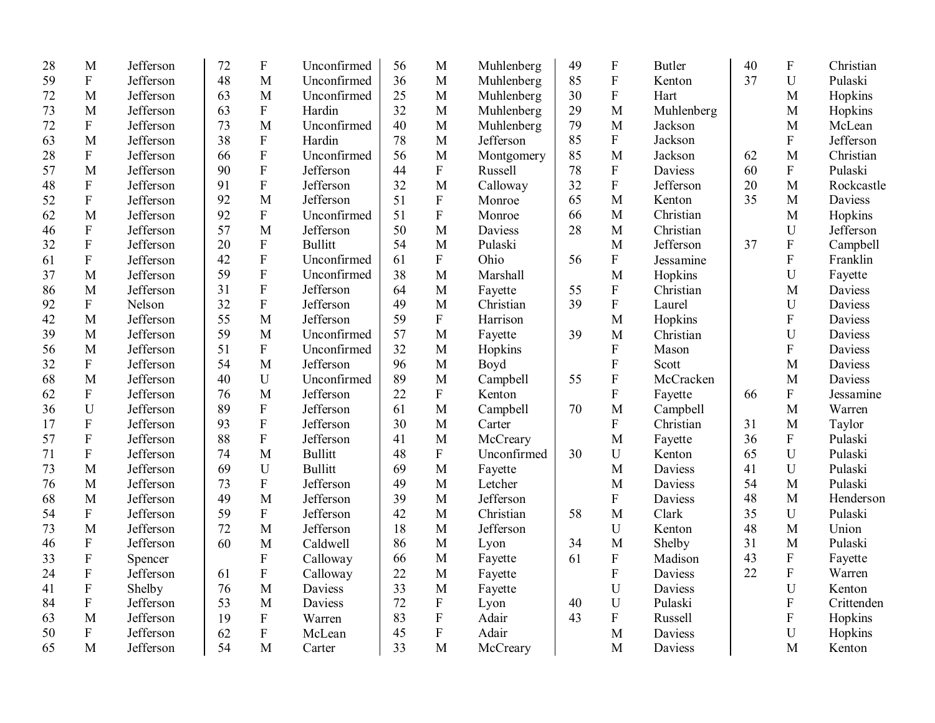| 28 | M                         | Jefferson | 72 | $\boldsymbol{\mathrm{F}}$ | Unconfirmed    | 56 | M                         | Muhlenberg  | 49 | ${\bf F}$   | <b>Butler</b> | 40 | ${\bf F}$                 | Christian      |
|----|---------------------------|-----------|----|---------------------------|----------------|----|---------------------------|-------------|----|-------------|---------------|----|---------------------------|----------------|
| 59 | $\mathbf{F}$              | Jefferson | 48 | M                         | Unconfirmed    | 36 | M                         | Muhlenberg  | 85 | ${\bf F}$   | Kenton        | 37 | U                         | Pulaski        |
| 72 | M                         | Jefferson | 63 | M                         | Unconfirmed    | 25 | M                         | Muhlenberg  | 30 | ${\bf F}$   | Hart          |    | M                         | Hopkins        |
| 73 | M                         | Jefferson | 63 | ${\bf F}$                 | Hardin         | 32 | M                         | Muhlenberg  | 29 | M           | Muhlenberg    |    | M                         | Hopkins        |
| 72 | $\mathbf{F}$              | Jefferson | 73 | M                         | Unconfirmed    | 40 | M                         | Muhlenberg  | 79 | M           | Jackson       |    | M                         | McLean         |
| 63 | M                         | Jefferson | 38 | $\boldsymbol{\mathrm{F}}$ | Hardin         | 78 | M                         | Jefferson   | 85 | $\mathbf F$ | Jackson       |    | ${\bf F}$                 | Jefferson      |
| 28 | ${\bf F}$                 | Jefferson | 66 | $\boldsymbol{\mathrm{F}}$ | Unconfirmed    | 56 | M                         | Montgomery  | 85 | M           | Jackson       | 62 | M                         | Christian      |
| 57 | M                         | Jefferson | 90 | ${\bf F}$                 | Jefferson      | 44 | $\boldsymbol{\mathrm{F}}$ | Russell     | 78 | ${\bf F}$   | Daviess       | 60 | ${\bf F}$                 | Pulaski        |
| 48 | $\boldsymbol{\mathrm{F}}$ | Jefferson | 91 | ${\bf F}$                 | Jefferson      | 32 | M                         | Calloway    | 32 | ${\bf F}$   | Jefferson     | 20 | M                         | Rockcastle     |
| 52 | $\boldsymbol{\mathrm{F}}$ | Jefferson | 92 | M                         | Jefferson      | 51 | ${\bf F}$                 | Monroe      | 65 | M           | Kenton        | 35 | M                         | <b>Daviess</b> |
| 62 | M                         | Jefferson | 92 | $\boldsymbol{\mathrm{F}}$ | Unconfirmed    | 51 | ${\bf F}$                 | Monroe      | 66 | M           | Christian     |    | M                         | Hopkins        |
| 46 | ${\bf F}$                 | Jefferson | 57 | M                         | Jefferson      | 50 | M                         | Daviess     | 28 | M           | Christian     |    | U                         | Jefferson      |
| 32 | F                         | Jefferson | 20 | ${\bf F}$                 | <b>Bullitt</b> | 54 | M                         | Pulaski     |    | M           | Jefferson     | 37 | ${\bf F}$                 | Campbell       |
| 61 | ${\bf F}$                 | Jefferson | 42 | ${\bf F}$                 | Unconfirmed    | 61 | ${\bf F}$                 | Ohio        | 56 | ${\bf F}$   | Jessamine     |    | ${\bf F}$                 | Franklin       |
| 37 | M                         | Jefferson | 59 | ${\bf F}$                 | Unconfirmed    | 38 | M                         | Marshall    |    | M           | Hopkins       |    | U                         | Fayette        |
| 86 | M                         | Jefferson | 31 | $\boldsymbol{\mathrm{F}}$ | Jefferson      | 64 | M                         | Fayette     | 55 | ${\bf F}$   | Christian     |    | M                         | Daviess        |
| 92 | $\mathbf{F}$              | Nelson    | 32 | ${\bf F}$                 | Jefferson      | 49 | M                         | Christian   | 39 | ${\bf F}$   | Laurel        |    | $\mathbf U$               | Daviess        |
| 42 | M                         | Jefferson | 55 | M                         | Jefferson      | 59 | $\boldsymbol{\mathrm{F}}$ | Harrison    |    | M           | Hopkins       |    | ${\bf F}$                 | Daviess        |
| 39 | M                         | Jefferson | 59 | M                         | Unconfirmed    | 57 | M                         | Fayette     | 39 | M           | Christian     |    | U                         | Daviess        |
| 56 | M                         | Jefferson | 51 | ${\bf F}$                 | Unconfirmed    | 32 | M                         | Hopkins     |    | $\mathbf F$ | Mason         |    | ${\bf F}$                 | Daviess        |
| 32 | $\boldsymbol{\mathrm{F}}$ | Jefferson | 54 | M                         | Jefferson      | 96 | M                         | Boyd        |    | $\mathbf F$ | Scott         |    | M                         | <b>Daviess</b> |
| 68 | M                         | Jefferson | 40 | $\mathbf U$               | Unconfirmed    | 89 | M                         | Campbell    | 55 | ${\bf F}$   | McCracken     |    | M                         | <b>Daviess</b> |
| 62 | ${\bf F}$                 | Jefferson | 76 | M                         | Jefferson      | 22 | F                         | Kenton      |    | ${\bf F}$   | Fayette       | 66 | ${\bf F}$                 | Jessamine      |
| 36 | U                         | Jefferson | 89 | ${\bf F}$                 | Jefferson      | 61 | M                         | Campbell    | 70 | M           | Campbell      |    | M                         | Warren         |
| 17 | $\mathbf F$               | Jefferson | 93 | ${\bf F}$                 | Jefferson      | 30 | M                         | Carter      |    | ${\bf F}$   | Christian     | 31 | M                         | Taylor         |
| 57 | ${\bf F}$                 | Jefferson | 88 | ${\bf F}$                 | Jefferson      | 41 | M                         | McCreary    |    | M           | Fayette       | 36 | ${\bf F}$                 | Pulaski        |
| 71 | F                         | Jefferson | 74 | M                         | <b>Bullitt</b> | 48 | F                         | Unconfirmed | 30 | U           | Kenton        | 65 | U                         | Pulaski        |
| 73 | M                         | Jefferson | 69 | U                         | <b>Bullitt</b> | 69 | M                         | Fayette     |    | M           | Daviess       | 41 | U                         | Pulaski        |
| 76 | M                         | Jefferson | 73 | ${\bf F}$                 | Jefferson      | 49 | M                         | Letcher     |    | M           | Daviess       | 54 | M                         | Pulaski        |
| 68 | M                         | Jefferson | 49 | M                         | Jefferson      | 39 | M                         | Jefferson   |    | ${\bf F}$   | Daviess       | 48 | M                         | Henderson      |
| 54 | ${\bf F}$                 | Jefferson | 59 | $\boldsymbol{\mathrm{F}}$ | Jefferson      | 42 | M                         | Christian   | 58 | M           | Clark         | 35 | $\mathbf U$               | Pulaski        |
| 73 | M                         | Jefferson | 72 | M                         | Jefferson      | 18 | M                         | Jefferson   |    | U           | Kenton        | 48 | M                         | Union          |
| 46 | $\mathbf F$               | Jefferson | 60 | M                         | Caldwell       | 86 | M                         | Lyon        | 34 | M           | Shelby        | 31 | M                         | Pulaski        |
| 33 | ${\bf F}$                 | Spencer   |    | ${\bf F}$                 | Calloway       | 66 | M                         | Fayette     | 61 | ${\bf F}$   | Madison       | 43 | $\boldsymbol{\mathrm{F}}$ | Fayette        |
| 24 | ${\bf F}$                 | Jefferson | 61 | ${\bf F}$                 | Calloway       | 22 | M                         | Fayette     |    | $\mathbf F$ | Daviess       | 22 | ${\bf F}$                 | Warren         |
| 41 | ${\bf F}$                 | Shelby    | 76 | M                         | Daviess        | 33 | M                         | Fayette     |    | U           | Daviess       |    | $\overline{U}$            | Kenton         |
| 84 | ${\bf F}$                 | Jefferson | 53 | M                         | Daviess        | 72 | ${\bf F}$                 | Lyon        | 40 | U           | Pulaski       |    | ${\bf F}$                 | Crittenden     |
| 63 | M                         | Jefferson | 19 | ${\bf F}$                 | Warren         | 83 | $\boldsymbol{\mathrm{F}}$ | Adair       | 43 | ${\bf F}$   | Russell       |    | ${\bf F}$                 | Hopkins        |
| 50 | $\mathbf F$               | Jefferson | 62 | ${\bf F}$                 | McLean         | 45 | F                         | Adair       |    | M           | Daviess       |    | U                         | Hopkins        |
| 65 | M                         | Jefferson | 54 | M                         | Carter         | 33 | M                         | McCreary    |    | M           | Daviess       |    | M                         | Kenton         |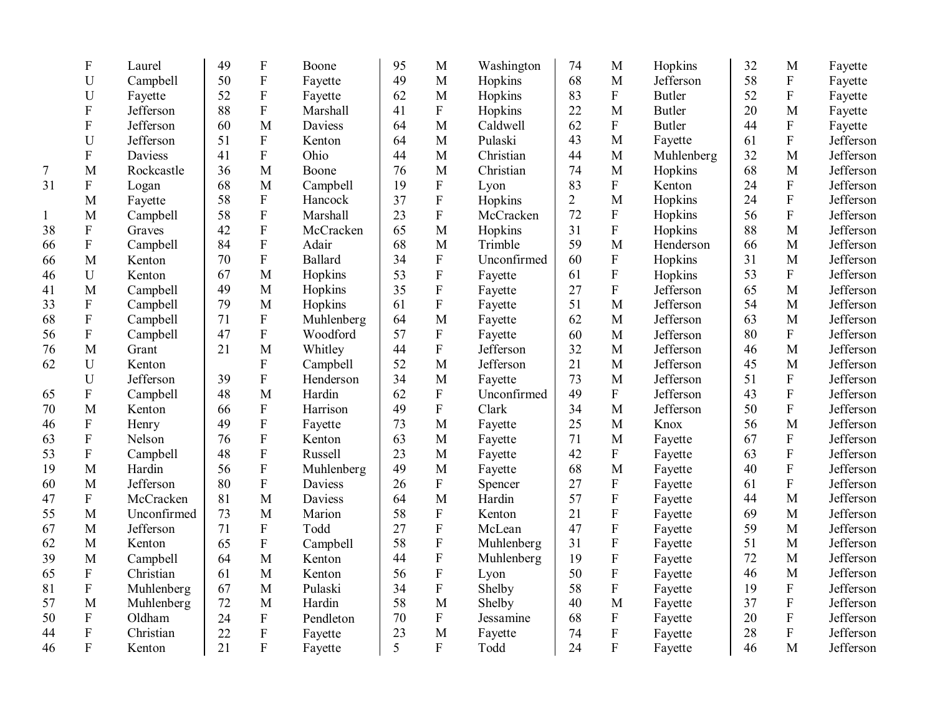| 50<br>${\bf F}$<br>68<br>Jefferson<br>49<br>M<br>U<br>Campbell<br>M<br>Hopkins<br>Fayette<br>${\bf F}$<br>52<br>83<br>${\bf F}$<br>Fayette<br>Fayette<br>62<br>M<br>Hopkins<br><b>Butler</b><br>U | 58<br>${\bf F}$<br>52<br>${\bf F}$ | Fayette   |
|---------------------------------------------------------------------------------------------------------------------------------------------------------------------------------------------------|------------------------------------|-----------|
|                                                                                                                                                                                                   |                                    |           |
|                                                                                                                                                                                                   |                                    | Fayette   |
| $\overline{F}$<br>88<br>${\bf F}$<br>22<br>M<br>F<br>Jefferson<br>Marshall<br>41<br>Hopkins<br><b>Butler</b>                                                                                      | 20<br>M                            | Fayette   |
| $\mathbf{M}$<br>62<br>$\mathbf F$<br>${\bf F}$<br>60<br><b>Daviess</b><br><b>Butler</b><br>Jefferson<br>64<br>M<br>Caldwell                                                                       | 44<br>${\bf F}$                    | Fayette   |
| ${\bf F}$<br>Jefferson<br>51<br>M<br>43<br>M<br>$\mathbf U$<br>64<br>Pulaski<br>Kenton<br>Fayette                                                                                                 | ${\bf F}$<br>61                    | Jefferson |
| $\overline{F}$<br>44<br>${\bf F}$<br>Daviess<br>41<br>Ohio<br>44<br>M<br>Christian<br>M<br>Muhlenberg                                                                                             | 32<br>M                            | Jefferson |
| 74<br>36<br>76<br>Christian<br>M<br>Hopkins<br>M<br>Rockcastle<br>M<br>M<br>7<br>Boone                                                                                                            | 68<br>M                            | Jefferson |
| 68<br>${\bf F}$<br>83<br>${\bf F}$<br>31<br>${\bf F}$<br>M<br>Campbell<br>19<br>Kenton<br>Logan<br>Lyon                                                                                           | 24<br>${\bf F}$                    | Jefferson |
| $\rm F$<br>58<br>37<br>$\boldsymbol{\mathrm{F}}$<br>Hopkins<br>$\overline{2}$<br>M<br>Hopkins<br>M<br>Fayette<br>Hancock                                                                          | 24<br>${\bf F}$                    | Jefferson |
| $\overline{F}$<br>$\rm F$<br>58<br>23<br>72<br>$\mathbf F$<br>Marshall<br>Hopkins<br>M<br>Campbell<br>McCracken<br>$\mathbf{1}$                                                                   | ${\bf F}$<br>56                    | Jefferson |
| $\overline{F}$<br>$\overline{F}$<br>31<br>${\bf F}$<br>42<br>65<br>Hopkins<br>Hopkins<br>38<br>Graves<br>McCracken<br>M                                                                           | 88<br>M                            | Jefferson |
| $\boldsymbol{\mathrm{F}}$<br>${\bf F}$<br>59<br>84<br>68<br>M<br>M<br>Campbell<br>Adair<br>Trimble<br>Henderson<br>66                                                                             | 66<br>$\mathbf{M}$                 | Jefferson |
| $\boldsymbol{\mathrm{F}}$<br>$\boldsymbol{\mathrm{F}}$<br>60<br>$\boldsymbol{\mathrm{F}}$<br>70<br><b>Ballard</b><br>34<br>Hopkins<br>M<br>Unconfirmed<br>66<br>Kenton                            | 31<br>$\mathbf M$                  | Jefferson |
| ${\bf F}$<br>$\overline{F}$<br>U<br>67<br>53<br>61<br>Kenton<br>M<br>Hopkins<br>Hopkins<br>46<br>Fayette                                                                                          | 53<br>${\bf F}$                    | Jefferson |
| ${\bf F}$<br>$\rm F$<br>35<br>27<br>Campbell<br>49<br>M<br>Hopkins<br>Jefferson<br>41<br>M<br>Fayette                                                                                             | 65<br>$\mathbf{M}$                 | Jefferson |
| ${\bf F}$<br>33<br>${\bf F}$<br>Campbell<br>79<br>M<br>Hopkins<br>61<br>51<br>M<br>Jefferson<br>Fayette                                                                                           | 54<br>$\mathbf{M}$                 | Jefferson |
| $\rm F$<br>${\bf F}$<br>71<br>64<br>62<br>M<br>Jefferson<br>68<br>Campbell<br>Muhlenberg<br>M<br>Fayette                                                                                          | 63<br>$\mathbf{M}$                 | Jefferson |
| ${\bf F}$<br>${\bf F}$<br>${\bf F}$<br>47<br>Woodford<br>57<br>60<br>$\mathbf{M}$<br>Jefferson<br>56<br>Campbell<br>Fayette                                                                       | 80<br>${\bf F}$                    | Jefferson |
| $\overline{F}$<br>M<br>Jefferson<br>32<br>76<br>M<br>Grant<br>21<br>Whitley<br>44<br>$\mathbf{M}$<br>Jefferson                                                                                    | 46<br>M                            | Jefferson |
| ${\bf F}$<br>52<br>M<br>Jefferson<br>21<br>Jefferson<br>$\mathbf U$<br>Campbell<br>M<br>62<br>Kenton                                                                                              | 45<br>$\mathbf{M}$                 | Jefferson |
| $\mathbf F$<br>Jefferson<br>34<br>$\mathbf{M}$<br>73<br>$\mathbf{M}$<br>Jefferson<br>U<br>39<br>Henderson<br>Fayette                                                                              | ${\bf F}$<br>51                    | Jefferson |
| ${\bf F}$<br>49<br>${\bf F}$<br>$\boldsymbol{\mathrm{F}}$<br>48<br>M<br>62<br>Unconfirmed<br>Jefferson<br>Campbell<br>Hardin<br>65                                                                | ${\bf F}$<br>43                    | Jefferson |
| $\rm F$<br>${\bf F}$<br>49<br>34<br>70<br>Harrison<br>Clark<br>M<br>Jefferson<br>M<br>Kenton<br>66                                                                                                | 50<br>${\bf F}$                    | Jefferson |
| $\boldsymbol{\mathrm{F}}$<br>${\bf F}$<br>49<br>73<br>25<br>46<br>Fayette<br>M<br>M<br>Knox<br>Henry<br>Fayette                                                                                   | 56<br>M                            | Jefferson |
| ${\bf F}$<br>${\bf F}$<br>76<br>63<br>71<br>Nelson<br>Kenton<br>M<br>Fayette<br>M<br>Fayette<br>63                                                                                                | $\mathbf F$<br>67                  | Jefferson |
| $\overline{F}$<br>${\bf F}$<br>48<br>53<br>Campbell<br>23<br>M<br>42<br>$\boldsymbol{F}$<br>Russell<br>Fayette<br>Fayette                                                                         | $\boldsymbol{\mathrm{F}}$<br>63    | Jefferson |
| $\overline{F}$<br>49<br>19<br>M<br>Hardin<br>56<br>Muhlenberg<br>M<br>Fayette<br>68<br>M<br>Fayette                                                                                               | 40<br>$\mathbf{F}$                 | Jefferson |
| $\overline{F}$<br>$\rm F$<br>80<br>27<br>${\bf F}$<br>M<br>Jefferson<br>Daviess<br>26<br>60<br>Spencer<br>Fayette                                                                                 | ${\bf F}$<br>61                    | Jefferson |
| $\boldsymbol{F}$<br>McCracken<br>81<br>64<br>M<br>Hardin<br>57<br>${\bf F}$<br>47<br>M<br>Daviess<br>Fayette                                                                                      | 44<br>M                            | Jefferson |
| $\mathbf F$<br>21<br>${\bf F}$<br>Unconfirmed<br>73<br>58<br>55<br>M<br>M<br>Marion<br>Kenton<br>Fayette                                                                                          | 69<br>$\mathbf{M}$                 | Jefferson |
| ${\bf F}$<br>${\bf F}$<br>47<br>${\bf F}$<br>Jefferson<br>71<br>27<br>67<br>M<br>Todd<br>McLean<br>Fayette                                                                                        | 59<br>$\mathbf{M}$                 | Jefferson |
| ${\bf F}$<br>58<br>${\bf F}$<br>${\bf F}$<br>65<br>Muhlenberg<br>31<br>62<br>M<br>Kenton<br>Campbell<br>Fayette                                                                                   | 51<br>$\mathbf{M}$                 | Jefferson |
| $\rm F$<br>44<br>${\bf F}$<br>39<br>19<br>M<br>Campbell<br>64<br>M<br>Kenton<br>Muhlenberg<br>Fayette                                                                                             | 72<br>$\mathbf{M}$                 | Jefferson |
| $\boldsymbol{\mathrm{F}}$<br>$\overline{F}$<br>${\bf F}$<br>50<br>56<br>Christian<br>61<br>M<br>Fayette<br>65<br>Kenton<br>Lyon                                                                   | 46<br>$\mathbf{M}$                 | Jefferson |
| $\rm F$<br>$\overline{F}$<br>${\bf F}$<br>58<br>81<br>67<br>M<br>34<br>Muhlenberg<br>Pulaski<br>Shelby<br>Fayette                                                                                 | 19<br>${\bf F}$                    | Jefferson |
| M<br>58<br>40<br>M<br>72<br>M<br>Hardin<br>Shelby<br>57<br>M<br>Muhlenberg<br>Fayette                                                                                                             | ${\bf F}$<br>37                    | Jefferson |
| ${\bf F}$<br>${\bf F}$<br>${\bf F}$<br>50<br>Oldham<br>24<br>Pendleton<br>70<br>Jessamine<br>68<br>${\bf F}$<br>Fayette                                                                           | ${\bf F}$<br>20                    | Jefferson |
| $\mathbf F$<br>$\rm F$<br>${\bf F}$<br>74<br>44<br>Christian<br>22<br>23<br>M<br>Fayette<br>Fayette<br>Fayette                                                                                    | $\boldsymbol{\mathrm{F}}$<br>28    | Jefferson |
| $\overline{F}$<br>F<br>$\mathbf{F}$<br>21<br>5<br>$\mathbf{F}$<br>24<br>46<br>Kenton<br>Todd<br>Fayette<br>Fayette                                                                                | 46<br>M                            | Jefferson |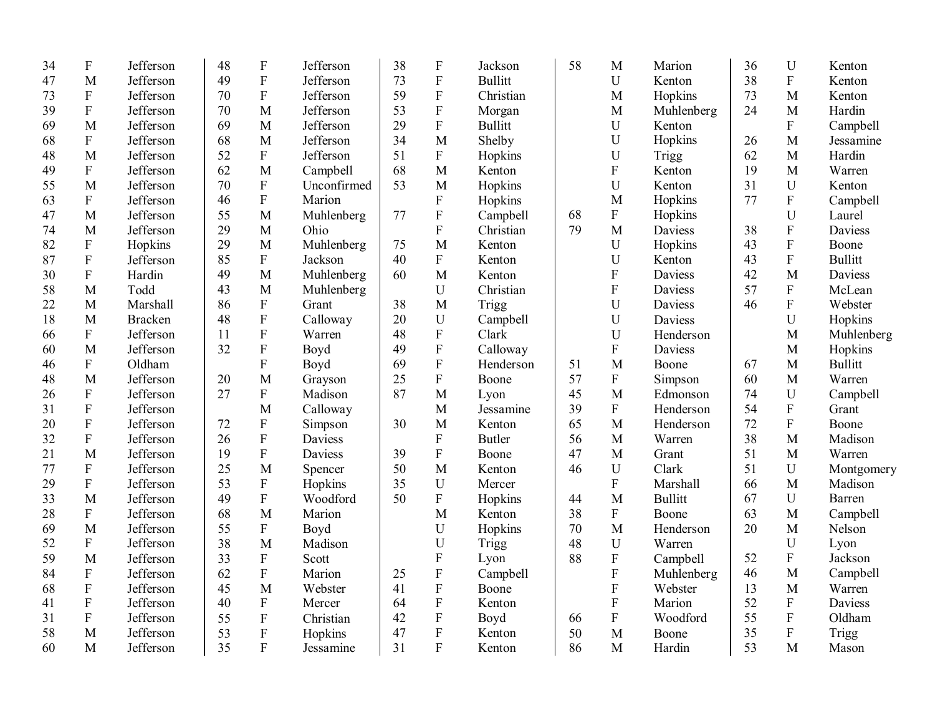| 34 | ${\bf F}$                 | Jefferson      | 48 | ${\bf F}$                 | Jefferson   | 38 | F                         | Jackson        | 58 | M                         | Marion         | 36 | $\mathbf U$    | Kenton         |
|----|---------------------------|----------------|----|---------------------------|-------------|----|---------------------------|----------------|----|---------------------------|----------------|----|----------------|----------------|
| 47 | M                         | Jefferson      | 49 | ${\bf F}$                 | Jefferson   | 73 | ${\bf F}$                 | <b>Bullitt</b> |    | U                         | Kenton         | 38 | ${\bf F}$      | Kenton         |
| 73 | ${\bf F}$                 | Jefferson      | 70 | $\boldsymbol{\mathrm{F}}$ | Jefferson   | 59 | $\boldsymbol{\mathrm{F}}$ | Christian      |    | M                         | Hopkins        | 73 | M              | Kenton         |
| 39 | $\overline{F}$            | Jefferson      | 70 | M                         | Jefferson   | 53 | ${\bf F}$                 | Morgan         |    | M                         | Muhlenberg     | 24 | M              | Hardin         |
| 69 | M                         | Jefferson      | 69 | M                         | Jefferson   | 29 | $\mathbf F$               | <b>Bullitt</b> |    | U                         | Kenton         |    | ${\bf F}$      | Campbell       |
| 68 | $\boldsymbol{\mathrm{F}}$ | Jefferson      | 68 | M                         | Jefferson   | 34 | M                         | Shelby         |    | U                         | Hopkins        | 26 | M              | Jessamine      |
| 48 | M                         | Jefferson      | 52 | ${\bf F}$                 | Jefferson   | 51 | $\boldsymbol{\mathrm{F}}$ | Hopkins        |    | U                         | Trigg          | 62 | M              | Hardin         |
| 49 | ${\bf F}$                 | Jefferson      | 62 | M                         | Campbell    | 68 | M                         | Kenton         |    | ${\bf F}$                 | Kenton         | 19 | M              | Warren         |
| 55 | M                         | Jefferson      | 70 | ${\bf F}$                 | Unconfirmed | 53 | M                         | Hopkins        |    | $\mathbf U$               | Kenton         | 31 | ${\bf U}$      | Kenton         |
| 63 | $\mathbf{F}$              | Jefferson      | 46 | ${\bf F}$                 | Marion      |    | F                         | Hopkins        |    | M                         | Hopkins        | 77 | ${\bf F}$      | Campbell       |
| 47 | M                         | Jefferson      | 55 | M                         | Muhlenberg  | 77 | ${\bf F}$                 | Campbell       | 68 | $\boldsymbol{\mathrm{F}}$ | Hopkins        |    | U              | Laurel         |
| 74 | M                         | Jefferson      | 29 | M                         | Ohio        |    | $\mathbf F$               | Christian      | 79 | M                         | Daviess        | 38 | $\overline{F}$ | Daviess        |
| 82 | $\boldsymbol{\mathrm{F}}$ | Hopkins        | 29 | M                         | Muhlenberg  | 75 | M                         | Kenton         |    | U                         | Hopkins        | 43 | $\overline{F}$ | Boone          |
| 87 | $\boldsymbol{\mathrm{F}}$ | Jefferson      | 85 | $\mathbf F$               | Jackson     | 40 | $\boldsymbol{F}$          | Kenton         |    | U                         | Kenton         | 43 | ${\bf F}$      | <b>Bullitt</b> |
| 30 | $\boldsymbol{\mathrm{F}}$ | Hardin         | 49 | M                         | Muhlenberg  | 60 | M                         | Kenton         |    | $\boldsymbol{\mathrm{F}}$ | <b>Daviess</b> | 42 | M              | Daviess        |
| 58 | M                         | Todd           | 43 | M                         | Muhlenberg  |    | U                         | Christian      |    | ${\bf F}$                 | Daviess        | 57 | ${\bf F}$      | McLean         |
| 22 | M                         | Marshall       | 86 | ${\bf F}$                 | Grant       | 38 | M                         | Trigg          |    | U                         | Daviess        | 46 | ${\bf F}$      | Webster        |
| 18 | M                         | <b>Bracken</b> | 48 | ${\bf F}$                 | Calloway    | 20 | U                         | Campbell       |    | U                         | <b>Daviess</b> |    | U              | Hopkins        |
| 66 | ${\bf F}$                 | Jefferson      | 11 | ${\bf F}$                 | Warren      | 48 | ${\bf F}$                 | Clark          |    | $\mathbf U$               | Henderson      |    | M              | Muhlenberg     |
| 60 | M                         | Jefferson      | 32 | $\boldsymbol{\mathrm{F}}$ | Boyd        | 49 | ${\bf F}$                 | Calloway       |    | ${\bf F}$                 | Daviess        |    | M              | Hopkins        |
| 46 | $\boldsymbol{\mathrm{F}}$ | Oldham         |    | $\overline{F}$            | Boyd        | 69 | $\boldsymbol{\mathrm{F}}$ | Henderson      | 51 | M                         | Boone          | 67 | M              | <b>Bullitt</b> |
| 48 | M                         | Jefferson      | 20 | M                         | Grayson     | 25 | ${\bf F}$                 | Boone          | 57 | ${\bf F}$                 | Simpson        | 60 | M              | Warren         |
| 26 | $\boldsymbol{\mathrm{F}}$ | Jefferson      | 27 | ${\bf F}$                 | Madison     | 87 | M                         | Lyon           | 45 | M                         | Edmonson       | 74 | ${\bf U}$      | Campbell       |
| 31 | ${\bf F}$                 | Jefferson      |    | M                         | Calloway    |    | M                         | Jessamine      | 39 | ${\bf F}$                 | Henderson      | 54 | ${\bf F}$      | Grant          |
| 20 | ${\bf F}$                 | Jefferson      | 72 | ${\bf F}$                 | Simpson     | 30 | M                         | Kenton         | 65 | M                         | Henderson      | 72 | ${\bf F}$      | Boone          |
| 32 | ${\bf F}$                 | Jefferson      | 26 | ${\bf F}$                 | Daviess     |    | $\boldsymbol{\mathrm{F}}$ | <b>Butler</b>  | 56 | M                         | Warren         | 38 | M              | Madison        |
| 21 | M                         | Jefferson      | 19 | ${\bf F}$                 | Daviess     | 39 | F                         | Boone          | 47 | M                         | Grant          | 51 | M              | Warren         |
| 77 | $\boldsymbol{\mathrm{F}}$ | Jefferson      | 25 | M                         | Spencer     | 50 | M                         | Kenton         | 46 | $\mathbf U$               | Clark          | 51 | U              | Montgomery     |
| 29 | ${\bf F}$                 | Jefferson      | 53 | ${\bf F}$                 | Hopkins     | 35 | $\mathbf U$               | Mercer         |    | ${\bf F}$                 | Marshall       | 66 | M              | Madison        |
| 33 | M                         | Jefferson      | 49 | $\rm F$                   | Woodford    | 50 | $\boldsymbol{\mathrm{F}}$ | Hopkins        | 44 | M                         | <b>Bullitt</b> | 67 | ${\bf U}$      | Barren         |
| 28 | ${\bf F}$                 | Jefferson      | 68 | M                         | Marion      |    | M                         | Kenton         | 38 | ${\bf F}$                 | Boone          | 63 | $\mathbf M$    | Campbell       |
| 69 | M                         | Jefferson      | 55 | ${\bf F}$                 | Boyd        |    | U                         | Hopkins        | 70 | M                         | Henderson      | 20 | M              | Nelson         |
| 52 | ${\bf F}$                 | Jefferson      | 38 | M                         | Madison     |    | U                         | Trigg          | 48 | U                         | Warren         |    | $\mathbf U$    | Lyon           |
| 59 | M                         | Jefferson      | 33 | $\boldsymbol{\mathrm{F}}$ | Scott       |    | ${\bf F}$                 | Lyon           | 88 | ${\bf F}$                 | Campbell       | 52 | ${\bf F}$      | Jackson        |
| 84 | ${\bf F}$                 | Jefferson      | 62 | ${\bf F}$                 | Marion      | 25 | ${\bf F}$                 | Campbell       |    | ${\bf F}$                 | Muhlenberg     | 46 | M              | Campbell       |
| 68 | ${\bf F}$                 | Jefferson      | 45 | M                         | Webster     | 41 | ${\bf F}$                 | Boone          |    | ${\bf F}$                 | Webster        | 13 | M              | Warren         |
| 41 | $\boldsymbol{\mathrm{F}}$ | Jefferson      | 40 | ${\bf F}$                 | Mercer      | 64 | ${\bf F}$                 | Kenton         |    | ${\bf F}$                 | Marion         | 52 | ${\bf F}$      | Daviess        |
| 31 | $\boldsymbol{\mathrm{F}}$ | Jefferson      | 55 | ${\bf F}$                 | Christian   | 42 | $\mathbf F$               | Boyd           | 66 | ${\bf F}$                 | Woodford       | 55 | ${\bf F}$      | Oldham         |
| 58 | M                         | Jefferson      | 53 | ${\bf F}$                 | Hopkins     | 47 | $\boldsymbol{\mathrm{F}}$ | Kenton         | 50 | M                         | Boone          | 35 | ${\bf F}$      | <b>Trigg</b>   |
| 60 | M                         | Jefferson      | 35 | $\mathbf{F}$              | Jessamine   | 31 | $\mathbf{F}$              | Kenton         | 86 | M                         | Hardin         | 53 | M              | Mason          |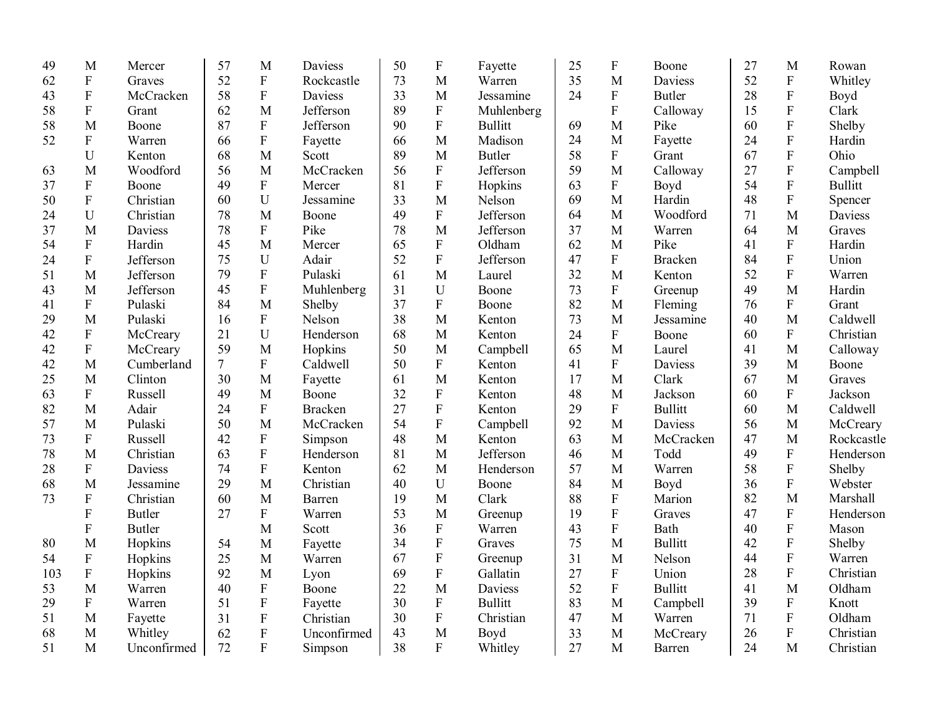| 49  | M                         | Mercer        | 57             | M              | Daviess        | 50 | ${\bf F}$      | Fayette        | 25 | $\boldsymbol{\mathrm{F}}$ | Boone          | 27 | M                         | Rowan          |
|-----|---------------------------|---------------|----------------|----------------|----------------|----|----------------|----------------|----|---------------------------|----------------|----|---------------------------|----------------|
| 62  | ${\bf F}$                 | Graves        | 52             | ${\bf F}$      | Rockcastle     | 73 | M              | Warren         | 35 | M                         | Daviess        | 52 | $\mathbf F$               | Whitley        |
| 43  | ${\bf F}$                 | McCracken     | 58             | ${\bf F}$      | Daviess        | 33 | M              | Jessamine      | 24 | $\boldsymbol{\mathrm{F}}$ | <b>Butler</b>  | 28 | ${\bf F}$                 | Boyd           |
| 58  | $\mathbf{F}$              | Grant         | 62             | M              | Jefferson      | 89 | $\mathbf{F}$   | Muhlenberg     |    | F                         | Calloway       | 15 | $\overline{F}$            | Clark          |
| 58  | M                         | Boone         | 87             | ${\bf F}$      | Jefferson      | 90 | ${\bf F}$      | <b>Bullitt</b> | 69 | M                         | Pike           | 60 | ${\bf F}$                 | Shelby         |
| 52  | ${\bf F}$                 | Warren        | 66             | ${\bf F}$      | Fayette        | 66 | M              | Madison        | 24 | M                         | Fayette        | 24 | $\overline{F}$            | Hardin         |
|     | U                         | Kenton        | 68             | M              | Scott          | 89 | M              | <b>Butler</b>  | 58 | $\mathbf F$               | Grant          | 67 | $\rm F$                   | Ohio           |
| 63  | M                         | Woodford      | 56             | M              | McCracken      | 56 | ${\bf F}$      | Jefferson      | 59 | M                         | Calloway       | 27 | $\mathbf F$               | Campbell       |
| 37  | ${\bf F}$                 | Boone         | 49             | $\mathbf{F}$   | Mercer         | 81 | ${\bf F}$      | Hopkins        | 63 | $\boldsymbol{\mathrm{F}}$ | Boyd           | 54 | ${\bf F}$                 | <b>Bullitt</b> |
| 50  | $\boldsymbol{\mathrm{F}}$ | Christian     | 60             | U              | Jessamine      | 33 | M              | Nelson         | 69 | M                         | Hardin         | 48 | ${\bf F}$                 | Spencer        |
| 24  | U                         | Christian     | 78             | M              | Boone          | 49 | $\mathbf{F}$   | Jefferson      | 64 | M                         | Woodford       | 71 | M                         | Daviess        |
| 37  | M                         | Daviess       | 78             | ${\bf F}$      | Pike           | 78 | M              | Jefferson      | 37 | M                         | Warren         | 64 | M                         | Graves         |
| 54  | ${\bf F}$                 | Hardin        | 45             | M              | Mercer         | 65 | ${\bf F}$      | Oldham         | 62 | M                         | Pike           | 41 | ${\bf F}$                 | Hardin         |
| 24  | ${\bf F}$                 | Jefferson     | 75             | U              | Adair          | 52 | $\mathbf F$    | Jefferson      | 47 | $\mathbf F$               | <b>Bracken</b> | 84 | $\boldsymbol{\mathrm{F}}$ | Union          |
| 51  | M                         | Jefferson     | 79             | $\mathbf{F}$   | Pulaski        | 61 | M              | Laurel         | 32 | M                         | Kenton         | 52 | $\boldsymbol{\mathrm{F}}$ | Warren         |
| 43  | M                         | Jefferson     | 45             | ${\bf F}$      | Muhlenberg     | 31 | $\mathbf U$    | Boone          | 73 | $\mathbf F$               | Greenup        | 49 | M                         | Hardin         |
| 41  | ${\bf F}$                 | Pulaski       | 84             | M              | Shelby         | 37 | $\mathbf{F}$   | Boone          | 82 | M                         | Fleming        | 76 | ${\bf F}$                 | Grant          |
| 29  | M                         | Pulaski       | 16             | ${\bf F}$      | Nelson         | 38 | M              | Kenton         | 73 | M                         | Jessamine      | 40 | M                         | Caldwell       |
| 42  | ${\bf F}$                 | McCreary      | 21             | U              | Henderson      | 68 | M              | Kenton         | 24 | $\mathbf F$               | Boone          | 60 | ${\bf F}$                 | Christian      |
| 42  | ${\bf F}$                 | McCreary      | 59             | M              | Hopkins        | 50 | M              | Campbell       | 65 | M                         | Laurel         | 41 | M                         | Calloway       |
| 42  | M                         | Cumberland    | $\overline{7}$ | $\mathbf{F}$   | Caldwell       | 50 | ${\bf F}$      | Kenton         | 41 | $\mathbf{F}$              | Daviess        | 39 | $\mathbf M$               | Boone          |
| 25  | M                         | Clinton       | 30             | M              | Fayette        | 61 | M              | Kenton         | 17 | M                         | Clark          | 67 | M                         | Graves         |
| 63  | $\boldsymbol{\mathrm{F}}$ | Russell       | 49             | M              | Boone          | 32 | $\mathbf F$    | Kenton         | 48 | M                         | Jackson        | 60 | ${\bf F}$                 | Jackson        |
| 82  | M                         | Adair         | 24             | $\mathbf F$    | <b>Bracken</b> | 27 | $\overline{F}$ | Kenton         | 29 | ${\bf F}$                 | <b>Bullitt</b> | 60 | M                         | Caldwell       |
| 57  | M                         | Pulaski       | 50             | M              | McCracken      | 54 | $\mathbf F$    | Campbell       | 92 | M                         | Daviess        | 56 | $\mathbf M$               | McCreary       |
| 73  | ${\bf F}$                 | Russell       | 42             | ${\bf F}$      | Simpson        | 48 | M              | Kenton         | 63 | M                         | McCracken      | 47 | M                         | Rockcastle     |
| 78  | M                         | Christian     | 63             | $\mathbf{F}$   | Henderson      | 81 | M              | Jefferson      | 46 | M                         | Todd           | 49 | $\boldsymbol{\mathrm{F}}$ | Henderson      |
| 28  | $\boldsymbol{\mathrm{F}}$ | Daviess       | 74             | ${\bf F}$      | Kenton         | 62 | M              | Henderson      | 57 | M                         | Warren         | 58 | $\boldsymbol{\mathrm{F}}$ | Shelby         |
| 68  | M                         | Jessamine     | 29             | M              | Christian      | 40 | $\mathbf U$    | Boone          | 84 | M                         | Boyd           | 36 | $\rm F$                   | Webster        |
| 73  | ${\bf F}$                 | Christian     | 60             | M              | Barren         | 19 | M              | Clark          | 88 | $\mathbf F$               | Marion         | 82 | M                         | Marshall       |
|     | ${\bf F}$                 | <b>Butler</b> | 27             | $\mathbf F$    | Warren         | 53 | M              | Greenup        | 19 | ${\bf F}$                 | Graves         | 47 | $\boldsymbol{\mathrm{F}}$ | Henderson      |
|     | ${\bf F}$                 | <b>Butler</b> |                | M              | Scott          | 36 | $\mathbf F$    | Warren         | 43 | $\mathbf F$               | Bath           | 40 | ${\bf F}$                 | Mason          |
| 80  | M                         | Hopkins       | 54             | M              | Fayette        | 34 | $\mathbf{F}$   | Graves         | 75 | M                         | <b>Bullitt</b> | 42 | $\boldsymbol{\mathrm{F}}$ | Shelby         |
| 54  | ${\bf F}$                 | Hopkins       | 25             | M              | Warren         | 67 | $\mathbf{F}$   | Greenup        | 31 | M                         | Nelson         | 44 | F                         | Warren         |
| 103 | ${\bf F}$                 | Hopkins       | 92             | M              | Lyon           | 69 | $\overline{F}$ | Gallatin       | 27 | F                         | Union          | 28 | ${\bf F}$                 | Christian      |
| 53  | M                         | Warren        | 40             | ${\bf F}$      | Boone          | 22 | $\mathbf{M}$   | Daviess        | 52 | $\mathbf F$               | <b>Bullitt</b> | 41 | M                         | Oldham         |
| 29  | $\mathbf F$               | Warren        | 51             | $\rm F$        | Fayette        | 30 | ${\bf F}$      | <b>Bullitt</b> | 83 | M                         | Campbell       | 39 | ${\bf F}$                 | Knott          |
| 51  | $\mathbf M$               | Fayette       | 31             | ${\bf F}$      | Christian      | 30 | ${\bf F}$      | Christian      | 47 | M                         | Warren         | 71 | $\boldsymbol{\mathrm{F}}$ | Oldham         |
| 68  | M                         | Whitley       | 62             | ${\bf F}$      | Unconfirmed    | 43 | M              | Boyd           | 33 | M                         | McCreary       | 26 | ${\bf F}$                 | Christian      |
| 51  | M                         | Unconfirmed   | 72             | $\overline{F}$ | Simpson        | 38 | $\mathbf{F}$   | Whitley        | 27 | M                         | Barren         | 24 | $\mathbf{M}$              | Christian      |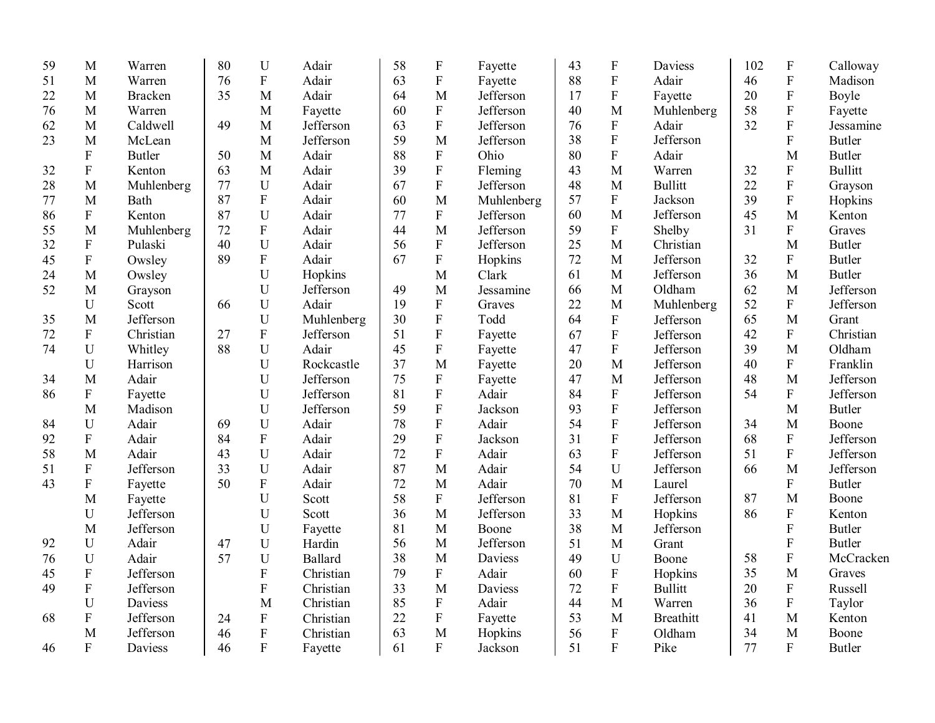| 59 | M                         | Warren         | 80 | U                         | Adair      | 58 | ${\bf F}$                 | Fayette    | 43 | $\boldsymbol{\mathrm{F}}$ | Daviess          | 102 | $\mathbf F$               | Calloway       |
|----|---------------------------|----------------|----|---------------------------|------------|----|---------------------------|------------|----|---------------------------|------------------|-----|---------------------------|----------------|
| 51 | M                         | Warren         | 76 | $\boldsymbol{\mathrm{F}}$ | Adair      | 63 | ${\bf F}$                 | Fayette    | 88 | ${\bf F}$                 | Adair            | 46  | ${\bf F}$                 | Madison        |
| 22 | M                         | <b>Bracken</b> | 35 | M                         | Adair      | 64 | M                         | Jefferson  | 17 | ${\bf F}$                 | Fayette          | 20  | ${\bf F}$                 | Boyle          |
| 76 | M                         | Warren         |    | M                         | Fayette    | 60 | $\mathbf F$               | Jefferson  | 40 | M                         | Muhlenberg       | 58  | ${\bf F}$                 | Fayette        |
| 62 | M                         | Caldwell       | 49 | $\mathbf{M}$              | Jefferson  | 63 | $\overline{F}$            | Jefferson  | 76 | ${\bf F}$                 | Adair            | 32  | ${\bf F}$                 | Jessamine      |
| 23 | M                         | McLean         |    | $\mathbf{M}$              | Jefferson  | 59 | M                         | Jefferson  | 38 | $\overline{F}$            | Jefferson        |     | $\overline{F}$            | <b>Butler</b>  |
|    | ${\bf F}$                 | <b>Butler</b>  | 50 | $\mathbf M$               | Adair      | 88 | $\boldsymbol{\mathrm{F}}$ | Ohio       | 80 | $\rm F$                   | Adair            |     | M                         | <b>Butler</b>  |
| 32 | ${\bf F}$                 | Kenton         | 63 | M                         | Adair      | 39 | ${\bf F}$                 | Fleming    | 43 | M                         | Warren           | 32  | ${\bf F}$                 | <b>Bullitt</b> |
| 28 | M                         | Muhlenberg     | 77 | U                         | Adair      | 67 | $\mathbf F$               | Jefferson  | 48 | M                         | <b>Bullitt</b>   | 22  | $\rm F$                   | Grayson        |
| 77 | M                         | Bath           | 87 | $\mathbf F$               | Adair      | 60 | M                         | Muhlenberg | 57 | ${\bf F}$                 | Jackson          | 39  | ${\bf F}$                 | Hopkins        |
| 86 | ${\bf F}$                 | Kenton         | 87 | U                         | Adair      | 77 | $\boldsymbol{F}$          | Jefferson  | 60 | M                         | Jefferson        | 45  | M                         | Kenton         |
| 55 | M                         | Muhlenberg     | 72 | $\boldsymbol{\mathrm{F}}$ | Adair      | 44 | M                         | Jefferson  | 59 | ${\bf F}$                 | Shelby           | 31  | $\mathbf{F}$              | Graves         |
| 32 | $\boldsymbol{\mathrm{F}}$ | Pulaski        | 40 | $\mathbf U$               | Adair      | 56 | F                         | Jefferson  | 25 | M                         | Christian        |     | M                         | <b>Butler</b>  |
| 45 | ${\bf F}$                 | Owsley         | 89 | $\boldsymbol{\mathrm{F}}$ | Adair      | 67 | ${\bf F}$                 | Hopkins    | 72 | M                         | Jefferson        | 32  | $\mathbf F$               | <b>Butler</b>  |
| 24 | M                         | Owsley         |    | U                         | Hopkins    |    | M                         | Clark      | 61 | M                         | Jefferson        | 36  | $\mathbf M$               | <b>Butler</b>  |
| 52 | M                         | Grayson        |    | U                         | Jefferson  | 49 | M                         | Jessamine  | 66 | M                         | Oldham           | 62  | $\mathbf{M}$              | Jefferson      |
|    | U                         | Scott          | 66 | U                         | Adair      | 19 | $\mathbf{F}$              | Graves     | 22 | M                         | Muhlenberg       | 52  | $\mathbf{F}$              | Jefferson      |
| 35 | M                         | Jefferson      |    | U                         | Muhlenberg | 30 | ${\bf F}$                 | Todd       | 64 | ${\bf F}$                 | Jefferson        | 65  | M                         | Grant          |
| 72 | ${\bf F}$                 | Christian      | 27 | ${\bf F}$                 | Jefferson  | 51 | ${\bf F}$                 | Fayette    | 67 | $\mathbf F$               | Jefferson        | 42  | $\mathbf{F}$              | Christian      |
| 74 | U                         | Whitley        | 88 | U                         | Adair      | 45 | ${\bf F}$                 | Fayette    | 47 | $\overline{F}$            | Jefferson        | 39  | M                         | Oldham         |
|    | U                         | Harrison       |    | $\mathbf U$               | Rockcastle | 37 | M                         | Fayette    | 20 | $\mathbf{M}$              | Jefferson        | 40  | $\mathbf F$               | Franklin       |
| 34 | M                         | Adair          |    | U                         | Jefferson  | 75 | ${\bf F}$                 | Fayette    | 47 | M                         | Jefferson        | 48  | M                         | Jefferson      |
| 86 | ${\bf F}$                 | Fayette        |    | $\mathbf U$               | Jefferson  | 81 | ${\bf F}$                 | Adair      | 84 | ${\bf F}$                 | Jefferson        | 54  | ${\bf F}$                 | Jefferson      |
|    | M                         | Madison        |    | $\mathbf U$               | Jefferson  | 59 | ${\bf F}$                 | Jackson    | 93 | ${\bf F}$                 | Jefferson        |     | $\mathbf M$               | Butler         |
| 84 | U                         | Adair          | 69 | U                         | Adair      | 78 | $\mathbf{F}$              | Adair      | 54 | ${\bf F}$                 | Jefferson        | 34  | M                         | Boone          |
| 92 | ${\bf F}$                 | Adair          | 84 | ${\bf F}$                 | Adair      | 29 | $\mathbf F$               | Jackson    | 31 | ${\bf F}$                 | Jefferson        | 68  | $\mathbf F$               | Jefferson      |
| 58 | M                         | Adair          | 43 | U                         | Adair      | 72 | ${\bf F}$                 | Adair      | 63 | ${\bf F}$                 | Jefferson        | 51  | $\mathbf F$               | Jefferson      |
| 51 | ${\bf F}$                 | Jefferson      | 33 | $\mathbf U$               | Adair      | 87 | M                         | Adair      | 54 | U                         | Jefferson        | 66  | M                         | Jefferson      |
| 43 | ${\bf F}$                 | Fayette        | 50 | ${\bf F}$                 | Adair      | 72 | M                         | Adair      | 70 | M                         | Laurel           |     | $\boldsymbol{\mathrm{F}}$ | <b>Butler</b>  |
|    | M                         | Fayette        |    | U                         | Scott      | 58 | $\boldsymbol{\mathrm{F}}$ | Jefferson  | 81 | ${\bf F}$                 | Jefferson        | 87  | M                         | Boone          |
|    | U                         | Jefferson      |    | $\mathbf U$               | Scott      | 36 | M                         | Jefferson  | 33 | $\mathbf{M}$              | Hopkins          | 86  | ${\bf F}$                 | Kenton         |
|    | M                         | Jefferson      |    | U                         | Fayette    | 81 | M                         | Boone      | 38 | M                         | Jefferson        |     | F                         | <b>Butler</b>  |
| 92 | U                         | Adair          | 47 | U                         | Hardin     | 56 | M                         | Jefferson  | 51 | M                         | Grant            |     | ${\bf F}$                 | Butler         |
| 76 | U                         | Adair          | 57 | U                         | Ballard    | 38 | M                         | Daviess    | 49 | U                         | Boone            | 58  | ${\bf F}$                 | McCracken      |
| 45 | ${\bf F}$                 | Jefferson      |    | $\overline{F}$            | Christian  | 79 | $\mathbf F$               | Adair      | 60 | ${\bf F}$                 | Hopkins          | 35  | M                         | Graves         |
| 49 | ${\bf F}$                 | Jefferson      |    | $\overline{F}$            | Christian  | 33 | M                         | Daviess    | 72 | ${\bf F}$                 | <b>Bullitt</b>   | 20  | $\boldsymbol{\mathrm{F}}$ | Russell        |
|    | U                         | Daviess        |    | M                         | Christian  | 85 | $\boldsymbol{\mathrm{F}}$ | Adair      | 44 | $\mathbf{M}$              | Warren           | 36  | $\mathbf F$               | Taylor         |
| 68 | ${\bf F}$                 | Jefferson      | 24 | $\mathbf F$               | Christian  | 22 | ${\bf F}$                 | Fayette    | 53 | M                         | <b>Breathitt</b> | 41  | $\mathbf M$               | Kenton         |
|    | M                         | Jefferson      | 46 | ${\bf F}$                 | Christian  | 63 | M                         | Hopkins    | 56 | ${\bf F}$                 | Oldham           | 34  | M                         | Boone          |
| 46 | $\mathbf{F}$              | Daviess        | 46 | $\mathbf{F}$              | Fayette    | 61 | $\mathbf{F}$              | Jackson    | 51 | $\mathbf{F}$              | Pike             | 77  | $\overline{F}$            | Butler         |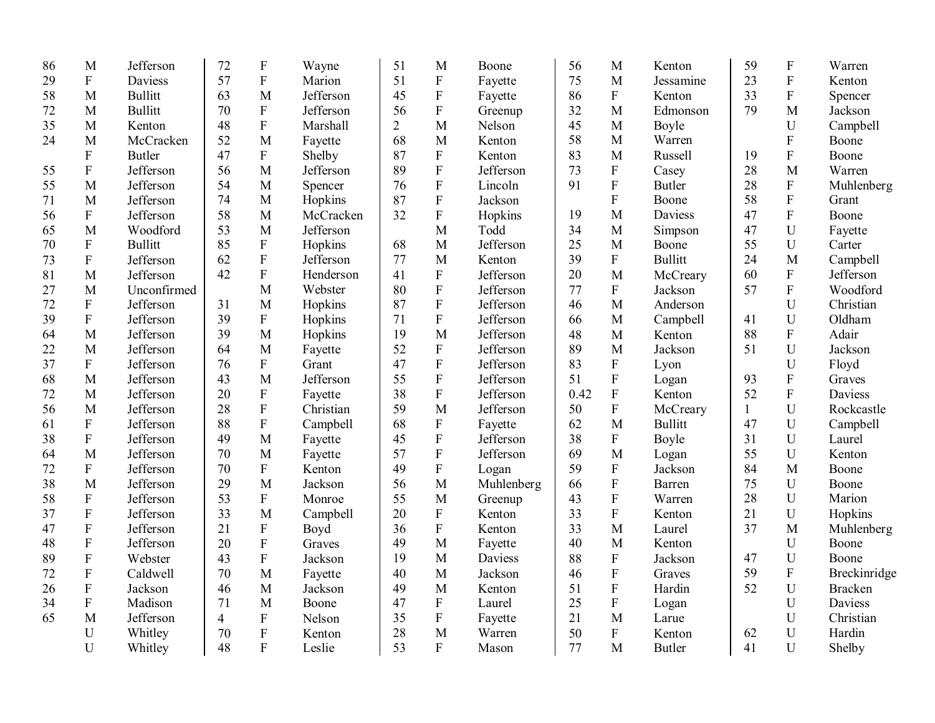| 86 | M                         | Jefferson      | 72             | $\boldsymbol{\mathrm{F}}$ | Wayne     | 51             | M                         | Boone      | 56   | M                         | Kenton         | 59           | $\mathbf F$               | Warren         |
|----|---------------------------|----------------|----------------|---------------------------|-----------|----------------|---------------------------|------------|------|---------------------------|----------------|--------------|---------------------------|----------------|
| 29 | $\mathbf F$               | Daviess        | 57             | ${\bf F}$                 | Marion    | 51             | ${\bf F}$                 | Fayette    | 75   | M                         | Jessamine      | 23           | ${\bf F}$                 | Kenton         |
| 58 | M                         | <b>Bullitt</b> | 63             | M                         | Jefferson | 45             | $\boldsymbol{\mathrm{F}}$ | Fayette    | 86   | ${\bf F}$                 | Kenton         | 33           | ${\bf F}$                 | Spencer        |
| 72 | M                         | <b>Bullitt</b> | 70             | ${\bf F}$                 | Jefferson | 56             | $\boldsymbol{\mathrm{F}}$ | Greenup    | 32   | M                         | Edmonson       | 79           | M                         | Jackson        |
| 35 | M                         | Kenton         | 48             | $\boldsymbol{\mathrm{F}}$ | Marshall  | $\overline{2}$ | M                         | Nelson     | 45   | M                         | Boyle          |              | $\mathbf U$               | Campbell       |
| 24 | M                         | McCracken      | 52             | M                         | Fayette   | 68             | M                         | Kenton     | 58   | M                         | Warren         |              | $\mathbf{F}$              | Boone          |
|    | $\boldsymbol{F}$          | <b>Butler</b>  | 47             | ${\bf F}$                 | Shelby    | 87             | ${\bf F}$                 | Kenton     | 83   | $\mathbf{M}$              | Russell        | 19           | $\rm F$                   | Boone          |
| 55 | ${\bf F}$                 | Jefferson      | 56             | M                         | Jefferson | 89             | ${\bf F}$                 | Jefferson  | 73   | ${\bf F}$                 | Casey          | 28           | M                         | Warren         |
| 55 | M                         | Jefferson      | 54             | M                         | Spencer   | 76             | ${\bf F}$                 | Lincoln    | 91   | $\boldsymbol{\mathrm{F}}$ | <b>Butler</b>  | 28           | ${\bf F}$                 | Muhlenberg     |
| 71 | M                         | Jefferson      | 74             | M                         | Hopkins   | 87             | ${\bf F}$                 | Jackson    |      | ${\bf F}$                 | Boone          | 58           | $\boldsymbol{\mathrm{F}}$ | Grant          |
| 56 | $\boldsymbol{\mathrm{F}}$ | Jefferson      | 58             | M                         | McCracken | 32             | ${\bf F}$                 | Hopkins    | 19   | M                         | Daviess        | 47           | $\boldsymbol{\mathrm{F}}$ | Boone          |
| 65 | M                         | Woodford       | 53             | M                         | Jefferson |                | M                         | Todd       | 34   | M                         | Simpson        | 47           | $\mathbf U$               | Fayette        |
| 70 | $\boldsymbol{\mathrm{F}}$ | <b>Bullitt</b> | 85             | ${\bf F}$                 | Hopkins   | 68             | M                         | Jefferson  | 25   | M                         | Boone          | 55           | $\mathbf U$               | Carter         |
| 73 | $\mathbf F$               | Jefferson      | 62             | $\overline{F}$            | Jefferson | 77             | M                         | Kenton     | 39   | $\mathbf{F}$              | <b>Bullitt</b> | 24           | $\mathbf{M}$              | Campbell       |
| 81 | M                         | Jefferson      | 42             | ${\bf F}$                 | Henderson | 41             | ${\bf F}$                 | Jefferson  | 20   | $\overline{M}$            | McCreary       | 60           | $\rm F$                   | Jefferson      |
| 27 | M                         | Unconfirmed    |                | M                         | Webster   | 80             | ${\bf F}$                 | Jefferson  | 77   | ${\bf F}$                 | Jackson        | 57           | $\overline{F}$            | Woodford       |
| 72 | $\mathbf F$               | Jefferson      | 31             | M                         | Hopkins   | 87             | ${\bf F}$                 | Jefferson  | 46   | M                         | Anderson       |              | $\mathbf{U}$              | Christian      |
| 39 | ${\bf F}$                 | Jefferson      | 39             | $\rm F$                   | Hopkins   | 71             | $\rm F$                   | Jefferson  | 66   | M                         | Campbell       | 41           | $\mathbf U$               | Oldham         |
| 64 | M                         | Jefferson      | 39             | M                         | Hopkins   | 19             | M                         | Jefferson  | 48   | M                         | Kenton         | 88           | ${\bf F}$                 | Adair          |
| 22 | M                         | Jefferson      | 64             | M                         | Fayette   | 52             | ${\bf F}$                 | Jefferson  | 89   | M                         | Jackson        | 51           | U                         | Jackson        |
| 37 | $\overline{F}$            | Jefferson      | 76             | $\mathbf{F}$              | Grant     | 47             | $\overline{F}$            | Jefferson  | 83   | ${\bf F}$                 | Lyon           |              | U                         | Floyd          |
| 68 | M                         | Jefferson      | 43             | M                         | Jefferson | 55             | ${\bf F}$                 | Jefferson  | 51   | $\boldsymbol{\mathrm{F}}$ | Logan          | 93           | ${\bf F}$                 | Graves         |
| 72 | M                         | Jefferson      | 20             | ${\bf F}$                 | Fayette   | 38             | ${\bf F}$                 | Jefferson  | 0.42 | $\boldsymbol{\mathrm{F}}$ | Kenton         | 52           | $\mathbf{F}$              | Daviess        |
| 56 | M                         | Jefferson      | 28             | $\rm F$                   | Christian | 59             | M                         | Jefferson  | 50   | $\boldsymbol{\mathrm{F}}$ | McCreary       | $\mathbf{1}$ | U                         | Rockcastle     |
| 61 | ${\bf F}$                 | Jefferson      | 88             | ${\bf F}$                 | Campbell  | 68             | $\mathbf F$               | Fayette    | 62   | M                         | <b>Bullitt</b> | 47           | $\mathbf U$               | Campbell       |
| 38 | ${\bf F}$                 | Jefferson      | 49             | M                         | Fayette   | 45             | $\mathbf F$               | Jefferson  | 38   | ${\bf F}$                 | Boyle          | 31           | $\mathbf U$               | Laurel         |
| 64 | M                         | Jefferson      | 70             | M                         | Fayette   | 57             | ${\bf F}$                 | Jefferson  | 69   | M                         | Logan          | 55           | $\mathbf U$               | Kenton         |
| 72 | $\boldsymbol{\mathrm{F}}$ | Jefferson      | 70             | $\mathbf F$               | Kenton    | 49             | ${\bf F}$                 | Logan      | 59   | ${\bf F}$                 | Jackson        | 84           | M                         | Boone          |
| 38 | M                         | Jefferson      | 29             | M                         | Jackson   | 56             | M                         | Muhlenberg | 66   | ${\bf F}$                 | Barren         | 75           | $\mathbf U$               | Boone          |
| 58 | ${\bf F}$                 | Jefferson      | 53             | ${\bf F}$                 | Monroe    | 55             | M                         | Greenup    | 43   | ${\bf F}$                 | Warren         | 28           | $\mathbf U$               | Marion         |
| 37 | $\boldsymbol{\mathrm{F}}$ | Jefferson      | 33             | M                         | Campbell  | 20             | ${\bf F}$                 | Kenton     | 33   | $\overline{F}$            | Kenton         | 21           | $\mathbf U$               | Hopkins        |
| 47 | $\boldsymbol{\mathrm{F}}$ | Jefferson      | 21             | ${\bf F}$                 | Boyd      | 36             | ${\bf F}$                 | Kenton     | 33   | $\overline{M}$            | Laurel         | 37           | $\mathbf{M}$              | Muhlenberg     |
| 48 | ${\bf F}$                 | Jefferson      | 20             | $\rm F$                   | Graves    | 49             | M                         | Fayette    | 40   | M                         | Kenton         |              | U                         | Boone          |
| 89 | ${\bf F}$                 | Webster        | 43             | $\overline{\mathrm{F}}$   | Jackson   | 19             | M                         | Daviess    | 88   | ${\bf F}$                 | Jackson        | 47           | $\mathbf U$               | Boone          |
| 72 | ${\bf F}$                 | Caldwell       | 70             | M                         | Fayette   | 40             | M                         | Jackson    | 46   | ${\bf F}$                 | Graves         | 59           | ${\bf F}$                 | Breckinridge   |
| 26 | ${\bf F}$                 | Jackson        | 46             | M                         | Jackson   | 49             | M                         | Kenton     | 51   | $\overline{F}$            | Hardin         | 52           | U                         | <b>Bracken</b> |
| 34 | ${\bf F}$                 | Madison        | 71             | M                         | Boone     | 47             | $\mathbf F$               | Laurel     | 25   | ${\bf F}$                 | Logan          |              | U                         | Daviess        |
| 65 | M                         | Jefferson      | $\overline{4}$ | ${\bf F}$                 | Nelson    | 35             | $\boldsymbol{\mathrm{F}}$ | Fayette    | 21   | M                         | Larue          |              | U                         | Christian      |
|    | U                         | Whitley        | 70             | ${\bf F}$                 | Kenton    | 28             | M                         | Warren     | 50   | ${\bf F}$                 | Kenton         | 62           | U                         | Hardin         |
|    | $\mathbf{U}$              | Whitley        | 48             | $\mathbf{F}$              | Leslie    | 53             | $\mathbf{F}$              | Mason      | 77   | M                         | <b>Butler</b>  | 41           | $\mathbf U$               | Shelby         |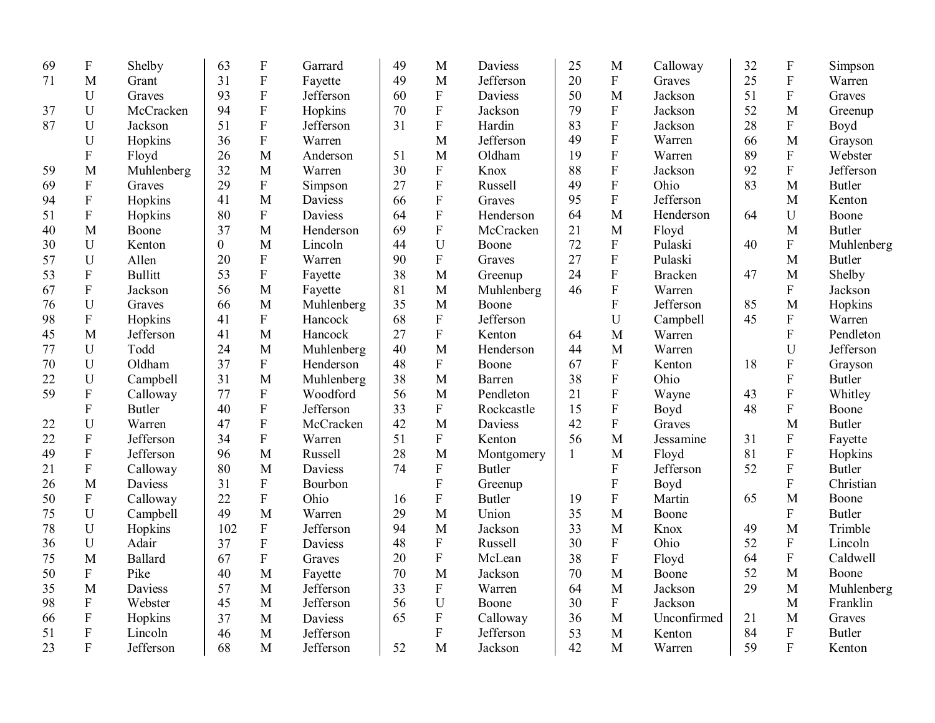| 69 | ${\bf F}$                 | Shelby         | 63             | $\boldsymbol{\mathrm{F}}$ | Garrard        | 49 | M              | <b>Daviess</b> | 25           | M                         | Calloway       | 32 | ${\bf F}$                 | Simpson       |
|----|---------------------------|----------------|----------------|---------------------------|----------------|----|----------------|----------------|--------------|---------------------------|----------------|----|---------------------------|---------------|
| 71 | M                         | Grant          | 31             | $\mathbf F$               | Fayette        | 49 | M              | Jefferson      | 20           | ${\bf F}$                 | Graves         | 25 | $\rm F$                   | Warren        |
|    | U                         | Graves         | 93             | $\boldsymbol{\mathrm{F}}$ | Jefferson      | 60 | $\mathbf F$    | <b>Daviess</b> | 50           | M                         | Jackson        | 51 | ${\bf F}$                 | Graves        |
| 37 | U                         | McCracken      | 94             | $\boldsymbol{\mathrm{F}}$ | Hopkins        | 70 | $\mathbf F$    | Jackson        | 79           | ${\bf F}$                 | Jackson        | 52 | M                         | Greenup       |
| 87 | U                         | Jackson        | 51             | $\rm F$                   | Jefferson      | 31 | ${\bf F}$      | Hardin         | 83           | ${\bf F}$                 | Jackson        | 28 | ${\bf F}$                 | Boyd          |
|    | U                         | Hopkins        | 36             | $\rm F$                   | Warren         |    | M              | Jefferson      | 49           | $\overline{F}$            | Warren         | 66 | M                         | Grayson       |
|    | F                         | Floyd          | 26             | $\mathbf{M}$              | Anderson       | 51 | M              | Oldham         | 19           | ${\bf F}$                 | Warren         | 89 | $\mathbf F$               | Webster       |
| 59 | M                         | Muhlenberg     | 32             | M                         | Warren         | 30 | $\mathbf F$    | Knox           | 88           | ${\bf F}$                 | Jackson        | 92 | $\rm F$                   | Jefferson     |
| 69 | $\mathbf F$               | Graves         | 29             | ${\bf F}$                 | Simpson        | 27 | $\overline{F}$ | Russell        | 49           | ${\bf F}$                 | Ohio           | 83 | M                         | <b>Butler</b> |
| 94 | ${\bf F}$                 | Hopkins        | 41             | M                         | Daviess        | 66 | $\mathbf F$    | Graves         | 95           | ${\bf F}$                 | Jefferson      |    | M                         | Kenton        |
| 51 | ${\bf F}$                 | Hopkins        | 80             | ${\bf F}$                 | Daviess        | 64 | $\mathbf F$    | Henderson      | 64           | M                         | Henderson      | 64 | U                         | Boone         |
| 40 | M                         | Boone          | 37             | M                         | Henderson      | 69 | ${\bf F}$      | McCracken      | 21           | M                         | Floyd          |    | M                         | <b>Butler</b> |
| 30 | U                         | Kenton         | $\overline{0}$ | M                         | Lincoln        | 44 | U              | Boone          | 72           | ${\bf F}$                 | Pulaski        | 40 | ${\bf F}$                 | Muhlenberg    |
| 57 | U                         | Allen          | 20             | ${\bf F}$                 | Warren         | 90 | ${\bf F}$      | Graves         | 27           | $\mathbf F$               | Pulaski        |    | M                         | <b>Butler</b> |
| 53 | ${\bf F}$                 | <b>Bullitt</b> | 53             | ${\bf F}$                 | Fayette        | 38 | M              | Greenup        | 24           | ${\bf F}$                 | <b>Bracken</b> | 47 | M                         | Shelby        |
| 67 | ${\bf F}$                 | Jackson        | 56             | M                         | Fayette        | 81 | M              | Muhlenberg     | 46           | $\boldsymbol{\mathrm{F}}$ | Warren         |    | ${\bf F}$                 | Jackson       |
| 76 | U                         | Graves         | 66             | M                         | Muhlenberg     | 35 | M              | Boone          |              | ${\bf F}$                 | Jefferson      | 85 | M                         | Hopkins       |
| 98 | $\mathbf F$               | Hopkins        | 41             | $\boldsymbol{\mathrm{F}}$ | Hancock        | 68 | ${\bf F}$      | Jefferson      |              | U                         | Campbell       | 45 | $\boldsymbol{\mathrm{F}}$ | Warren        |
| 45 | M                         | Jefferson      | 41             | M                         | Hancock        | 27 | ${\bf F}$      | Kenton         | 64           | $\mathbf{M}$              | Warren         |    | ${\bf F}$                 | Pendleton     |
| 77 | $\mathbf U$               | Todd           | 24             | M                         | Muhlenberg     | 40 | M              | Henderson      | 44           | M                         | Warren         |    | $\mathbf U$               | Jefferson     |
| 70 | U                         | Oldham         | 37             | ${\bf F}$                 | Henderson      | 48 | $\mathbf{F}$   | Boone          | 67           | $\boldsymbol{\mathrm{F}}$ | Kenton         | 18 | ${\bf F}$                 | Grayson       |
| 22 | $\mathbf U$               | Campbell       | 31             | M                         | Muhlenberg     | 38 | M              | Barren         | 38           | ${\bf F}$                 | Ohio           |    | ${\bf F}$                 | <b>Butler</b> |
| 59 | F                         | Calloway       | 77             | ${\bf F}$                 | Woodford       | 56 | M              | Pendleton      | 21           | ${\bf F}$                 | Wayne          | 43 | $\boldsymbol{\mathrm{F}}$ | Whitley       |
|    | ${\bf F}$                 | <b>Butler</b>  | 40             | ${\bf F}$                 | Jefferson      | 33 | ${\bf F}$      | Rockcastle     | 15           | ${\bf F}$                 | Boyd           | 48 | ${\bf F}$                 | Boone         |
| 22 | U                         | Warren         | 47             | ${\bf F}$                 | McCracken      | 42 | M              | <b>Daviess</b> | 42           | ${\bf F}$                 | Graves         |    | M                         | <b>Butler</b> |
| 22 | $\mathbf F$               | Jefferson      | 34             | $\mathbf F$               | Warren         | 51 | $\mathbf F$    | Kenton         | 56           | M                         | Jessamine      | 31 | ${\bf F}$                 | Fayette       |
| 49 | $\boldsymbol{\mathrm{F}}$ | Jefferson      | 96             | M                         | Russell        | 28 | M              | Montgomery     | $\mathbf{1}$ | M                         | Floyd          | 81 | ${\bf F}$                 | Hopkins       |
| 21 | $\boldsymbol{\mathrm{F}}$ | Calloway       | 80             | M                         | <b>Daviess</b> | 74 | ${\bf F}$      | <b>Butler</b>  |              | ${\bf F}$                 | Jefferson      | 52 | ${\bf F}$                 | <b>Butler</b> |
| 26 | M                         | Daviess        | 31             | ${\bf F}$                 | Bourbon        |    | ${\bf F}$      | Greenup        |              | ${\bf F}$                 | Boyd           |    | ${\bf F}$                 | Christian     |
| 50 | ${\bf F}$                 | Calloway       | 22             | ${\bf F}$                 | Ohio           | 16 | ${\bf F}$      | <b>Butler</b>  | 19           | ${\bf F}$                 | Martin         | 65 | M                         | Boone         |
| 75 | U                         | Campbell       | 49             | M                         | Warren         | 29 | M              | Union          | 35           | $\mathbf{M}$              | Boone          |    | ${\bf F}$                 | <b>Butler</b> |
| 78 | U                         | Hopkins        | 102            | $\boldsymbol{\mathrm{F}}$ | Jefferson      | 94 | M              | Jackson        | 33           | M                         | Knox           | 49 | M                         | Trimble       |
| 36 | U                         | Adair          | 37             | $\boldsymbol{\mathrm{F}}$ | Daviess        | 48 | ${\bf F}$      | Russell        | 30           | ${\bf F}$                 | Ohio           | 52 | ${\bf F}$                 | Lincoln       |
| 75 | M                         | Ballard        | 67             | $\mathbf F$               | Graves         | 20 | ${\bf F}$      | McLean         | 38           | ${\bf F}$                 | Floyd          | 64 | ${\bf F}$                 | Caldwell      |
| 50 | ${\bf F}$                 | Pike           | 40             | M                         | Fayette        | 70 | M              | Jackson        | 70           | M                         | Boone          | 52 | M                         | Boone         |
| 35 | M                         | Daviess        | 57             | M                         | Jefferson      | 33 | ${\bf F}$      | Warren         | 64           | M                         | Jackson        | 29 | M                         | Muhlenberg    |
| 98 | ${\bf F}$                 | Webster        | 45             | M                         | Jefferson      | 56 | U              | Boone          | 30           | ${\bf F}$                 | Jackson        |    | $\mathbf M$               | Franklin      |
| 66 | F                         | Hopkins        | 37             | M                         | Daviess        | 65 | ${\bf F}$      | Calloway       | 36           | M                         | Unconfirmed    | 21 | M                         | Graves        |
| 51 | ${\bf F}$                 | Lincoln        | 46             | M                         | Jefferson      |    | $\overline{F}$ | Jefferson      | 53           | M                         | Kenton         | 84 | ${\bf F}$                 | <b>Butler</b> |
| 23 | ${\bf F}$                 | Jefferson      | 68             | M                         | Jefferson      | 52 | M              | Jackson        | 42           | M                         | Warren         | 59 | $\mathbf{F}$              | Kenton        |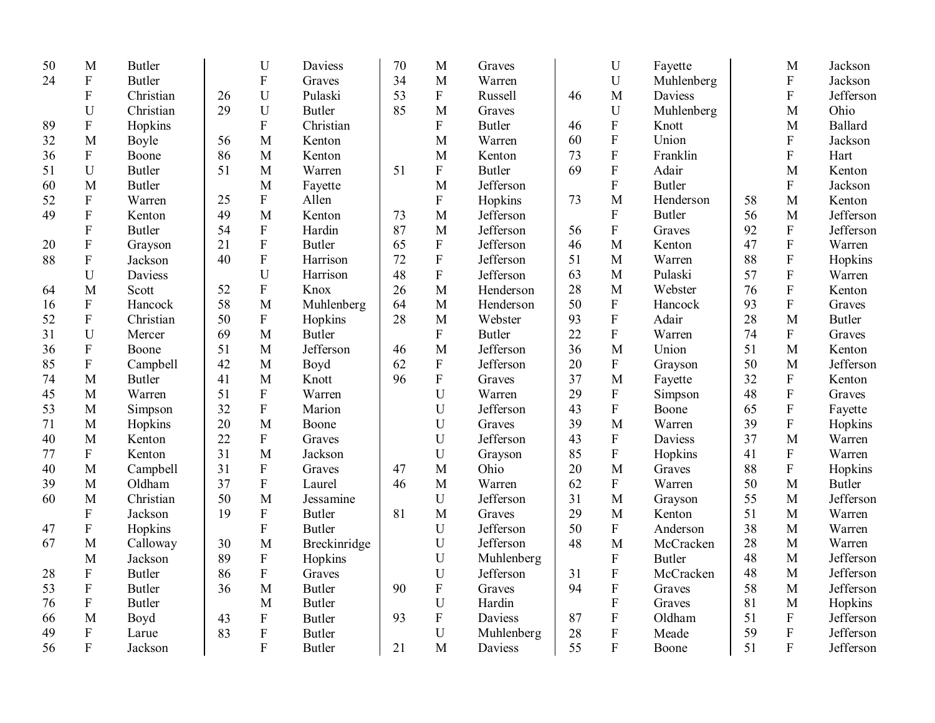| 50 | M                         | <b>Butler</b> |    | ${\bf U}$                 | Daviess       | 70 | M                         | Graves        |    | $\mathbf U$               | Fayette       |    | M                         | Jackson        |
|----|---------------------------|---------------|----|---------------------------|---------------|----|---------------------------|---------------|----|---------------------------|---------------|----|---------------------------|----------------|
| 24 | ${\bf F}$                 | <b>Butler</b> |    | ${\bf F}$                 | Graves        | 34 | M                         | Warren        |    | $\mathbf U$               | Muhlenberg    |    | $\mathbf{F}$              | Jackson        |
|    | $\mathbf{F}$              | Christian     | 26 | $\mathbf U$               | Pulaski       | 53 | $\mathbf F$               | Russell       | 46 | M                         | Daviess       |    | F                         | Jefferson      |
|    | U                         | Christian     | 29 | $\mathbf U$               | <b>Butler</b> | 85 | M                         | Graves        |    | U                         | Muhlenberg    |    | M                         | Ohio           |
| 89 | ${\bf F}$                 | Hopkins       |    | ${\bf F}$                 | Christian     |    | $\overline{F}$            | <b>Butler</b> | 46 | ${\bf F}$                 | Knott         |    | M                         | <b>Ballard</b> |
| 32 | M                         | Boyle         | 56 | M                         | Kenton        |    | M                         | Warren        | 60 | ${\bf F}$                 | Union         |    | ${\bf F}$                 | Jackson        |
| 36 | ${\bf F}$                 | Boone         | 86 | M                         | Kenton        |    | M                         | Kenton        | 73 | ${\bf F}$                 | Franklin      |    | F                         | Hart           |
| 51 | U                         | <b>Butler</b> | 51 | M                         | Warren        | 51 | ${\bf F}$                 | <b>Butler</b> | 69 | $\boldsymbol{\mathrm{F}}$ | Adair         |    | M                         | Kenton         |
| 60 | M                         | <b>Butler</b> |    | M                         | Fayette       |    | M                         | Jefferson     |    | $\mathbf F$               | <b>Butler</b> |    | $\mathbf{F}$              | Jackson        |
| 52 | ${\bf F}$                 | Warren        | 25 | $\mathbf F$               | Allen         |    | ${\bf F}$                 | Hopkins       | 73 | M                         | Henderson     | 58 | M                         | Kenton         |
| 49 | ${\bf F}$                 | Kenton        | 49 | M                         | Kenton        | 73 | M                         | Jefferson     |    | $\mathbf{F}$              | <b>Butler</b> | 56 | M                         | Jefferson      |
|    | ${\bf F}$                 | <b>Butler</b> | 54 | $\boldsymbol{\mathrm{F}}$ | Hardin        | 87 | M                         | Jefferson     | 56 | $\mathbf{F}$              | Graves        | 92 | ${\bf F}$                 | Jefferson      |
| 20 | ${\bf F}$                 | Grayson       | 21 | $\overline{F}$            | <b>Butler</b> | 65 | ${\bf F}$                 | Jefferson     | 46 | M                         | Kenton        | 47 | ${\bf F}$                 | Warren         |
| 88 | ${\bf F}$                 | Jackson       | 40 | $\overline{F}$            | Harrison      | 72 | $\rm F$                   | Jefferson     | 51 | M                         | Warren        | 88 | ${\bf F}$                 | Hopkins        |
|    | U                         | Daviess       |    | $\mathbf U$               | Harrison      | 48 | $\rm F$                   | Jefferson     | 63 | M                         | Pulaski       | 57 | ${\bf F}$                 | Warren         |
| 64 | M                         | Scott         | 52 | $\boldsymbol{\mathrm{F}}$ | Knox          | 26 | M                         | Henderson     | 28 | M                         | Webster       | 76 | ${\bf F}$                 | Kenton         |
| 16 | ${\bf F}$                 | Hancock       | 58 | M                         | Muhlenberg    | 64 | M                         | Henderson     | 50 | ${\bf F}$                 | Hancock       | 93 | ${\bf F}$                 | Graves         |
| 52 | ${\bf F}$                 | Christian     | 50 | ${\bf F}$                 | Hopkins       | 28 | M                         | Webster       | 93 | $\mathbf{F}$              | Adair         | 28 | M                         | <b>Butler</b>  |
| 31 | U                         | Mercer        | 69 | M                         | Butler        |    | $\mathbf F$               | <b>Butler</b> | 22 | $\overline{F}$            | Warren        | 74 | $\mathbf{F}$              | Graves         |
| 36 | ${\bf F}$                 | Boone         | 51 | M                         | Jefferson     | 46 | M                         | Jefferson     | 36 | M                         | Union         | 51 | M                         | Kenton         |
| 85 | ${\bf F}$                 | Campbell      | 42 | M                         | Boyd          | 62 | ${\bf F}$                 | Jefferson     | 20 | ${\bf F}$                 | Grayson       | 50 | $\mathbf{M}$              | Jefferson      |
| 74 | M                         | <b>Butler</b> | 41 | M                         | Knott         | 96 | ${\bf F}$                 | Graves        | 37 | $\mathbf{M}$              | Fayette       | 32 | $\boldsymbol{\mathrm{F}}$ | Kenton         |
| 45 | M                         | Warren        | 51 | ${\bf F}$                 | Warren        |    | U                         | Warren        | 29 | ${\bf F}$                 | Simpson       | 48 | ${\bf F}$                 | Graves         |
| 53 | M                         | Simpson       | 32 | $\overline{F}$            | Marion        |    | U                         | Jefferson     | 43 | $\mathbf F$               | Boone         | 65 | ${\bf F}$                 | Fayette        |
| 71 | M                         | Hopkins       | 20 | M                         | Boone         |    | $\mathbf U$               | Graves        | 39 | M                         | Warren        | 39 | $\boldsymbol{\mathrm{F}}$ | Hopkins        |
| 40 | M                         | Kenton        | 22 | ${\bf F}$                 | Graves        |    | $\mathbf U$               | Jefferson     | 43 | $\mathbf F$               | Daviess       | 37 | M                         | Warren         |
| 77 | F                         | Kenton        | 31 | M                         | Jackson       |    | U                         | Grayson       | 85 | ${\bf F}$                 | Hopkins       | 41 | $\boldsymbol{\mathrm{F}}$ | Warren         |
| 40 | M                         | Campbell      | 31 | F                         | Graves        | 47 | M                         | Ohio          | 20 | M                         | Graves        | 88 | $\mathbf{F}$              | Hopkins        |
| 39 | M                         | Oldham        | 37 | ${\bf F}$                 | Laurel        | 46 | M                         | Warren        | 62 | ${\bf F}$                 | Warren        | 50 | $\mathbf{M}$              | <b>Butler</b>  |
| 60 | M                         | Christian     | 50 | $\overline{M}$            | Jessamine     |    | U                         | Jefferson     | 31 | $\mathbf{M}$              | Grayson       | 55 | $\mathbf{M}$              | Jefferson      |
|    | ${\bf F}$                 | Jackson       | 19 | $\rm F$                   | <b>Butler</b> | 81 | M                         | Graves        | 29 | M                         | Kenton        | 51 | $\mathbf{M}$              | Warren         |
| 47 | ${\bf F}$                 | Hopkins       |    | ${\bf F}$                 | <b>Butler</b> |    | $\mathbf U$               | Jefferson     | 50 | ${\bf F}$                 | Anderson      | 38 | $\mathbf{M}$              | Warren         |
| 67 | M                         | Calloway      | 30 | M                         | Breckinridge  |    | U                         | Jefferson     | 48 | M                         | McCracken     | 28 | $\mathbf{M}$              | Warren         |
|    | M                         | Jackson       | 89 | ${\bf F}$                 | Hopkins       |    | $\mathbf U$               | Muhlenberg    |    | $\mathbf F$               | <b>Butler</b> | 48 | $\mathbf{M}$              | Jefferson      |
| 28 | $\boldsymbol{\mathrm{F}}$ | <b>Butler</b> | 86 | $\boldsymbol{\mathrm{F}}$ | Graves        |    | U                         | Jefferson     | 31 | ${\bf F}$                 | McCracken     | 48 | $\mathbf{M}$              | Jefferson      |
| 53 | ${\bf F}$                 | <b>Butler</b> | 36 | $\mathbf{M}$              | <b>Butler</b> | 90 | $\boldsymbol{\mathrm{F}}$ | Graves        | 94 | $\mathbf{F}$              | Graves        | 58 | $\mathbf{M}$              | Jefferson      |
| 76 | ${\bf F}$                 | <b>Butler</b> |    | M                         | <b>Butler</b> |    | U                         | Hardin        |    | $\boldsymbol{\mathrm{F}}$ | Graves        | 81 | $\mathbf{M}$              | Hopkins        |
| 66 | M                         | Boyd          | 43 | ${\bf F}$                 | <b>Butler</b> | 93 | ${\bf F}$                 | Daviess       | 87 | $\boldsymbol{\mathrm{F}}$ | Oldham        | 51 | $\boldsymbol{\mathrm{F}}$ | Jefferson      |
| 49 | ${\bf F}$                 | Larue         | 83 | ${\bf F}$                 | <b>Butler</b> |    | U                         | Muhlenberg    | 28 | $\boldsymbol{\mathrm{F}}$ | Meade         | 59 | $\mathbf{F}$              | Jefferson      |
| 56 | $\mathbf{F}$              | Jackson       |    | F                         | Butler        | 21 | M                         | Daviess       | 55 | $\overline{F}$            | Boone         | 51 | $\overline{F}$            | Jefferson      |
|    |                           |               |    |                           |               |    |                           |               |    |                           |               |    |                           |                |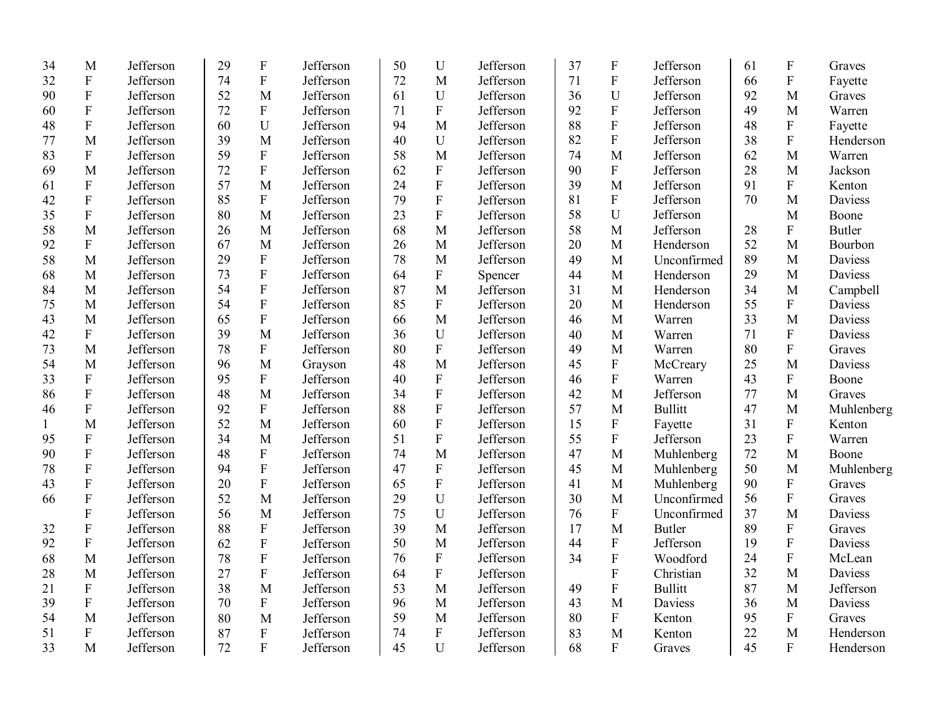| 34           | M                         | Jefferson | 29 | $\mathbf F$               | Jefferson | 50 | $\mathbf U$      | Jefferson | 37 | $\boldsymbol{\mathrm{F}}$ | Jefferson      | 61 | ${\bf F}$                 | Graves        |
|--------------|---------------------------|-----------|----|---------------------------|-----------|----|------------------|-----------|----|---------------------------|----------------|----|---------------------------|---------------|
| 32           | ${\bf F}$                 | Jefferson | 74 | ${\bf F}$                 | Jefferson | 72 | M                | Jefferson | 71 | ${\bf F}$                 | Jefferson      | 66 | ${\bf F}$                 | Fayette       |
| 90           | ${\bf F}$                 | Jefferson | 52 | M                         | Jefferson | 61 | $\mathbf U$      | Jefferson | 36 | U                         | Jefferson      | 92 | M                         | Graves        |
| 60           | ${\bf F}$                 | Jefferson | 72 | ${\bf F}$                 | Jefferson | 71 | $\mathbf{F}$     | Jefferson | 92 | ${\bf F}$                 | Jefferson      | 49 | M                         | Warren        |
| 48           | ${\bf F}$                 | Jefferson | 60 | U                         | Jefferson | 94 | M                | Jefferson | 88 | $\rm F$                   | Jefferson      | 48 | ${\bf F}$                 | Fayette       |
| 77           | M                         | Jefferson | 39 | M                         | Jefferson | 40 | U                | Jefferson | 82 | $\rm F$                   | Jefferson      | 38 | $\boldsymbol{\mathrm{F}}$ | Henderson     |
| 83           | ${\bf F}$                 | Jefferson | 59 | ${\bf F}$                 | Jefferson | 58 | M                | Jefferson | 74 | M                         | Jefferson      | 62 | $\mathbf{M}$              | Warren        |
| 69           | M                         | Jefferson | 72 | ${\bf F}$                 | Jefferson | 62 | ${\bf F}$        | Jefferson | 90 | ${\bf F}$                 | Jefferson      | 28 | M                         | Jackson       |
| 61           | ${\bf F}$                 | Jefferson | 57 | M                         | Jefferson | 24 | ${\bf F}$        | Jefferson | 39 | M                         | Jefferson      | 91 | $\boldsymbol{\mathrm{F}}$ | Kenton        |
| 42           | ${\bf F}$                 | Jefferson | 85 | $\boldsymbol{\mathrm{F}}$ | Jefferson | 79 | $\mathbf{F}$     | Jefferson | 81 | ${\bf F}$                 | Jefferson      | 70 | M                         | Daviess       |
| 35           | ${\bf F}$                 | Jefferson | 80 | M                         | Jefferson | 23 | ${\bf F}$        | Jefferson | 58 | U                         | Jefferson      |    | M                         | Boone         |
| 58           | M                         | Jefferson | 26 | M                         | Jefferson | 68 | M                | Jefferson | 58 | M                         | Jefferson      | 28 | ${\bf F}$                 | <b>Butler</b> |
| 92           | ${\bf F}$                 | Jefferson | 67 | M                         | Jefferson | 26 | M                | Jefferson | 20 | $\mathbf M$               | Henderson      | 52 | M                         | Bourbon       |
| 58           | M                         | Jefferson | 29 | ${\bf F}$                 | Jefferson | 78 | M                | Jefferson | 49 | M                         | Unconfirmed    | 89 | M                         | Daviess       |
| 68           | M                         | Jefferson | 73 | ${\bf F}$                 | Jefferson | 64 | ${\bf F}$        | Spencer   | 44 | $\mathbf{M}$              | Henderson      | 29 | M                         | Daviess       |
| 84           | M                         | Jefferson | 54 | $\mathbf F$               | Jefferson | 87 | M                | Jefferson | 31 | $\mathbf{M}$              | Henderson      | 34 | M                         | Campbell      |
| 75           | M                         | Jefferson | 54 | ${\bf F}$                 | Jefferson | 85 | $\mathbf{F}$     | Jefferson | 20 | $\mathbf{M}$              | Henderson      | 55 | ${\bf F}$                 | Daviess       |
| 43           | M                         | Jefferson | 65 | ${\bf F}$                 | Jefferson | 66 | M                | Jefferson | 46 | M                         | Warren         | 33 | M                         | Daviess       |
| 42           | $\mathbf{F}$              | Jefferson | 39 | M                         | Jefferson | 36 | U                | Jefferson | 40 | M                         | Warren         | 71 | ${\bf F}$                 | Daviess       |
| 73           | M                         | Jefferson | 78 | $\mathbf F$               | Jefferson | 80 | ${\bf F}$        | Jefferson | 49 | M                         | Warren         | 80 | ${\bf F}$                 | Graves        |
| 54           | M                         | Jefferson | 96 | M                         | Grayson   | 48 | M                | Jefferson | 45 | ${\bf F}$                 | McCreary       | 25 | M                         | Daviess       |
| 33           | ${\bf F}$                 | Jefferson | 95 | ${\bf F}$                 | Jefferson | 40 | ${\bf F}$        | Jefferson | 46 | ${\bf F}$                 | Warren         | 43 | $\boldsymbol{\mathrm{F}}$ | Boone         |
| 86           | $\mathbf F$               | Jefferson | 48 | M                         | Jefferson | 34 | ${\bf F}$        | Jefferson | 42 | M                         | Jefferson      | 77 | M                         | Graves        |
| 46           | $\boldsymbol{\mathrm{F}}$ | Jefferson | 92 | ${\bf F}$                 | Jefferson | 88 | ${\bf F}$        | Jefferson | 57 | M                         | <b>Bullitt</b> | 47 | M                         | Muhlenberg    |
| $\mathbf{1}$ | M                         | Jefferson | 52 | M                         | Jefferson | 60 | ${\bf F}$        | Jefferson | 15 | $\boldsymbol{\mathrm{F}}$ | Fayette        | 31 | ${\bf F}$                 | Kenton        |
| 95           | $\boldsymbol{\mathrm{F}}$ | Jefferson | 34 | M                         | Jefferson | 51 | ${\bf F}$        | Jefferson | 55 | ${\bf F}$                 | Jefferson      | 23 | ${\bf F}$                 | Warren        |
| 90           | $\boldsymbol{\mathrm{F}}$ | Jefferson | 48 | $\boldsymbol{F}$          | Jefferson | 74 | M                | Jefferson | 47 | M                         | Muhlenberg     | 72 | M                         | Boone         |
| 78           | ${\bf F}$                 | Jefferson | 94 | $\mathbf F$               | Jefferson | 47 | ${\bf F}$        | Jefferson | 45 | $\mathbf M$               | Muhlenberg     | 50 | M                         | Muhlenberg    |
| 43           | ${\bf F}$                 | Jefferson | 20 | ${\bf F}$                 | Jefferson | 65 | ${\bf F}$        | Jefferson | 41 | $\mathbf M$               | Muhlenberg     | 90 | ${\bf F}$                 | Graves        |
| 66           | ${\bf F}$                 | Jefferson | 52 | M                         | Jefferson | 29 | U                | Jefferson | 30 | M                         | Unconfirmed    | 56 | ${\bf F}$                 | Graves        |
|              | ${\bf F}$                 | Jefferson | 56 | M                         | Jefferson | 75 | U                | Jefferson | 76 | ${\bf F}$                 | Unconfirmed    | 37 | M                         | Daviess       |
| 32           | $\mathbf{F}$              | Jefferson | 88 | ${\bf F}$                 | Jefferson | 39 | M                | Jefferson | 17 | M                         | <b>Butler</b>  | 89 | $\boldsymbol{\mathrm{F}}$ | Graves        |
| 92           | $\mathbf{F}$              | Jefferson | 62 | ${\bf F}$                 | Jefferson | 50 | M                | Jefferson | 44 | ${\bf F}$                 | Jefferson      | 19 | ${\bf F}$                 | Daviess       |
| 68           | M                         | Jefferson | 78 | ${\bf F}$                 | Jefferson | 76 | $\boldsymbol{F}$ | Jefferson | 34 | ${\bf F}$                 | Woodford       | 24 | ${\bf F}$                 | McLean        |
| 28           | M                         | Jefferson | 27 | $\mathbf F$               | Jefferson | 64 | ${\bf F}$        | Jefferson |    | ${\bf F}$                 | Christian      | 32 | M                         | Daviess       |
| 21           | $\boldsymbol{\mathrm{F}}$ | Jefferson | 38 | M                         | Jefferson | 53 | M                | Jefferson | 49 | $\mathbf F$               | <b>Bullitt</b> | 87 | M                         | Jefferson     |
| 39           | $\mathbf F$               | Jefferson | 70 | ${\bf F}$                 | Jefferson | 96 | M                | Jefferson | 43 | M                         | Daviess        | 36 | M                         | Daviess       |
| 54           | M                         | Jefferson | 80 | M                         | Jefferson | 59 | M                | Jefferson | 80 | ${\bf F}$                 | Kenton         | 95 | ${\bf F}$                 | Graves        |
| 51           | ${\bf F}$                 | Jefferson | 87 | ${\bf F}$                 | Jefferson | 74 | $\mathbf{F}$     | Jefferson | 83 | M                         | Kenton         | 22 | M                         | Henderson     |
| 33           | M                         | Jefferson | 72 | $\mathbf{F}$              | Jefferson | 45 | U                | Jefferson | 68 | $\mathbf{F}$              | Graves         | 45 | F                         | Henderson     |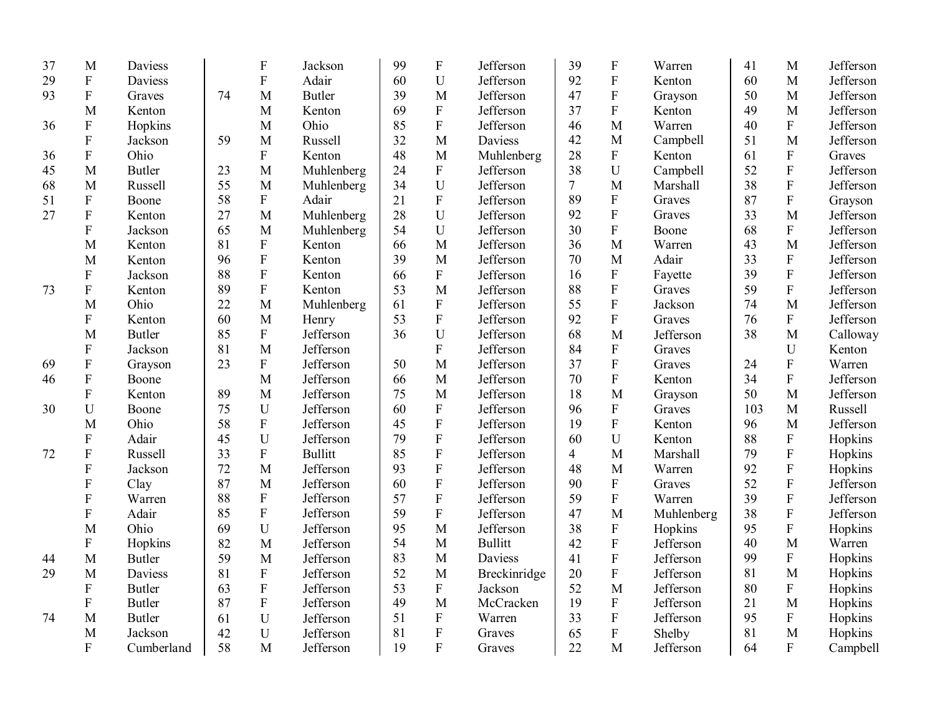| 37 | M                         | Daviess       |    | $\boldsymbol{\mathrm{F}}$ | Jackson        | 99 | $\mathbf F$               | Jefferson      | 39             | $\boldsymbol{\mathrm{F}}$ | Warren     | 41  | M                         | Jefferson |
|----|---------------------------|---------------|----|---------------------------|----------------|----|---------------------------|----------------|----------------|---------------------------|------------|-----|---------------------------|-----------|
| 29 | ${\bf F}$                 | Daviess       |    | ${\bf F}$                 | Adair          | 60 | $\mathbf U$               | Jefferson      | 92             | ${\bf F}$                 | Kenton     | 60  | M                         | Jefferson |
| 93 | ${\bf F}$                 | Graves        | 74 | M                         | <b>Butler</b>  | 39 | M                         | Jefferson      | 47             | $\boldsymbol{\mathrm{F}}$ | Grayson    | 50  | M                         | Jefferson |
|    | M                         | Kenton        |    | M                         | Kenton         | 69 | ${\bf F}$                 | Jefferson      | 37             | ${\bf F}$                 | Kenton     | 49  | M                         | Jefferson |
| 36 | $\boldsymbol{\mathrm{F}}$ | Hopkins       |    | M                         | Ohio           | 85 | $\rm F$                   | Jefferson      | 46             | M                         | Warren     | 40  | ${\bf F}$                 | Jefferson |
|    | ${\bf F}$                 | Jackson       | 59 | M                         | Russell        | 32 | M                         | <b>Daviess</b> | 42             | M                         | Campbell   | 51  | M                         | Jefferson |
| 36 | ${\bf F}$                 | Ohio          |    | ${\bf F}$                 | Kenton         | 48 | M                         | Muhlenberg     | 28             | $\mathbf F$               | Kenton     | 61  | $\rm F$                   | Graves    |
| 45 | M                         | <b>Butler</b> | 23 | M                         | Muhlenberg     | 24 | ${\bf F}$                 | Jefferson      | 38             | $\mathbf U$               | Campbell   | 52  | ${\bf F}$                 | Jefferson |
| 68 | M                         | Russell       | 55 | M                         | Muhlenberg     | 34 | U                         | Jefferson      | $\tau$         | M                         | Marshall   | 38  | ${\bf F}$                 | Jefferson |
| 51 | $\boldsymbol{\mathrm{F}}$ | Boone         | 58 | ${\bf F}$                 | Adair          | 21 | ${\bf F}$                 | Jefferson      | 89             | ${\bf F}$                 | Graves     | 87  | $\mathbf F$               | Grayson   |
| 27 | ${\bf F}$                 | Kenton        | 27 | M                         | Muhlenberg     | 28 | U                         | Jefferson      | 92             | ${\bf F}$                 | Graves     | 33  | M                         | Jefferson |
|    | ${\bf F}$                 | Jackson       | 65 | M                         | Muhlenberg     | 54 | U                         | Jefferson      | 30             | ${\bf F}$                 | Boone      | 68  | ${\bf F}$                 | Jefferson |
|    | M                         | Kenton        | 81 | ${\bf F}$                 | Kenton         | 66 | M                         | Jefferson      | 36             | M                         | Warren     | 43  | M                         | Jefferson |
|    | M                         | Kenton        | 96 | ${\bf F}$                 | Kenton         | 39 | M                         | Jefferson      | 70             | M                         | Adair      | 33  | ${\bf F}$                 | Jefferson |
|    | ${\bf F}$                 | Jackson       | 88 | ${\bf F}$                 | Kenton         | 66 | ${\bf F}$                 | Jefferson      | 16             | ${\bf F}$                 | Fayette    | 39  | ${\bf F}$                 | Jefferson |
| 73 | ${\bf F}$                 | Kenton        | 89 | ${\bf F}$                 | Kenton         | 53 | M                         | Jefferson      | 88             | $\mathbf F$               | Graves     | 59  | ${\bf F}$                 | Jefferson |
|    | M                         | Ohio          | 22 | M                         | Muhlenberg     | 61 | ${\bf F}$                 | Jefferson      | 55             | $\overline{F}$            | Jackson    | 74  | M                         | Jefferson |
|    | ${\bf F}$                 | Kenton        | 60 | M                         | Henry          | 53 | ${\bf F}$                 | Jefferson      | 92             | $\rm F$                   | Graves     | 76  | $\rm F$                   | Jefferson |
|    | M                         | <b>Butler</b> | 85 | ${\bf F}$                 | Jefferson      | 36 | $\mathbf U$               | Jefferson      | 68             | M                         | Jefferson  | 38  | M                         | Calloway  |
|    | $\boldsymbol{\mathrm{F}}$ | Jackson       | 81 | M                         | Jefferson      |    | $\boldsymbol{\mathrm{F}}$ | Jefferson      | 84             | $\boldsymbol{\mathrm{F}}$ | Graves     |     | U                         | Kenton    |
| 69 | ${\bf F}$                 | Grayson       | 23 | ${\bf F}$                 | Jefferson      | 50 | M                         | Jefferson      | 37             | ${\bf F}$                 | Graves     | 24  | ${\bf F}$                 | Warren    |
| 46 | ${\bf F}$                 | Boone         |    | M                         | Jefferson      | 66 | M                         | Jefferson      | 70             | $\mathbf F$               | Kenton     | 34  | $\mathbf F$               | Jefferson |
|    | ${\bf F}$                 | Kenton        | 89 | M                         | Jefferson      | 75 | M                         | Jefferson      | 18             | $\mathbf{M}$              | Grayson    | 50  | M                         | Jefferson |
| 30 | $\mathbf U$               | Boone         | 75 | $\mathbf U$               | Jefferson      | 60 | ${\bf F}$                 | Jefferson      | 96             | $\mathbf F$               | Graves     | 103 | M                         | Russell   |
|    | M                         | Ohio          | 58 | ${\bf F}$                 | Jefferson      | 45 | ${\bf F}$                 | Jefferson      | 19             | ${\bf F}$                 | Kenton     | 96  | M                         | Jefferson |
|    | ${\bf F}$                 | Adair         | 45 | ${\bf U}$                 | Jefferson      | 79 | ${\bf F}$                 | Jefferson      | 60             | $\mathbf U$               | Kenton     | 88  | ${\bf F}$                 | Hopkins   |
| 72 | ${\bf F}$                 | Russell       | 33 | ${\bf F}$                 | <b>Bullitt</b> | 85 | ${\bf F}$                 | Jefferson      | $\overline{4}$ | M                         | Marshall   | 79  | ${\bf F}$                 | Hopkins   |
|    | F                         | Jackson       | 72 | M                         | Jefferson      | 93 | ${\bf F}$                 | Jefferson      | 48             | M                         | Warren     | 92  | ${\bf F}$                 | Hopkins   |
|    | $\boldsymbol{F}$          | Clay          | 87 | M                         | Jefferson      | 60 | $\rm F$                   | Jefferson      | 90             | $\boldsymbol{\mathrm{F}}$ | Graves     | 52  | ${\bf F}$                 | Jefferson |
|    | ${\bf F}$                 | Warren        | 88 | ${\bf F}$                 | Jefferson      | 57 | ${\bf F}$                 | Jefferson      | 59             | $\overline{\mathrm{F}}$   | Warren     | 39  | $\mathbf F$               | Jefferson |
|    | ${\bf F}$                 | Adair         | 85 | $\rm F$                   | Jefferson      | 59 | ${\bf F}$                 | Jefferson      | 47             | M                         | Muhlenberg | 38  | ${\bf F}$                 | Jefferson |
|    | M                         | Ohio          | 69 | $\mathbf U$               | Jefferson      | 95 | M                         | Jefferson      | 38             | ${\bf F}$                 | Hopkins    | 95  | ${\bf F}$                 | Hopkins   |
|    | ${\bf F}$                 | Hopkins       | 82 | M                         | Jefferson      | 54 | M                         | <b>Bullitt</b> | 42             | ${\bf F}$                 | Jefferson  | 40  | M                         | Warren    |
| 44 | M                         | <b>Butler</b> | 59 | $\mathbf{M}$              | Jefferson      | 83 | M                         | Daviess        | 41             | ${\bf F}$                 | Jefferson  | 99  | ${\bf F}$                 | Hopkins   |
| 29 | M                         | Daviess       | 81 | ${\bf F}$                 | Jefferson      | 52 | M                         | Breckinridge   | 20             | $\rm F$                   | Jefferson  | 81  | M                         | Hopkins   |
|    | $\boldsymbol{F}$          | <b>Butler</b> | 63 | $\rm F$                   | Jefferson      | 53 | $\mathbf F$               | Jackson        | 52             | $\mathbf{M}$              | Jefferson  | 80  | $\boldsymbol{\mathrm{F}}$ | Hopkins   |
|    | ${\bf F}$                 | <b>Butler</b> | 87 | $\rm F$                   | Jefferson      | 49 | $\mathbf{M}$              | McCracken      | 19             | $\boldsymbol{\mathrm{F}}$ | Jefferson  | 21  | M                         | Hopkins   |
| 74 | M                         | <b>Butler</b> | 61 | $\mathbf U$               | Jefferson      | 51 | $\boldsymbol{\mathrm{F}}$ | Warren         | 33             | ${\bf F}$                 | Jefferson  | 95  | ${\bf F}$                 | Hopkins   |
|    | M                         | Jackson       | 42 | $\mathbf U$               | Jefferson      | 81 | $\mathbf F$               | Graves         | 65             | $\boldsymbol{\mathrm{F}}$ | Shelby     | 81  | M                         | Hopkins   |
|    | $\overline{F}$            | Cumberland    | 58 | M                         | Jefferson      | 19 | $\overline{F}$            | Graves         | 22             | M                         | Jefferson  | 64  | ${\bf F}$                 | Campbell  |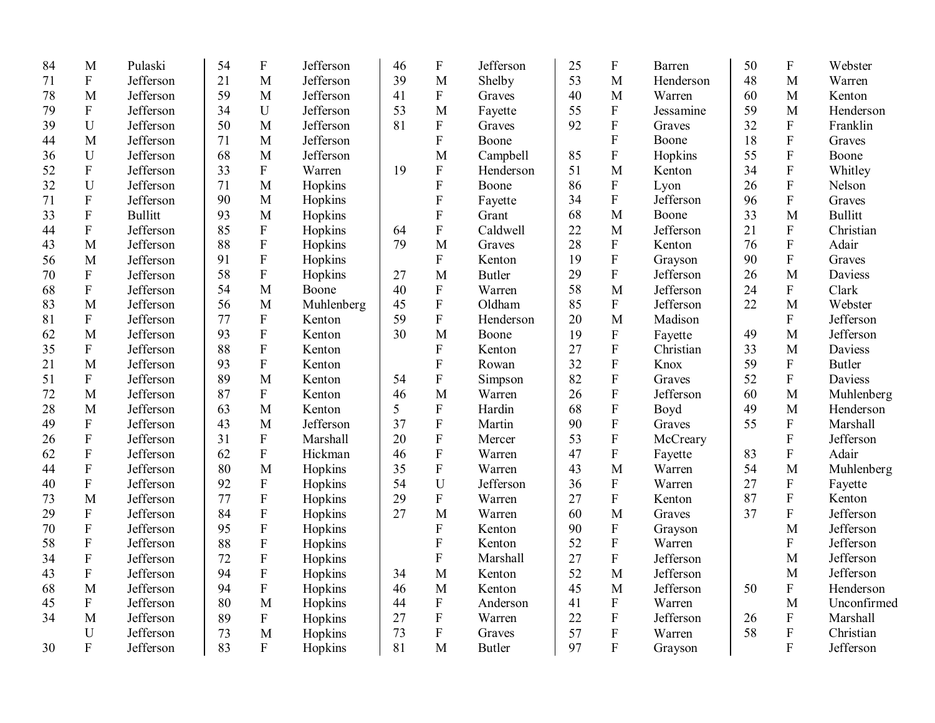| 84 | M                         | Pulaski        | 54 | $\boldsymbol{\mathrm{F}}$ | Jefferson  | 46 | $\mathbf F$               | Jefferson     | 25 | ${\bf F}$               | Barren    | 50 | $\boldsymbol{F}$          | Webster        |
|----|---------------------------|----------------|----|---------------------------|------------|----|---------------------------|---------------|----|-------------------------|-----------|----|---------------------------|----------------|
| 71 | ${\bf F}$                 | Jefferson      | 21 | M                         | Jefferson  | 39 | M                         | Shelby        | 53 | M                       | Henderson | 48 | M                         | Warren         |
| 78 | M                         | Jefferson      | 59 | M                         | Jefferson  | 41 | $\mathbf F$               | Graves        | 40 | M                       | Warren    | 60 | M                         | Kenton         |
| 79 | ${\bf F}$                 | Jefferson      | 34 | U                         | Jefferson  | 53 | M                         | Fayette       | 55 | ${\bf F}$               | Jessamine | 59 | M                         | Henderson      |
| 39 | U                         | Jefferson      | 50 | M                         | Jefferson  | 81 | $\mathbf F$               | Graves        | 92 | ${\bf F}$               | Graves    | 32 | ${\bf F}$                 | Franklin       |
| 44 | M                         | Jefferson      | 71 | M                         | Jefferson  |    | ${\bf F}$                 | Boone         |    | ${\bf F}$               | Boone     | 18 | ${\bf F}$                 | Graves         |
| 36 | $\mathbf U$               | Jefferson      | 68 | M                         | Jefferson  |    | M                         | Campbell      | 85 | ${\bf F}$               | Hopkins   | 55 | $\overline{F}$            | Boone          |
| 52 | ${\bf F}$                 | Jefferson      | 33 | ${\bf F}$                 | Warren     | 19 | ${\bf F}$                 | Henderson     | 51 | $\mathbf{M}$            | Kenton    | 34 | ${\bf F}$                 | Whitley        |
| 32 | $\mathbf U$               | Jefferson      | 71 | M                         | Hopkins    |    | ${\bf F}$                 | Boone         | 86 | ${\bf F}$               | Lyon      | 26 | $\overline{F}$            | Nelson         |
| 71 | ${\bf F}$                 | Jefferson      | 90 | M                         | Hopkins    |    | ${\bf F}$                 | Fayette       | 34 | ${\bf F}$               | Jefferson | 96 | $\overline{F}$            | Graves         |
| 33 | ${\bf F}$                 | <b>Bullitt</b> | 93 | M                         | Hopkins    |    | ${\bf F}$                 | Grant         | 68 | M                       | Boone     | 33 | M                         | <b>Bullitt</b> |
| 44 | $\mathbf{F}$              | Jefferson      | 85 | ${\bf F}$                 | Hopkins    | 64 | ${\bf F}$                 | Caldwell      | 22 | M                       | Jefferson | 21 | $\overline{F}$            | Christian      |
| 43 | M                         | Jefferson      | 88 | ${\bf F}$                 | Hopkins    | 79 | M                         | Graves        | 28 | ${\bf F}$               | Kenton    | 76 | ${\bf F}$                 | Adair          |
| 56 | M                         | Jefferson      | 91 | ${\bf F}$                 | Hopkins    |    | ${\bf F}$                 | Kenton        | 19 | ${\bf F}$               | Grayson   | 90 | ${\bf F}$                 | Graves         |
| 70 | ${\bf F}$                 | Jefferson      | 58 | ${\bf F}$                 | Hopkins    | 27 | M                         | <b>Butler</b> | 29 | ${\bf F}$               | Jefferson | 26 | M                         | Daviess        |
| 68 | ${\bf F}$                 | Jefferson      | 54 | M                         | Boone      | 40 | $\boldsymbol{\mathrm{F}}$ | Warren        | 58 | M                       | Jefferson | 24 | ${\bf F}$                 | Clark          |
| 83 | M                         | Jefferson      | 56 | M                         | Muhlenberg | 45 | ${\bf F}$                 | Oldham        | 85 | $\mathbf F$             | Jefferson | 22 | M                         | Webster        |
| 81 | $\overline{F}$            | Jefferson      | 77 | ${\bf F}$                 | Kenton     | 59 | ${\bf F}$                 | Henderson     | 20 | M                       | Madison   |    | $\mathbf{F}$              | Jefferson      |
| 62 | M                         | Jefferson      | 93 | ${\bf F}$                 | Kenton     | 30 | M                         | Boone         | 19 | ${\bf F}$               | Fayette   | 49 | M                         | Jefferson      |
| 35 | $\boldsymbol{\mathrm{F}}$ | Jefferson      | 88 | $\boldsymbol{\mathrm{F}}$ | Kenton     |    | $\boldsymbol{\mathrm{F}}$ | Kenton        | 27 | $\overline{F}$          | Christian | 33 | M                         | Daviess        |
| 21 | M                         | Jefferson      | 93 | ${\bf F}$                 | Kenton     |    | $\overline{F}$            | Rowan         | 32 | $\rm F$                 | Knox      | 59 | $\mathbf F$               | <b>Butler</b>  |
| 51 | ${\bf F}$                 | Jefferson      | 89 | M                         | Kenton     | 54 | ${\bf F}$                 | Simpson       | 82 | $\overline{\mathrm{F}}$ | Graves    | 52 | $\overline{\mathrm{F}}$   | Daviess        |
| 72 | M                         | Jefferson      | 87 | ${\bf F}$                 | Kenton     | 46 | M                         | Warren        | 26 | $\overline{F}$          | Jefferson | 60 | M                         | Muhlenberg     |
| 28 | M                         | Jefferson      | 63 | M                         | Kenton     | 5  | ${\bf F}$                 | Hardin        | 68 | $\rm F$                 | Boyd      | 49 | M                         | Henderson      |
| 49 | $\boldsymbol{\mathrm{F}}$ | Jefferson      | 43 | M                         | Jefferson  | 37 | ${\bf F}$                 | Martin        | 90 | $\overline{F}$          | Graves    | 55 | $\mathbf F$               | Marshall       |
| 26 | $\boldsymbol{\mathrm{F}}$ | Jefferson      | 31 | ${\bf F}$                 | Marshall   | 20 | ${\bf F}$                 | Mercer        | 53 | $\rm F$                 | McCreary  |    | $\boldsymbol{\mathrm{F}}$ | Jefferson      |
| 62 | $\mathbf{F}$              | Jefferson      | 62 | $\mathbf{F}$              | Hickman    | 46 | ${\bf F}$                 | Warren        | 47 | ${\bf F}$               | Fayette   | 83 | $\mathbf{F}$              | Adair          |
| 44 | F                         | Jefferson      | 80 | M                         | Hopkins    | 35 | $\boldsymbol{\mathrm{F}}$ | Warren        | 43 | M                       | Warren    | 54 | M                         | Muhlenberg     |
| 40 | $\boldsymbol{\mathrm{F}}$ | Jefferson      | 92 | ${\bf F}$                 | Hopkins    | 54 | $\mathbf U$               | Jefferson     | 36 | ${\bf F}$               | Warren    | 27 | ${\bf F}$                 | Fayette        |
| 73 | M                         | Jefferson      | 77 | $\rm F$                   | Hopkins    | 29 | ${\bf F}$                 | Warren        | 27 | ${\bf F}$               | Kenton    | 87 | ${\bf F}$                 | Kenton         |
| 29 | $\boldsymbol{F}$          | Jefferson      | 84 | $\boldsymbol{\mathrm{F}}$ | Hopkins    | 27 | M                         | Warren        | 60 | M                       | Graves    | 37 | $\overline{F}$            | Jefferson      |
| 70 | ${\bf F}$                 | Jefferson      | 95 | $\rm F$                   | Hopkins    |    | $\overline{F}$            | Kenton        | 90 | ${\bf F}$               | Grayson   |    | M                         | Jefferson      |
| 58 | $\boldsymbol{\mathrm{F}}$ | Jefferson      | 88 | $\rm F$                   | Hopkins    |    | ${\bf F}$                 | Kenton        | 52 | $\mathbf F$             | Warren    |    | $\mathbf F$               | Jefferson      |
| 34 | $\boldsymbol{\mathrm{F}}$ | Jefferson      | 72 | $\boldsymbol{\mathrm{F}}$ | Hopkins    |    | ${\bf F}$                 | Marshall      | 27 | ${\bf F}$               | Jefferson |    | M                         | Jefferson      |
| 43 | ${\bf F}$                 | Jefferson      | 94 | $\rm F$                   | Hopkins    | 34 | M                         | Kenton        | 52 | M                       | Jefferson |    | M                         | Jefferson      |
| 68 | M                         | Jefferson      | 94 | $\rm F$                   | Hopkins    | 46 | M                         | Kenton        | 45 | M                       | Jefferson | 50 | ${\bf F}$                 | Henderson      |
| 45 | ${\bf F}$                 | Jefferson      | 80 | M                         | Hopkins    | 44 | ${\bf F}$                 | Anderson      | 41 | ${\bf F}$               | Warren    |    | M                         | Unconfirmed    |
| 34 | M                         | Jefferson      | 89 | ${\bf F}$                 | Hopkins    | 27 | ${\bf F}$                 | Warren        | 22 | ${\bf F}$               | Jefferson | 26 | F                         | Marshall       |
|    | $\mathbf U$               | Jefferson      | 73 | M                         | Hopkins    | 73 | ${\bf F}$                 | Graves        | 57 | ${\bf F}$               | Warren    | 58 | $\mathbf F$               | Christian      |
| 30 | $\mathbf{F}$              | Jefferson      | 83 | $\mathbf{F}$              | Hopkins    | 81 | M                         | Butler        | 97 | $\mathbf{F}$            | Grayson   |    | $\overline{F}$            | Jefferson      |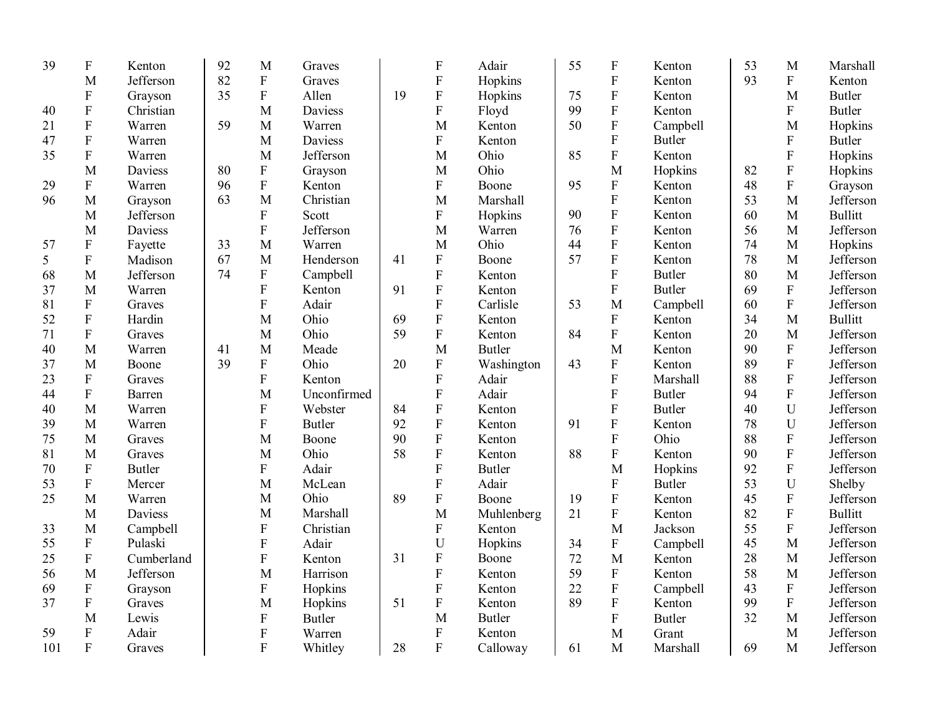| 39  | ${\bf F}$                 | Kenton        | 92 | M                         | Graves        |    | $\mathbf F$               | Adair         | 55 | $\boldsymbol{\mathrm{F}}$ | Kenton        | 53 | M                         | Marshall       |
|-----|---------------------------|---------------|----|---------------------------|---------------|----|---------------------------|---------------|----|---------------------------|---------------|----|---------------------------|----------------|
|     | M                         | Jefferson     | 82 | ${\bf F}$                 | Graves        |    | ${\bf F}$                 | Hopkins       |    | ${\bf F}$                 | Kenton        | 93 | ${\bf F}$                 | Kenton         |
|     | $\boldsymbol{\mathrm{F}}$ | Grayson       | 35 | ${\bf F}$                 | Allen         | 19 | ${\bf F}$                 | Hopkins       | 75 | ${\bf F}$                 | Kenton        |    | M                         | <b>Butler</b>  |
| 40  | ${\bf F}$                 | Christian     |    | M                         | Daviess       |    | ${\bf F}$                 | Floyd         | 99 | $\mathbf{F}$              | Kenton        |    | F                         | <b>Butler</b>  |
| 21  | ${\bf F}$                 | Warren        | 59 | M                         | Warren        |    | M                         | Kenton        | 50 | ${\bf F}$                 | Campbell      |    | M                         | Hopkins        |
| 47  | ${\bf F}$                 | Warren        |    | M                         | Daviess       |    | ${\bf F}$                 | Kenton        |    | $\overline{F}$            | <b>Butler</b> |    | $\mathbf{F}$              | <b>Butler</b>  |
| 35  | ${\bf F}$                 | Warren        |    | M                         | Jefferson     |    | M                         | Ohio          | 85 | ${\bf F}$                 | Kenton        |    | ${\bf F}$                 | Hopkins        |
|     | M                         | Daviess       | 80 | ${\bf F}$                 | Grayson       |    | M                         | Ohio          |    | M                         | Hopkins       | 82 | ${\bf F}$                 | Hopkins        |
| 29  | ${\bf F}$                 | Warren        | 96 | ${\bf F}$                 | Kenton        |    | ${\bf F}$                 | Boone         | 95 | ${\bf F}$                 | Kenton        | 48 | $\boldsymbol{\mathrm{F}}$ | Grayson        |
| 96  | M                         | Grayson       | 63 | M                         | Christian     |    | M                         | Marshall      |    | $\mathbf{F}$              | Kenton        | 53 | M                         | Jefferson      |
|     | M                         | Jefferson     |    | $\boldsymbol{\mathrm{F}}$ | Scott         |    | ${\bf F}$                 | Hopkins       | 90 | ${\bf F}$                 | Kenton        | 60 | M                         | <b>Bullitt</b> |
|     | M                         | Daviess       |    | $\boldsymbol{\mathrm{F}}$ | Jefferson     |    | M                         | Warren        | 76 | ${\bf F}$                 | Kenton        | 56 | M                         | Jefferson      |
| 57  | ${\bf F}$                 | Fayette       | 33 | M                         | Warren        |    | M                         | Ohio          | 44 | ${\bf F}$                 | Kenton        | 74 | M                         | Hopkins        |
| 5   | ${\bf F}$                 | Madison       | 67 | M                         | Henderson     | 41 | ${\bf F}$                 | Boone         | 57 | ${\bf F}$                 | Kenton        | 78 | $\mathbf{M}$              | Jefferson      |
| 68  | $\mathbf M$               | Jefferson     | 74 | ${\bf F}$                 | Campbell      |    | ${\bf F}$                 | Kenton        |    | $\overline{F}$            | <b>Butler</b> | 80 | M                         | Jefferson      |
| 37  | M                         | Warren        |    | $\mathbf F$               | Kenton        | 91 | ${\bf F}$                 | Kenton        |    | $\mathbf{F}$              | <b>Butler</b> | 69 | ${\bf F}$                 | Jefferson      |
| 81  | ${\bf F}$                 | Graves        |    | $\mathbf F$               | Adair         |    | ${\bf F}$                 | Carlisle      | 53 | M                         | Campbell      | 60 | $\mathbf F$               | Jefferson      |
| 52  | ${\bf F}$                 | Hardin        |    | M                         | Ohio          | 69 | ${\bf F}$                 | Kenton        |    | ${\bf F}$                 | Kenton        | 34 | M                         | <b>Bullitt</b> |
| 71  | ${\bf F}$                 | Graves        |    | M                         | Ohio          | 59 | ${\bf F}$                 | Kenton        | 84 | $\overline{F}$            | Kenton        | 20 | M                         | Jefferson      |
| 40  | M                         | Warren        | 41 | M                         | Meade         |    | M                         | <b>Butler</b> |    | M                         | Kenton        | 90 | ${\bf F}$                 | Jefferson      |
| 37  | M                         | Boone         | 39 | ${\bf F}$                 | Ohio          | 20 | ${\bf F}$                 | Washington    | 43 | ${\bf F}$                 | Kenton        | 89 | $\mathbf{F}$              | Jefferson      |
| 23  | ${\bf F}$                 | Graves        |    | $\mathbf F$               | Kenton        |    | $\boldsymbol{\mathrm{F}}$ | Adair         |    | $\mathbf{F}$              | Marshall      | 88 | ${\bf F}$                 | Jefferson      |
| 44  | ${\bf F}$                 | Barren        |    | M                         | Unconfirmed   |    | $\mathbf F$               | Adair         |    | ${\bf F}$                 | <b>Butler</b> | 94 | $\mathbf F$               | Jefferson      |
| 40  | M                         | Warren        |    | $\boldsymbol{\mathrm{F}}$ | Webster       | 84 | $\mathbf F$               | Kenton        |    | ${\bf F}$                 | <b>Butler</b> | 40 | U                         | Jefferson      |
| 39  | M                         | Warren        |    | $\boldsymbol{\mathrm{F}}$ | <b>Butler</b> | 92 | ${\bf F}$                 | Kenton        | 91 | ${\bf F}$                 | Kenton        | 78 | U                         | Jefferson      |
| 75  | M                         | Graves        |    | M                         | Boone         | 90 | ${\bf F}$                 | Kenton        |    | $\overline{F}$            | Ohio          | 88 | ${\bf F}$                 | Jefferson      |
| 81  | M                         | Graves        |    | M                         | Ohio          | 58 | ${\bf F}$                 | Kenton        | 88 | ${\bf F}$                 | Kenton        | 90 | $\mathbf F$               | Jefferson      |
| 70  | $\mathbf F$               | <b>Butler</b> |    | ${\bf F}$                 | Adair         |    | $\overline{F}$            | <b>Butler</b> |    | M                         | Hopkins       | 92 | $\mathbf F$               | Jefferson      |
| 53  | ${\bf F}$                 | Mercer        |    | M                         | McLean        |    | $\mathbf F$               | Adair         |    | ${\bf F}$                 | <b>Butler</b> | 53 | U                         | Shelby         |
| 25  | M                         | Warren        |    | M                         | Ohio          | 89 | ${\bf F}$                 | Boone         | 19 | $\rm F$                   | Kenton        | 45 | ${\bf F}$                 | Jefferson      |
|     | M                         | Daviess       |    | M                         | Marshall      |    | M                         | Muhlenberg    | 21 | ${\bf F}$                 | Kenton        | 82 | $\mathbf F$               | <b>Bullitt</b> |
| 33  | M                         | Campbell      |    | ${\bf F}$                 | Christian     |    | ${\bf F}$                 | Kenton        |    | M                         | Jackson       | 55 | $\boldsymbol{\mathrm{F}}$ | Jefferson      |
| 55  | ${\bf F}$                 | Pulaski       |    | ${\bf F}$                 | Adair         |    | $\mathbf U$               | Hopkins       | 34 | $\boldsymbol{\mathrm{F}}$ | Campbell      | 45 | M                         | Jefferson      |
| 25  | ${\bf F}$                 | Cumberland    |    | ${\bf F}$                 | Kenton        | 31 | ${\bf F}$                 | Boone         | 72 | M                         | Kenton        | 28 | M                         | Jefferson      |
| 56  | M                         | Jefferson     |    | M                         | Harrison      |    | ${\bf F}$                 | Kenton        | 59 | ${\bf F}$                 | Kenton        | 58 | M                         | Jefferson      |
| 69  | ${\bf F}$                 | Grayson       |    | ${\bf F}$                 | Hopkins       |    | $\mathbf F$               | Kenton        | 22 | ${\bf F}$                 | Campbell      | 43 | $\mathbf F$               | Jefferson      |
| 37  | ${\bf F}$                 | Graves        |    | M                         | Hopkins       | 51 | ${\bf F}$                 | Kenton        | 89 | ${\bf F}$                 | Kenton        | 99 | ${\bf F}$                 | Jefferson      |
|     | M                         | Lewis         |    | ${\bf F}$                 | <b>Butler</b> |    | M                         | <b>Butler</b> |    | ${\bf F}$                 | <b>Butler</b> | 32 | M                         | Jefferson      |
| 59  | $\boldsymbol{\mathrm{F}}$ | Adair         |    | ${\bf F}$                 | Warren        |    | ${\bf F}$                 | Kenton        |    | M                         | Grant         |    | M                         | Jefferson      |
| 101 | $\overline{F}$            | Graves        |    | $\overline{F}$            | Whitley       | 28 | $\overline{F}$            | Calloway      | 61 | M                         | Marshall      | 69 | M                         | Jefferson      |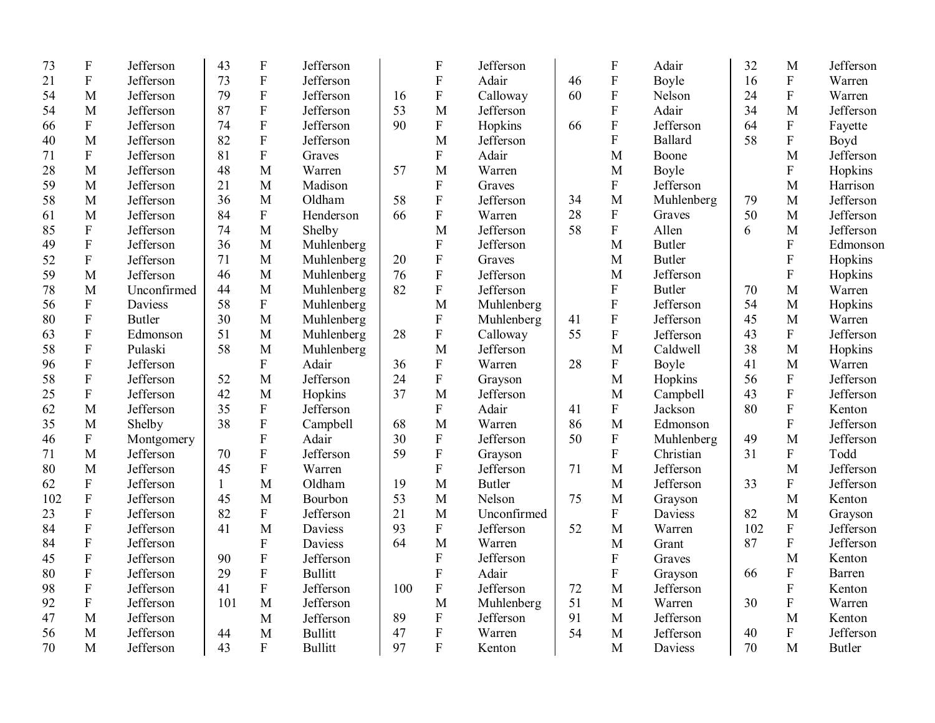| 73  | ${\bf F}$                 | Jefferson     | 43           | $\mathbf F$               | Jefferson      |     | ${\bf F}$                 | Jefferson     |    | $\boldsymbol{\mathrm{F}}$ | Adair          | 32  | M                         | Jefferson     |
|-----|---------------------------|---------------|--------------|---------------------------|----------------|-----|---------------------------|---------------|----|---------------------------|----------------|-----|---------------------------|---------------|
| 21  | ${\bf F}$                 | Jefferson     | 73           | $\boldsymbol{\mathrm{F}}$ | Jefferson      |     | $\mathbf F$               | Adair         | 46 | ${\bf F}$                 | Boyle          | 16  | $\boldsymbol{\mathrm{F}}$ | Warren        |
| 54  | M                         | Jefferson     | 79           | $\mathbf F$               | Jefferson      | 16  | ${\bf F}$                 | Calloway      | 60 | ${\bf F}$                 | Nelson         | 24  | $\boldsymbol{\mathrm{F}}$ | Warren        |
| 54  | M                         | Jefferson     | 87           | $\boldsymbol{\mathrm{F}}$ | Jefferson      | 53  | M                         | Jefferson     |    | ${\bf F}$                 | Adair          | 34  | M                         | Jefferson     |
| 66  | $\mathbf{F}$              | Jefferson     | 74           | $\rm F$                   | Jefferson      | 90  | $\mathbf{F}$              | Hopkins       | 66 | $\mathbf F$               | Jefferson      | 64  | $\mathbf{F}$              | Fayette       |
| 40  | M                         | Jefferson     | 82           | $\rm F$                   | Jefferson      |     | M                         | Jefferson     |    | $\overline{F}$            | <b>Ballard</b> | 58  | $\mathbf F$               | Boyd          |
| 71  | $\boldsymbol{\mathrm{F}}$ | Jefferson     | 81           | ${\bf F}$                 | Graves         |     | $\boldsymbol{\mathrm{F}}$ | Adair         |    | M                         | Boone          |     | M                         | Jefferson     |
| 28  | M                         | Jefferson     | 48           | $\mathbf{M}$              | Warren         | 57  | M                         | Warren        |    | M                         | Boyle          |     | F                         | Hopkins       |
| 59  | M                         | Jefferson     | 21           | M                         | Madison        |     | $\mathbf F$               | Graves        |    | F                         | Jefferson      |     | M                         | Harrison      |
| 58  | M                         | Jefferson     | 36           | M                         | Oldham         | 58  | $\mathbf F$               | Jefferson     | 34 | M                         | Muhlenberg     | 79  | M                         | Jefferson     |
| 61  | M                         | Jefferson     | 84           | $\rm F$                   | Henderson      | 66  | $\overline{F}$            | Warren        | 28 | $\mathbf F$               | Graves         | 50  | M                         | Jefferson     |
| 85  | ${\bf F}$                 | Jefferson     | 74           | M                         | Shelby         |     | M                         | Jefferson     | 58 | F                         | Allen          | 6   | M                         | Jefferson     |
| 49  | ${\bf F}$                 | Jefferson     | 36           | M                         | Muhlenberg     |     | $\mathbf F$               | Jefferson     |    | M                         | <b>Butler</b>  |     | $\mathbf{F}$              | Edmonson      |
| 52  | ${\bf F}$                 | Jefferson     | 71           | M                         | Muhlenberg     | 20  | ${\bf F}$                 | Graves        |    | M                         | <b>Butler</b>  |     | $\boldsymbol{\mathrm{F}}$ | Hopkins       |
| 59  | M                         | Jefferson     | 46           | M                         | Muhlenberg     | 76  | ${\bf F}$                 | Jefferson     |    | M                         | Jefferson      |     | $\mathbf F$               | Hopkins       |
| 78  | M                         | Unconfirmed   | 44           | M                         | Muhlenberg     | 82  | ${\bf F}$                 | Jefferson     |    | F                         | <b>Butler</b>  | 70  | M                         | Warren        |
| 56  | $\mathbf F$               | Daviess       | 58           | $\boldsymbol{\mathrm{F}}$ | Muhlenberg     |     | M                         | Muhlenberg    |    | F                         | Jefferson      | 54  | M                         | Hopkins       |
| 80  | ${\bf F}$                 | <b>Butler</b> | 30           | M                         | Muhlenberg     |     | $\mathbf F$               | Muhlenberg    | 41 | $\mathbf F$               | Jefferson      | 45  | M                         | Warren        |
| 63  | $\boldsymbol{\mathrm{F}}$ | Edmonson      | 51           | M                         | Muhlenberg     | 28  | $\rm F$                   | Calloway      | 55 | $\mathbf F$               | Jefferson      | 43  | $\mathbf{F}$              | Jefferson     |
| 58  | ${\bf F}$                 | Pulaski       | 58           | M                         | Muhlenberg     |     | M                         | Jefferson     |    | M                         | Caldwell       | 38  | M                         | Hopkins       |
| 96  | ${\bf F}$                 | Jefferson     |              | $\overline{F}$            | Adair          | 36  | $\mathbf{F}$              | Warren        | 28 | $\boldsymbol{\mathrm{F}}$ | Boyle          | 41  | M                         | Warren        |
| 58  | $\mathbf F$               | Jefferson     | 52           | M                         | Jefferson      | 24  | $\mathbf F$               | Grayson       |    | M                         | Hopkins        | 56  | $\mathbf{F}$              | Jefferson     |
| 25  | ${\bf F}$                 | Jefferson     | 42           | M                         | Hopkins        | 37  | $\mathbf{M}$              | Jefferson     |    | M                         | Campbell       | 43  | $\rm F$                   | Jefferson     |
| 62  | M                         | Jefferson     | 35           | $\boldsymbol{\mathrm{F}}$ | Jefferson      |     | ${\bf F}$                 | Adair         | 41 | $\mathbf F$               | Jackson        | 80  | $\mathbf F$               | Kenton        |
| 35  | M                         | Shelby        | 38           | ${\bf F}$                 | Campbell       | 68  | M                         | Warren        | 86 | M                         | Edmonson       |     | $\mathbf F$               | Jefferson     |
| 46  | ${\bf F}$                 | Montgomery    |              | ${\bf F}$                 | Adair          | 30  | ${\bf F}$                 | Jefferson     | 50 | $\boldsymbol{\mathrm{F}}$ | Muhlenberg     | 49  | M                         | Jefferson     |
| 71  | M                         | Jefferson     | 70           | ${\bf F}$                 | Jefferson      | 59  | $\mathbf{F}$              | Grayson       |    | $\mathbf{F}$              | Christian      | 31  | F                         | Todd          |
| 80  | M                         | Jefferson     | 45           | ${\bf F}$                 | Warren         |     | $\overline{F}$            | Jefferson     | 71 | M                         | Jefferson      |     | M                         | Jefferson     |
| 62  | ${\bf F}$                 | Jefferson     | $\mathbf{1}$ | $\mathbf{M}$              | Oldham         | 19  | M                         | <b>Butler</b> |    | M                         | Jefferson      | 33  | $\mathbf F$               | Jefferson     |
| 102 | ${\bf F}$                 | Jefferson     | 45           | M                         | Bourbon        | 53  | M                         | Nelson        | 75 | M                         | Grayson        |     | M                         | Kenton        |
| 23  | ${\bf F}$                 | Jefferson     | 82           | ${\bf F}$                 | Jefferson      | 21  | M                         | Unconfirmed   |    | $\mathbf F$               | Daviess        | 82  | M                         | Grayson       |
| 84  | ${\bf F}$                 | Jefferson     | 41           | M                         | Daviess        | 93  | $\mathbf F$               | Jefferson     | 52 | M                         | Warren         | 102 | ${\bf F}$                 | Jefferson     |
| 84  | ${\bf F}$                 | Jefferson     |              | ${\bf F}$                 | Daviess        | 64  | M                         | Warren        |    | M                         | Grant          | 87  | ${\bf F}$                 | Jefferson     |
| 45  | ${\bf F}$                 | Jefferson     | 90           | ${\bf F}$                 | Jefferson      |     | $\mathbf{F}$              | Jefferson     |    | $\mathbf{F}$              | Graves         |     | M                         | Kenton        |
| 80  | ${\bf F}$                 | Jefferson     | 29           | $\mathbf F$               | <b>Bullitt</b> |     | $\mathbf{F}$              | Adair         |    | ${\bf F}$                 | Grayson        | 66  | $\mathbf{F}$              | Barren        |
| 98  | $\overline{F}$            | Jefferson     | 41           | $\mathbf F$               | Jefferson      | 100 | ${\bf F}$                 | Jefferson     | 72 | M                         | Jefferson      |     | F                         | Kenton        |
| 92  | ${\bf F}$                 | Jefferson     | 101          | M                         | Jefferson      |     | M                         | Muhlenberg    | 51 | M                         | Warren         | 30  | ${\bf F}$                 | Warren        |
| 47  | M                         | Jefferson     |              | M                         | Jefferson      | 89  | ${\bf F}$                 | Jefferson     | 91 | M                         | Jefferson      |     | M                         | Kenton        |
| 56  | M                         | Jefferson     | 44           | M                         | <b>Bullitt</b> | 47  | ${\bf F}$                 | Warren        | 54 | M                         | Jefferson      | 40  | ${\bf F}$                 | Jefferson     |
| 70  | M                         | Jefferson     | 43           | $\mathbf{F}$              | <b>Bullitt</b> | 97  | $\overline{F}$            | Kenton        |    | M                         | Daviess        | 70  | M                         | <b>Butler</b> |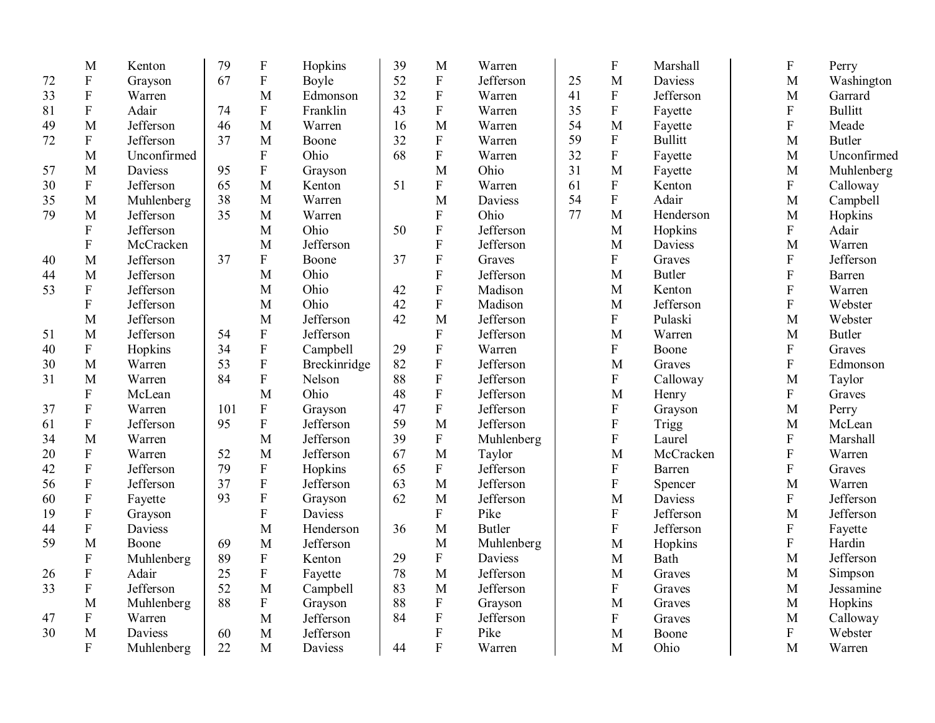|    | M                         | Kenton      | 79  | $\boldsymbol{\mathrm{F}}$ | Hopkins      | 39 | M              | Warren        |    | ${\bf F}$                 | Marshall       | ${\bf F}$               | Perry          |
|----|---------------------------|-------------|-----|---------------------------|--------------|----|----------------|---------------|----|---------------------------|----------------|-------------------------|----------------|
| 72 | ${\bf F}$                 | Grayson     | 67  | ${\bf F}$                 | Boyle        | 52 | ${\bf F}$      | Jefferson     | 25 | M                         | <b>Daviess</b> | M                       | Washington     |
| 33 | ${\bf F}$                 | Warren      |     | M                         | Edmonson     | 32 | $\mathbf F$    | Warren        | 41 | $\mathbf F$               | Jefferson      | M                       | Garrard        |
| 81 | ${\bf F}$                 | Adair       | 74  | $\boldsymbol{\mathrm{F}}$ | Franklin     | 43 | F              | Warren        | 35 | $\mathbf F$               | Fayette        | $\mathbf F$             | <b>Bullitt</b> |
| 49 | M                         | Jefferson   | 46  | M                         | Warren       | 16 | M              | Warren        | 54 | M                         | Fayette        | $\overline{\mathrm{F}}$ | Meade          |
| 72 | ${\bf F}$                 | Jefferson   | 37  | M                         | Boone        | 32 | $\mathbf F$    | Warren        | 59 | $\mathbf F$               | <b>Bullitt</b> | M                       | <b>Butler</b>  |
|    | M                         | Unconfirmed |     | ${\bf F}$                 | Ohio         | 68 | $\mathbf F$    | Warren        | 32 | $\mathbf F$               | Fayette        | $\mathbf M$             | Unconfirmed    |
| 57 | M                         | Daviess     | 95  | ${\bf F}$                 | Grayson      |    | M              | Ohio          | 31 | M                         | Fayette        | M                       | Muhlenberg     |
| 30 | ${\bf F}$                 | Jefferson   | 65  | M                         | Kenton       | 51 | $\mathbf F$    | Warren        | 61 | $\overline{\mathrm{F}}$   | Kenton         | ${\bf F}$               | Calloway       |
| 35 | M                         | Muhlenberg  | 38  | M                         | Warren       |    | M              | Daviess       | 54 | $\overline{\mathrm{F}}$   | Adair          | M                       | Campbell       |
| 79 | M                         | Jefferson   | 35  | M                         | Warren       |    | F              | Ohio          | 77 | M                         | Henderson      | M                       | Hopkins        |
|    | ${\bf F}$                 | Jefferson   |     | M                         | Ohio         | 50 | ${\bf F}$      | Jefferson     |    | M                         | Hopkins        | ${\bf F}$               | Adair          |
|    | $\overline{F}$            | McCracken   |     | M                         | Jefferson    |    | $\mathbf{F}$   | Jefferson     |    | M                         | Daviess        | M                       | Warren         |
| 40 | M                         | Jefferson   | 37  | ${\bf F}$                 | Boone        | 37 | ${\bf F}$      | Graves        |    | $\boldsymbol{\mathrm{F}}$ | Graves         | ${\bf F}$               | Jefferson      |
| 44 | M                         | Jefferson   |     | M                         | Ohio         |    | $\mathbf F$    | Jefferson     |    | M                         | <b>Butler</b>  | $\mathbf F$             | Barren         |
| 53 | ${\bf F}$                 | Jefferson   |     | M                         | Ohio         | 42 | ${\bf F}$      | Madison       |    | M                         | Kenton         | $\mathbf F$             | Warren         |
|    | ${\bf F}$                 | Jefferson   |     | M                         | Ohio         | 42 | ${\bf F}$      | Madison       |    | M                         | Jefferson      | $\mathbf F$             | Webster        |
|    | M                         | Jefferson   |     | M                         | Jefferson    | 42 | M              | Jefferson     |    | $\boldsymbol{\mathrm{F}}$ | Pulaski        | M                       | Webster        |
| 51 | M                         | Jefferson   | 54  | ${\bf F}$                 | Jefferson    |    | ${\bf F}$      | Jefferson     |    | M                         | Warren         | $\mathbf M$             | <b>Butler</b>  |
| 40 | $\mathbf F$               | Hopkins     | 34  | $\boldsymbol{\mathrm{F}}$ | Campbell     | 29 | ${\bf F}$      | Warren        |    | $\mathbf{F}$              | Boone          | $\mathbf{F}$            | Graves         |
| 30 | M                         | Warren      | 53  | $\boldsymbol{\mathrm{F}}$ | Breckinridge | 82 | $\overline{F}$ | Jefferson     |    | M                         | Graves         | $\mathbf F$             | Edmonson       |
| 31 | M                         | Warren      | 84  | ${\bf F}$                 | Nelson       | 88 | ${\bf F}$      | Jefferson     |    | ${\bf F}$                 | Calloway       | M                       | Taylor         |
|    | $\overline{F}$            | McLean      |     | M                         | Ohio         | 48 | ${\bf F}$      | Jefferson     |    | M                         | Henry          | ${\bf F}$               | Graves         |
| 37 | ${\bf F}$                 | Warren      | 101 | ${\bf F}$                 | Grayson      | 47 | ${\bf F}$      | Jefferson     |    | ${\bf F}$                 | Grayson        | M                       | Perry          |
| 61 | ${\bf F}$                 | Jefferson   | 95  | $\boldsymbol{\mathrm{F}}$ | Jefferson    | 59 | M              | Jefferson     |    | ${\bf F}$                 | Trigg          | M                       | McLean         |
| 34 | M                         | Warren      |     | M                         | Jefferson    | 39 | ${\bf F}$      | Muhlenberg    |    | $\overline{F}$            | Laurel         | $\rm F$                 | Marshall       |
| 20 | $\mathbf F$               | Warren      | 52  | M                         | Jefferson    | 67 | M              | Taylor        |    | M                         | McCracken      | ${\bf F}$               | Warren         |
| 42 | ${\bf F}$                 | Jefferson   | 79  | ${\bf F}$                 | Hopkins      | 65 | $\mathbf{F}$   | Jefferson     |    | $\boldsymbol{\mathrm{F}}$ | Barren         | $\mathbf F$             | Graves         |
| 56 | $\boldsymbol{\mathrm{F}}$ | Jefferson   | 37  | ${\bf F}$                 | Jefferson    | 63 | M              | Jefferson     |    | $\boldsymbol{\mathrm{F}}$ | Spencer        | M                       | Warren         |
| 60 | $\boldsymbol{\mathrm{F}}$ | Fayette     | 93  | $\boldsymbol{\mathrm{F}}$ | Grayson      | 62 | M              | Jefferson     |    | M                         | Daviess        | ${\bf F}$               | Jefferson      |
| 19 | $\boldsymbol{\mathrm{F}}$ | Grayson     |     | $\overline{F}$            | Daviess      |    | F              | Pike          |    | F                         | Jefferson      | M                       | Jefferson      |
| 44 | $\boldsymbol{\mathrm{F}}$ | Daviess     |     | M                         | Henderson    | 36 | M              | <b>Butler</b> |    | ${\bf F}$                 | Jefferson      | ${\bf F}$               | Fayette        |
| 59 | M                         | Boone       | 69  | M                         | Jefferson    |    | M              | Muhlenberg    |    | M                         | Hopkins        | $\mathbf F$             | Hardin         |
|    | $\mathbf{F}$              | Muhlenberg  | 89  | ${\bf F}$                 | Kenton       | 29 | ${\bf F}$      | Daviess       |    | M                         | Bath           | M                       | Jefferson      |
| 26 | ${\bf F}$                 | Adair       | 25  | ${\bf F}$                 | Fayette      | 78 | M              | Jefferson     |    | M                         | Graves         | M                       | Simpson        |
| 33 | $\mathbf{F}$              | Jefferson   | 52  | M                         | Campbell     | 83 | M              | Jefferson     |    | $\mathbf F$               | Graves         | M                       | Jessamine      |
|    | M                         | Muhlenberg  | 88  | $\overline{F}$            | Grayson      | 88 | ${\bf F}$      | Grayson       |    | M                         | Graves         | M                       | Hopkins        |
| 47 | ${\bf F}$                 | Warren      |     | M                         | Jefferson    | 84 | ${\bf F}$      | Jefferson     |    | $\boldsymbol{\mathrm{F}}$ | Graves         | M                       | Calloway       |
| 30 | M                         | Daviess     | 60  | M                         | Jefferson    |    | ${\bf F}$      | Pike          |    | M                         | Boone          | ${\bf F}$               | Webster        |
|    | $\overline{F}$            | Muhlenberg  | 22  | M                         | Daviess      | 44 | F              | Warren        |    | M                         | Ohio           | M                       | Warren         |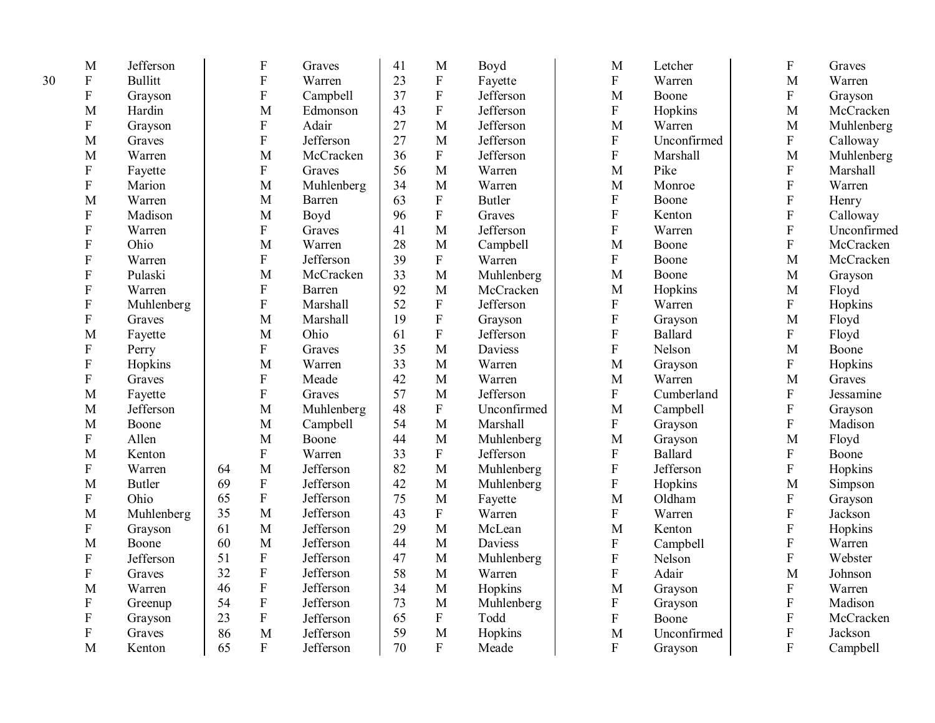| M                | Jefferson      |    | ${\bf F}$                 | Graves     | 41 | M            | Boyd          | M                         | Letcher     | ${\bf F}$                 | Graves      |
|------------------|----------------|----|---------------------------|------------|----|--------------|---------------|---------------------------|-------------|---------------------------|-------------|
| $\mathbf{F}$     | <b>Bullitt</b> |    | ${\bf F}$                 | Warren     | 23 | ${\bf F}$    | Fayette       | ${\bf F}$                 | Warren      | M                         | Warren      |
| ${\bf F}$        | Grayson        |    | $\overline{F}$            | Campbell   | 37 | $\rm F$      | Jefferson     | M                         | Boone       | ${\bf F}$                 | Grayson     |
| M                | Hardin         |    | M                         | Edmonson   | 43 | ${\bf F}$    | Jefferson     | $\mathbf F$               | Hopkins     | M                         | McCracken   |
| F                | Grayson        |    | ${\bf F}$                 | Adair      | 27 | $\mathbf{M}$ | Jefferson     | $\mathbf M$               | Warren      | M                         | Muhlenberg  |
| M                | Graves         |    | $\overline{F}$            | Jefferson  | 27 | M            | Jefferson     | ${\bf F}$                 | Unconfirmed | $\boldsymbol{\mathrm{F}}$ | Calloway    |
| M                | Warren         |    | M                         | McCracken  | 36 | $\rm F$      | Jefferson     | $\rm F$                   | Marshall    | M                         | Muhlenberg  |
| ${\bf F}$        | Fayette        |    | ${\bf F}$                 | Graves     | 56 | $\mathbf{M}$ | Warren        | M                         | Pike        | ${\bf F}$                 | Marshall    |
| ${\bf F}$        | Marion         |    | M                         | Muhlenberg | 34 | $\mathbf{M}$ | Warren        | M                         | Monroe      | ${\bf F}$                 | Warren      |
| M                | Warren         |    | M                         | Barren     | 63 | ${\bf F}$    | <b>Butler</b> | ${\bf F}$                 | Boone       | ${\bf F}$                 | Henry       |
| ${\bf F}$        | Madison        |    | M                         | Boyd       | 96 | ${\bf F}$    | Graves        | $\boldsymbol{\mathrm{F}}$ | Kenton      | $\overline{F}$            | Calloway    |
| $\mathbf{F}$     | Warren         |    | ${\bf F}$                 | Graves     | 41 | M            | Jefferson     | $\overline{F}$            | Warren      | $\overline{F}$            | Unconfirmed |
| ${\bf F}$        | Ohio           |    | M                         | Warren     | 28 | M            | Campbell      | M                         | Boone       | $\mathbf F$               | McCracken   |
| $\mathbf{F}$     | Warren         |    | ${\bf F}$                 | Jefferson  | 39 | $\mathbf{F}$ | Warren        | $\mathbf{F}$              | Boone       | M                         | McCracken   |
| ${\bf F}$        | Pulaski        |    | M                         | McCracken  | 33 | M            | Muhlenberg    | M                         | Boone       | M                         | Grayson     |
| ${\bf F}$        | Warren         |    | ${\bf F}$                 | Barren     | 92 | M            | McCracken     | M                         | Hopkins     | M                         | Floyd       |
| ${\bf F}$        | Muhlenberg     |    | ${\bf F}$                 | Marshall   | 52 | ${\bf F}$    | Jefferson     | ${\bf F}$                 | Warren      | $\boldsymbol{\mathrm{F}}$ | Hopkins     |
| F                | Graves         |    | M                         | Marshall   | 19 | ${\bf F}$    | Grayson       | ${\bf F}$                 | Grayson     | M                         | Floyd       |
| M                | Fayette        |    | M                         | Ohio       | 61 | $\rm F$      | Jefferson     | $\boldsymbol{\mathrm{F}}$ | Ballard     | $\overline{F}$            | Floyd       |
| ${\bf F}$        | Perry          |    | ${\bf F}$                 | Graves     | 35 | M            | Daviess       | ${\bf F}$                 | Nelson      | M                         | Boone       |
| ${\bf F}$        | Hopkins        |    | M                         | Warren     | 33 | $\mathbf{M}$ | Warren        | M                         | Grayson     | $\boldsymbol{\mathrm{F}}$ | Hopkins     |
| $\mathbf{F}$     | Graves         |    | ${\bf F}$                 | Meade      | 42 | $\mathbf M$  | Warren        | M                         | Warren      | M                         | Graves      |
| M                | Fayette        |    | $\overline{F}$            | Graves     | 57 | M            | Jefferson     | ${\bf F}$                 | Cumberland  | ${\bf F}$                 | Jessamine   |
| M                | Jefferson      |    | M                         | Muhlenberg | 48 | ${\bf F}$    | Unconfirmed   | M                         | Campbell    | ${\bf F}$                 | Grayson     |
| M                | Boone          |    | M                         | Campbell   | 54 | $\mathbf{M}$ | Marshall      | ${\bf F}$                 | Grayson     | ${\bf F}$                 | Madison     |
| $\mathbf{F}$     | Allen          |    | M                         | Boone      | 44 | M            | Muhlenberg    | M                         | Grayson     | M                         | Floyd       |
| M                | Kenton         |    | ${\bf F}$                 | Warren     | 33 | $\rm F$      | Jefferson     | ${\bf F}$                 | Ballard     | ${\bf F}$                 | Boone       |
| ${\bf F}$        | Warren         | 64 | M                         | Jefferson  | 82 | $\mathbf{M}$ | Muhlenberg    | ${\bf F}$                 | Jefferson   | $\mathbf F$               | Hopkins     |
| M                | <b>Butler</b>  | 69 | ${\bf F}$                 | Jefferson  | 42 | $\mathbf{M}$ | Muhlenberg    | ${\bf F}$                 | Hopkins     | M                         | Simpson     |
| F                | Ohio           | 65 | ${\bf F}$                 | Jefferson  | 75 | M            | Fayette       | M                         | Oldham      | F                         | Grayson     |
| M                | Muhlenberg     | 35 | M                         | Jefferson  | 43 | $\mathbf{F}$ | Warren        | ${\bf F}$                 | Warren      | ${\bf F}$                 | Jackson     |
| ${\bf F}$        | Grayson        | 61 | M                         | Jefferson  | 29 | $\mathbf{M}$ | McLean        | M                         | Kenton      | ${\bf F}$                 | Hopkins     |
| M                | Boone          | 60 | M                         | Jefferson  | 44 | M            | Daviess       | ${\bf F}$                 | Campbell    | ${\bf F}$                 | Warren      |
| F                | Jefferson      | 51 | $\boldsymbol{\mathrm{F}}$ | Jefferson  | 47 | M            | Muhlenberg    | ${\bf F}$                 | Nelson      | $\mathbf F$               | Webster     |
| F                | Graves         | 32 | $\boldsymbol{\mathrm{F}}$ | Jefferson  | 58 | M            | Warren        | $\overline{F}$            | Adair       | $\mathbf{M}$              | Johnson     |
| M                | Warren         | 46 | $\rm F$                   | Jefferson  | 34 | M            | Hopkins       | M                         | Grayson     | ${\bf F}$                 | Warren      |
| $\boldsymbol{F}$ | Greenup        | 54 | $\rm F$                   | Jefferson  | 73 | M            | Muhlenberg    | ${\bf F}$                 | Grayson     | $\overline{F}$            | Madison     |
| $\boldsymbol{F}$ | Grayson        | 23 | ${\bf F}$                 | Jefferson  | 65 | ${\bf F}$    | Todd          | $\overline{F}$            | Boone       | ${\bf F}$                 | McCracken   |
| ${\bf F}$        | Graves         | 86 | M                         | Jefferson  | 59 | M            | Hopkins       | M                         | Unconfirmed | ${\bf F}$                 | Jackson     |
| M                | Kenton         | 65 | $\mathbf{F}$              | Jefferson  | 70 | $\mathbf{F}$ | Meade         | $\mathbf{F}$              | Grayson     | $\overline{F}$            | Campbell    |

30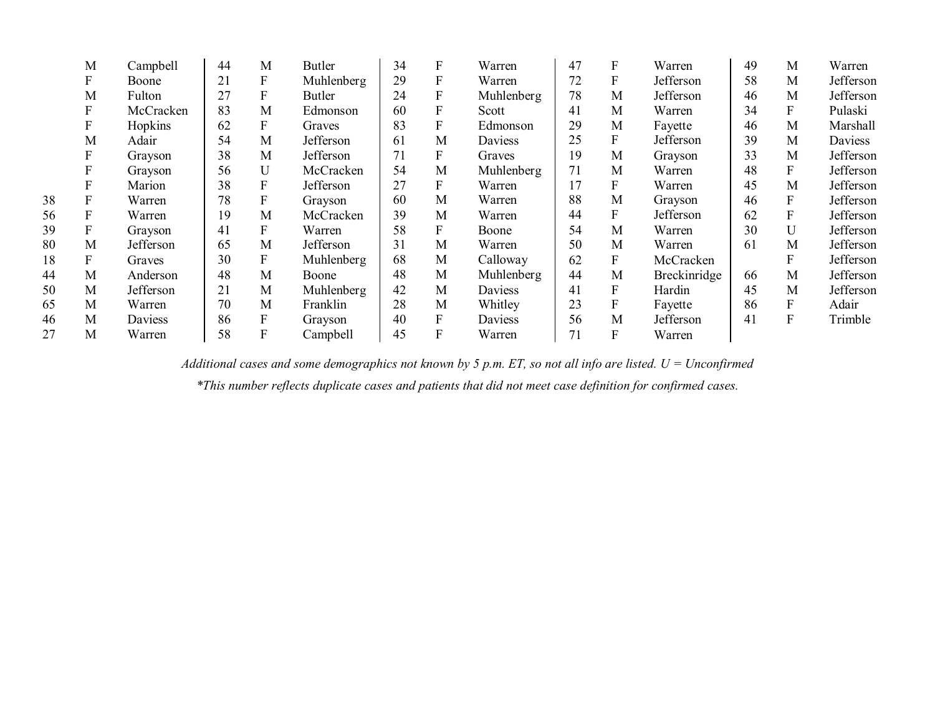|    | M                | Campbell  | 44 | M                         | <b>Butler</b> | 34 | F | Warren     | 47 |   | Warren       | 49 | M            | Warren    |
|----|------------------|-----------|----|---------------------------|---------------|----|---|------------|----|---|--------------|----|--------------|-----------|
|    | F                | Boone     | 21 | F                         | Muhlenberg    | 29 | F | Warren     | 72 |   | Jefferson    | 58 | M            | Jefferson |
|    | M                | Fulton    | 27 | F                         | <b>Butler</b> | 24 |   | Muhlenberg | 78 | M | Jefferson    | 46 | M            | Jefferson |
|    | ${\bf F}$        | McCracken | 83 | M                         | Edmonson      | 60 |   | Scott      | 41 | M | Warren       | 34 | $\mathbf{F}$ | Pulaski   |
|    | $\mathbf{F}$     | Hopkins   | 62 | F                         | Graves        | 83 | F | Edmonson   | 29 | M | Fayette      | 46 | M            | Marshall  |
|    | M                | Adair     | 54 | M                         | Jefferson     | 61 | M | Daviess    | 25 | F | Jefferson    | 39 | M            | Daviess   |
|    | F                | Grayson   | 38 | M                         | Jefferson     | 71 | F | Graves     | 19 | M | Grayson      | 33 | M            | Jefferson |
|    | $\boldsymbol{F}$ | Grayson   | 56 | U                         | McCracken     | 54 | M | Muhlenberg | 71 | M | Warren       | 48 | $\mathbf{F}$ | Jefferson |
|    | F                | Marion    | 38 | F                         | Jefferson     | 27 | F | Warren     | 17 | F | Warren       | 45 | М            | Jefferson |
| 38 | F                | Warren    | 78 | F                         | Grayson       | 60 | M | Warren     | 88 | M | Grayson      | 46 | $\mathbf{F}$ | Jefferson |
| 56 | F                | Warren    | 19 | M                         | McCracken     | 39 | M | Warren     | 44 | F | Jefferson    | 62 | $\mathbf{F}$ | Jefferson |
| 39 | F                | Grayson   | 41 | F                         | Warren        | 58 | F | Boone      | 54 | M | Warren       | 30 | U            | Jefferson |
| 80 | M                | Jefferson | 65 | M                         | Jefferson     | 31 | M | Warren     | 50 | M | Warren       | 61 | M            | Jefferson |
| 18 | F                | Graves    | 30 | F                         | Muhlenberg    | 68 | M | Calloway   | 62 | F | McCracken    |    | F            | Jefferson |
| 44 | M                | Anderson  | 48 | M                         | Boone         | 48 | M | Muhlenberg | 44 | M | Breckinridge | 66 | М            | Jefferson |
| 50 | M                | Jefferson | 21 | M                         | Muhlenberg    | 42 | M | Daviess    | 41 | F | Hardin       | 45 | M            | Jefferson |
| 65 | M                | Warren    | 70 | M                         | Franklin      | 28 | M | Whitley    | 23 | F | Fayette      | 86 | F            | Adair     |
| 46 | M                | Daviess   | 86 | $\boldsymbol{\mathrm{F}}$ | Grayson       | 40 | F | Daviess    | 56 | M | Jefferson    | 41 | F            | Trimble   |
| 27 | M                | Warren    | 58 | F                         | Campbell      | 45 | F | Warren     | 71 | F | Warren       |    |              |           |
|    |                  |           |    |                           |               |    |   |            |    |   |              |    |              |           |

*Additional cases and some demographics not known by 5 p.m. ET, so not all info are listed. U = Unconfirmed*

*\*This number reflects duplicate cases and patients that did not meet case definition for confirmed cases.*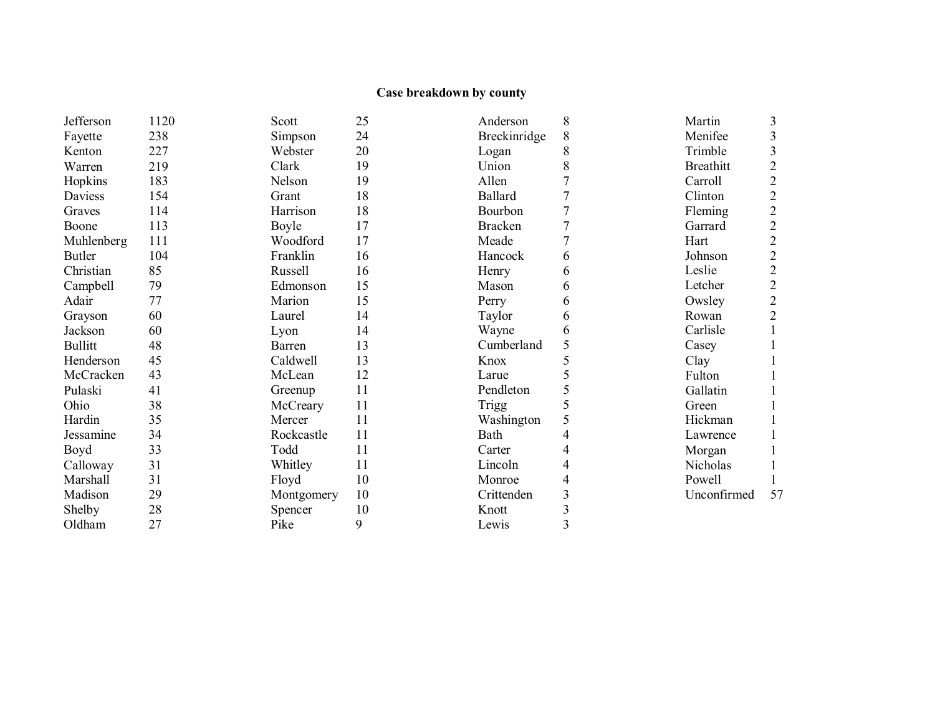# **Case breakdown by county**

| Jefferson      | 1120 | Scott      | 25 | Anderson       | 8 | Martin           | 3              |
|----------------|------|------------|----|----------------|---|------------------|----------------|
| Fayette        | 238  | Simpson    | 24 | Breckinridge   | 8 | Menifee          | 3              |
| Kenton         | 227  | Webster    | 20 | Logan          | 8 | Trimble          | 3              |
| Warren         | 219  | Clark      | 19 | Union          | 8 | <b>Breathitt</b> | $\overline{c}$ |
| Hopkins        | 183  | Nelson     | 19 | Allen          | 7 | Carroll          | $\overline{2}$ |
| Daviess        | 154  | Grant      | 18 | <b>Ballard</b> | 7 | Clinton          | $\overline{2}$ |
| Graves         | 114  | Harrison   | 18 | Bourbon        |   | Fleming          | $\overline{c}$ |
| Boone          | 113  | Boyle      | 17 | <b>Bracken</b> |   | Garrard          | $\overline{2}$ |
| Muhlenberg     | 111  | Woodford   | 17 | Meade          |   | Hart             | $\overline{2}$ |
| <b>Butler</b>  | 104  | Franklin   | 16 | Hancock        | 6 | Johnson          | $\overline{2}$ |
| Christian      | 85   | Russell    | 16 | Henry          | 6 | Leslie           | $\overline{2}$ |
| Campbell       | 79   | Edmonson   | 15 | Mason          | 6 | Letcher          | $\overline{2}$ |
| Adair          | 77   | Marion     | 15 | Perry          | 6 | Owsley           | $\overline{c}$ |
| Grayson        | 60   | Laurel     | 14 | Taylor         | 6 | Rowan            | $\overline{2}$ |
| Jackson        | 60   | Lyon       | 14 | Wayne          | 6 | Carlisle         |                |
| <b>Bullitt</b> | 48   | Barren     | 13 | Cumberland     | 5 | Casey            |                |
| Henderson      | 45   | Caldwell   | 13 | Knox           | 5 | Clay             |                |
| McCracken      | 43   | McLean     | 12 | Larue          |   | Fulton           |                |
| Pulaski        | 41   | Greenup    | 11 | Pendleton      | 5 | Gallatin         |                |
| Ohio           | 38   | McCreary   | 11 | Trigg          | 5 | Green            |                |
| Hardin         | 35   | Mercer     | 11 | Washington     | 5 | Hickman          |                |
| Jessamine      | 34   | Rockcastle | 11 | Bath           | 4 | Lawrence         |                |
| Boyd           | 33   | Todd       | 11 | Carter         | 4 | Morgan           |                |
| Calloway       | 31   | Whitley    | 11 | Lincoln        | 4 | Nicholas         |                |
| Marshall       | 31   | Floyd      | 10 | Monroe         | 4 | Powell           |                |
| Madison        | 29   | Montgomery | 10 | Crittenden     | 3 | Unconfirmed      | 57             |
| Shelby         | 28   | Spencer    | 10 | Knott          | 3 |                  |                |
| Oldham         | 27   | Pike       | 9  | Lewis          | 3 |                  |                |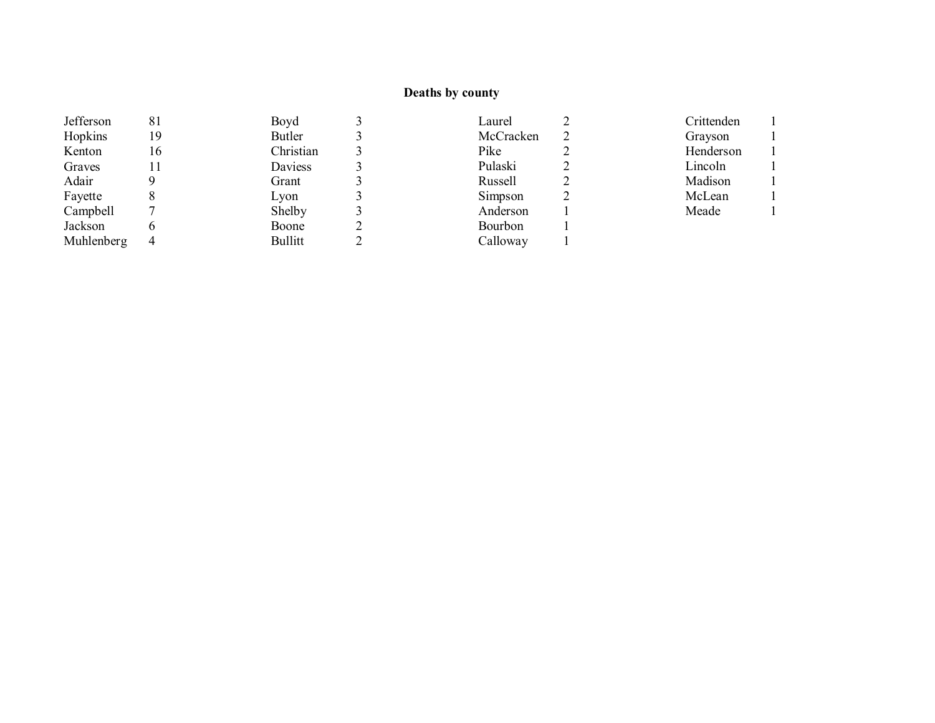## **Deaths by county**

| Jefferson  | 81 | Boyd      | Laurel    | Crittenden |
|------------|----|-----------|-----------|------------|
| Hopkins    | 19 | Butler    | McCracken | Grayson    |
| Kenton     | 16 | Christian | Pike      | Henderson  |
| Graves     |    | Daviess   | Pulaski   | Lincoln    |
| Adair      |    | Grant     | Russell   | Madison    |
| Fayette    |    | Lyon      | Simpson   | McLean     |
| Campbell   |    | Shelby    | Anderson  | Meade      |
| Jackson    |    | Boone     | Bourbon   |            |
| Muhlenberg | 4  | Bullitt   | Calloway  |            |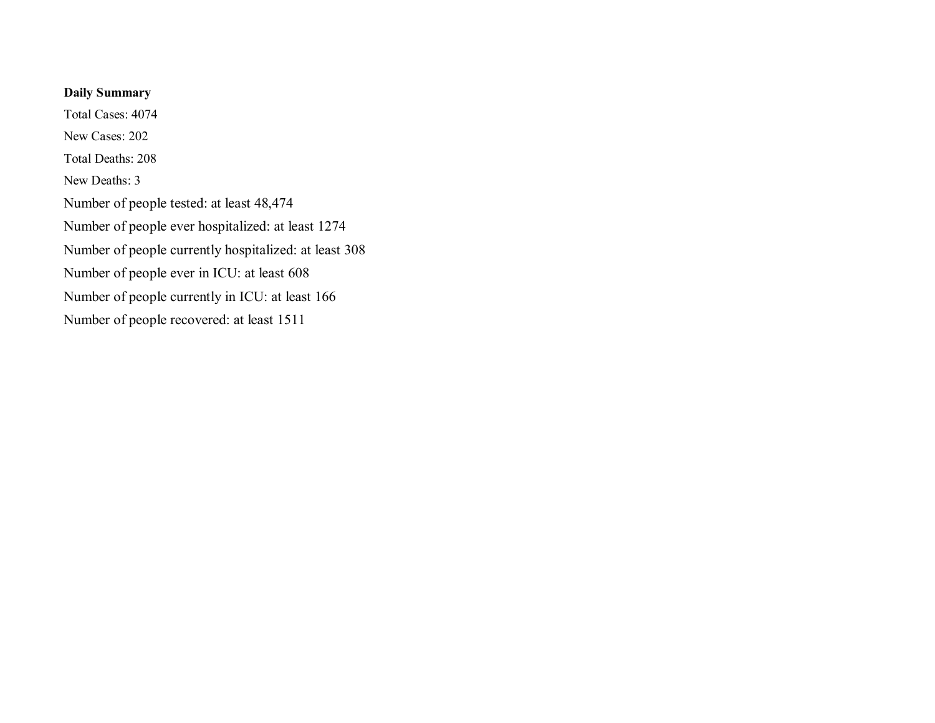## **Daily Summary**

Total Cases: 4074 New Cases: 202 Total Deaths: 208 New Deaths: 3 Number of people tested: at least 48,474 Number of people ever hospitalized: at least 1274 Number of people currently hospitalized: at least 308 Number of people ever in ICU: at least 608 Number of people currently in ICU: at least 166 Number of people recovered: at least 1511